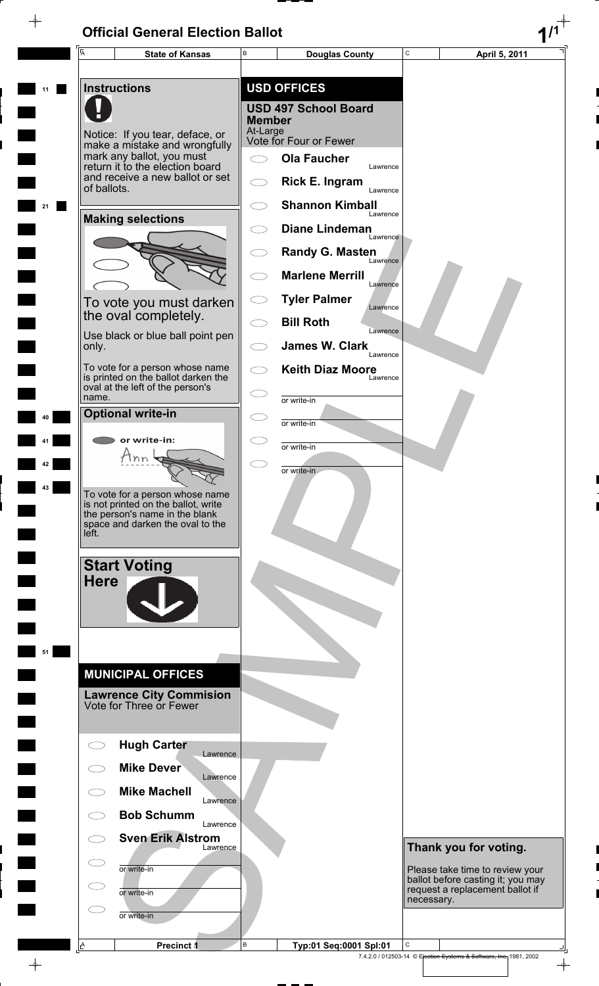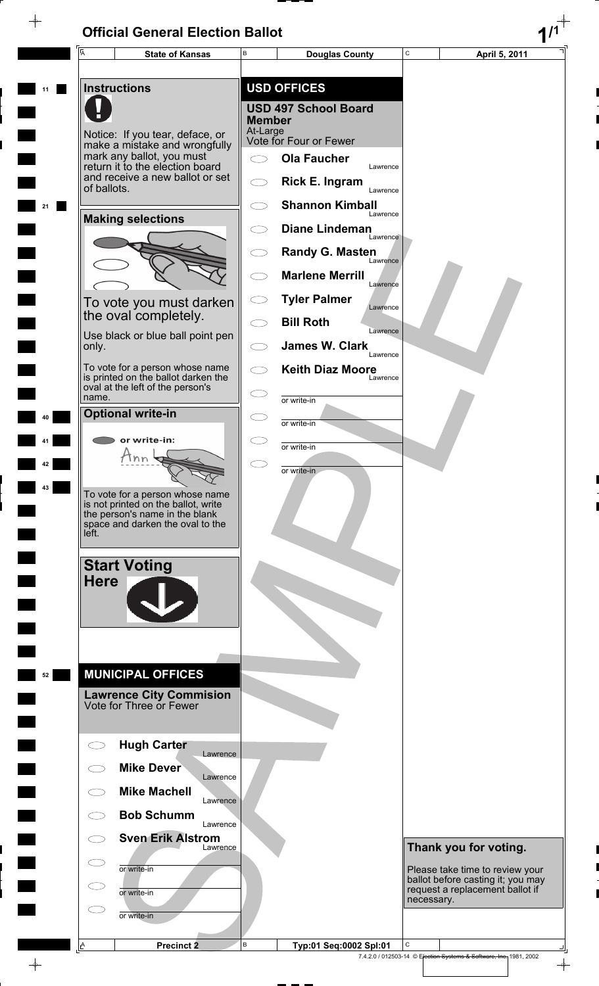$\rightarrow$ 



 $\frac{1}{\Phi}$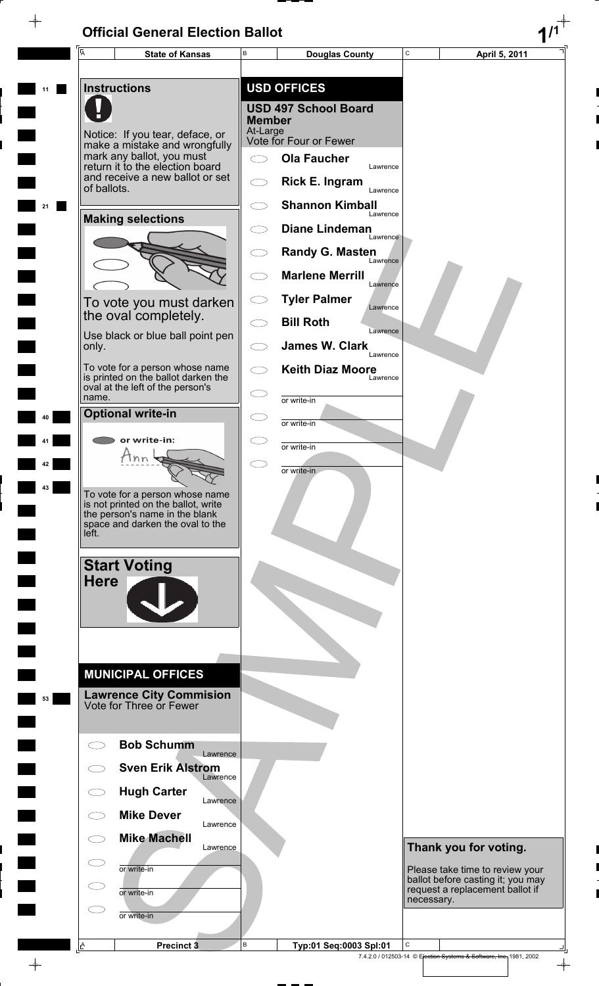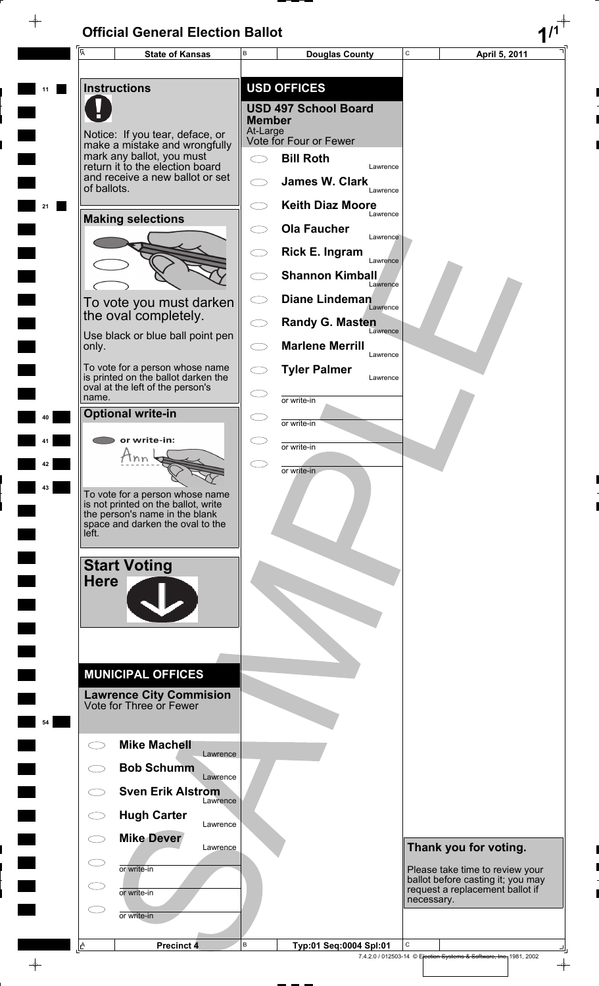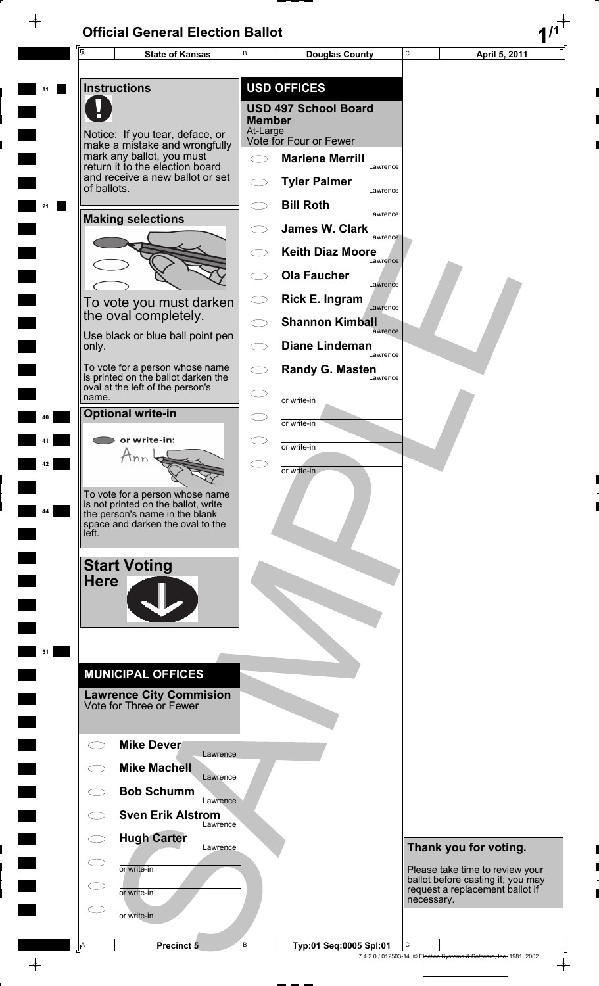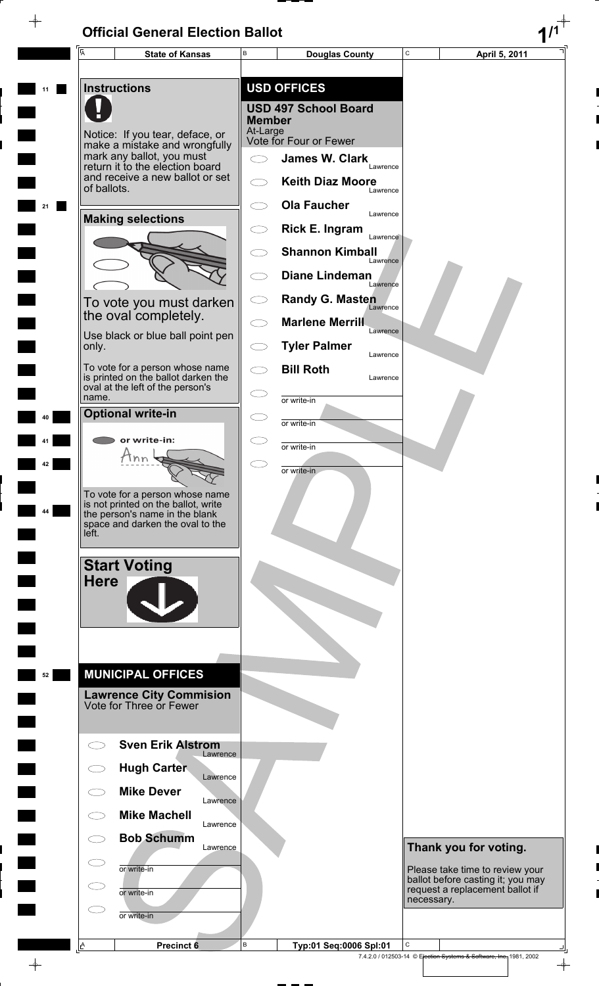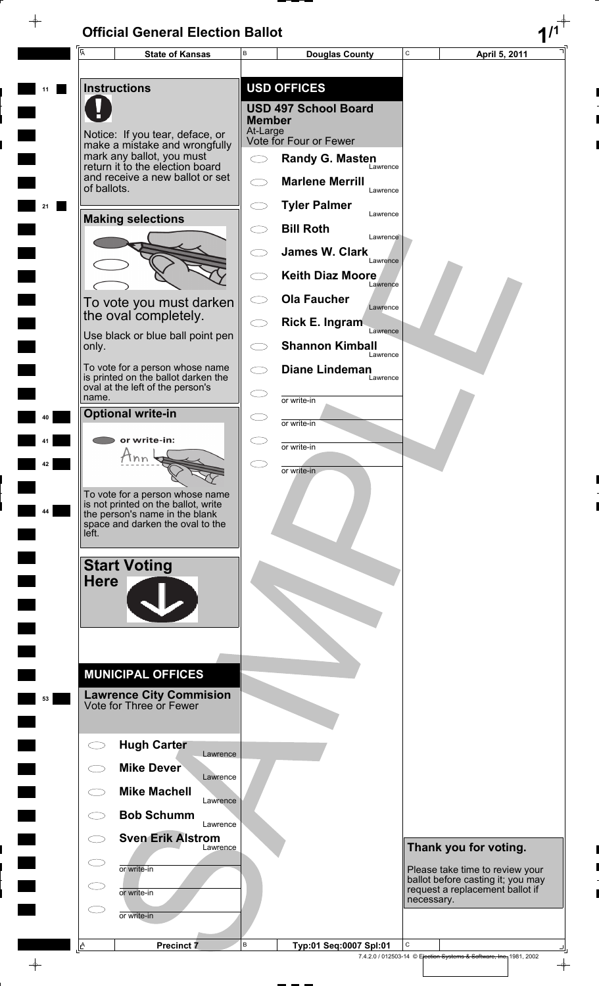$\rightarrow$ 

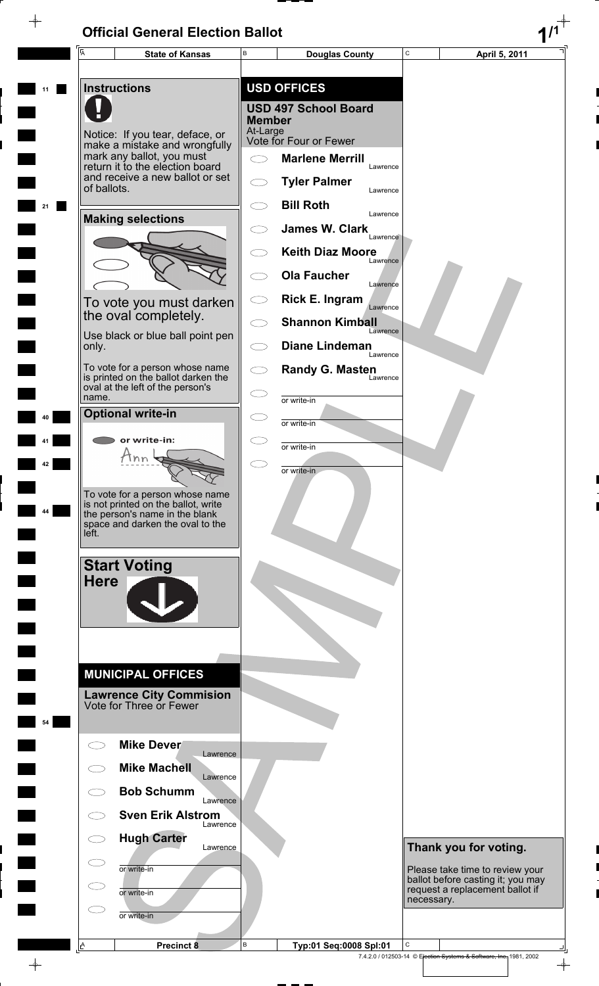$\overline{\phantom{a}}$ 



 $\frac{1}{\Phi}$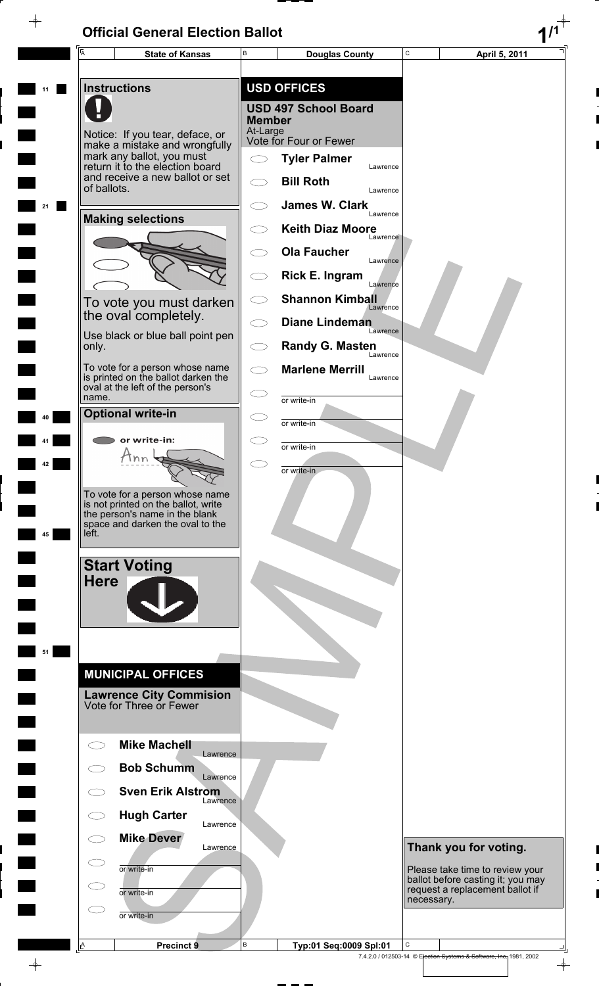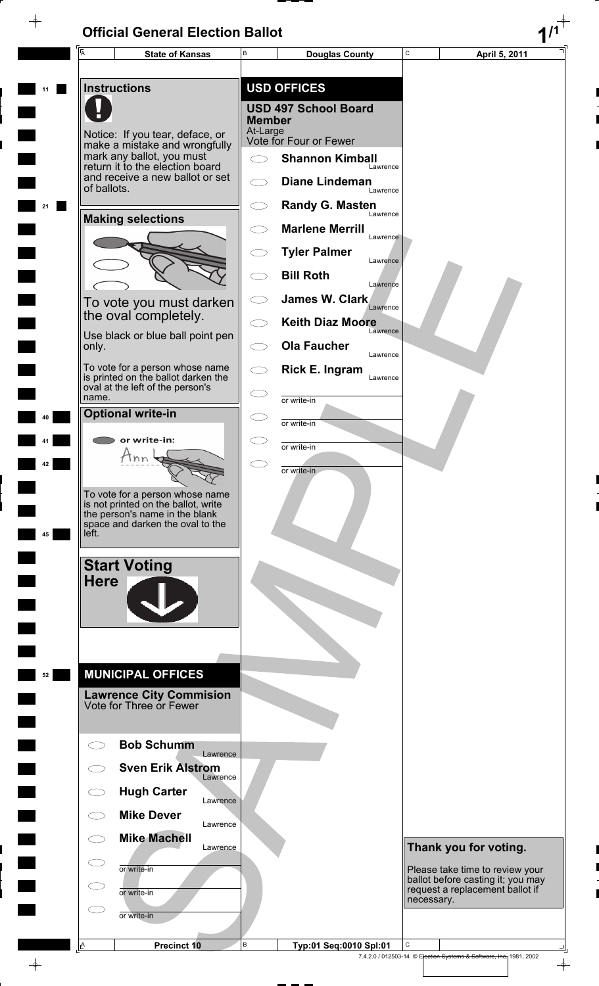$\rightarrow$ 

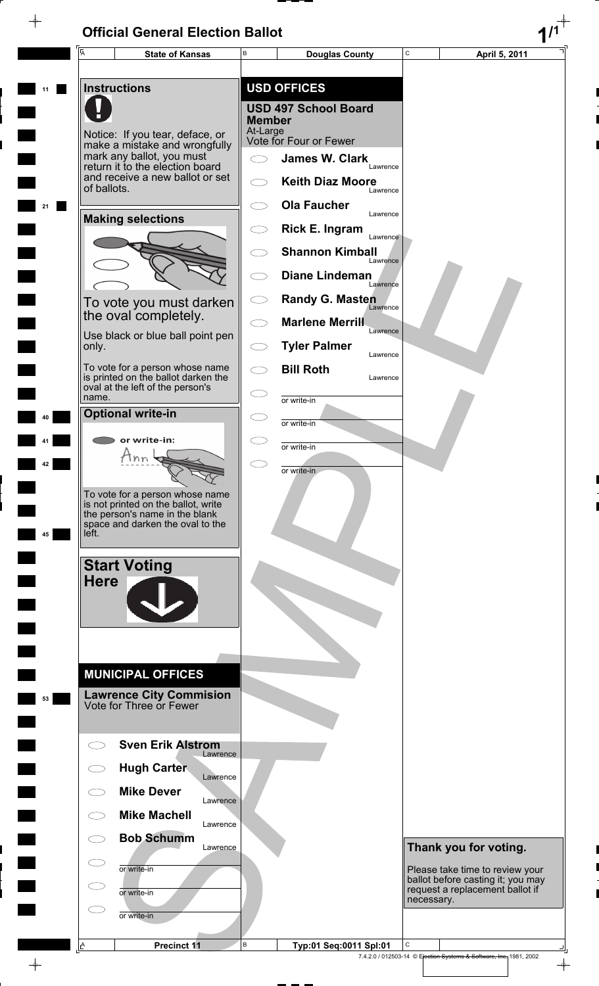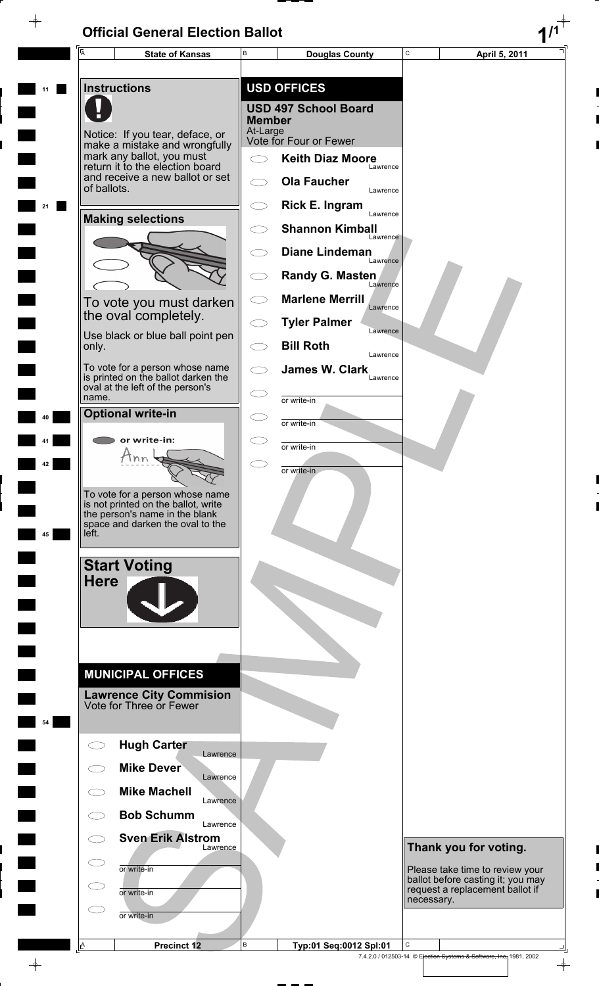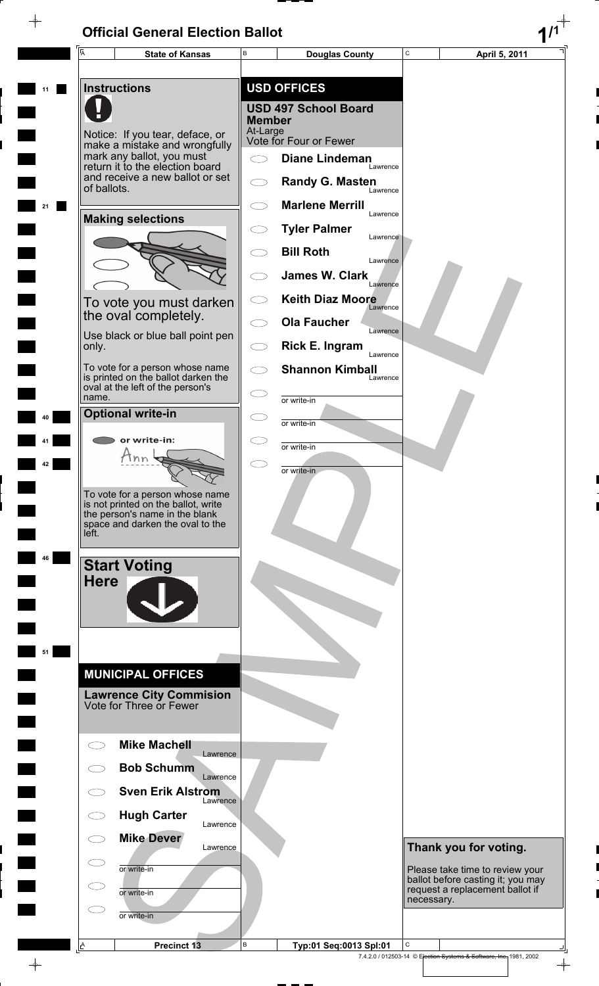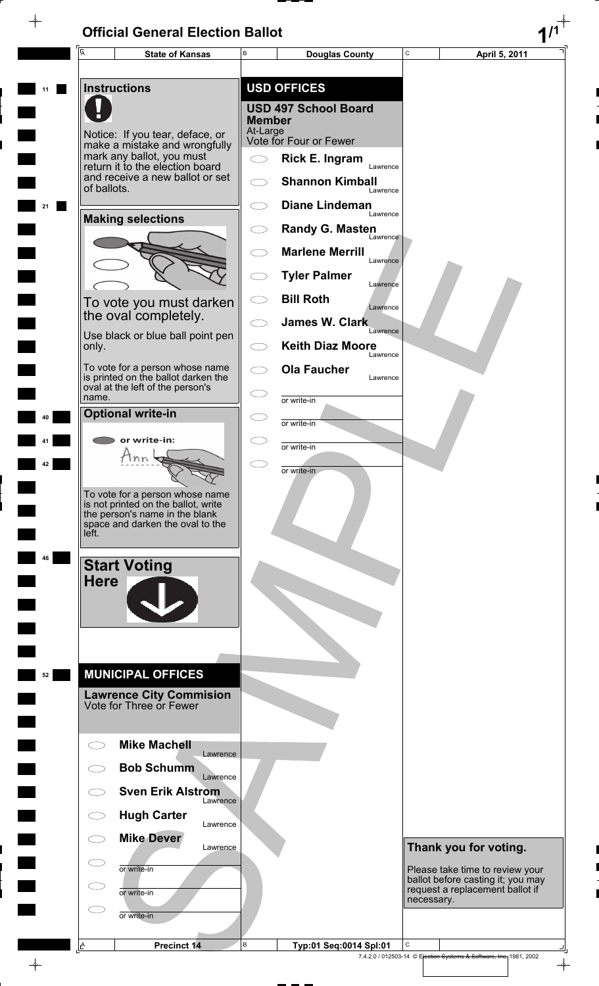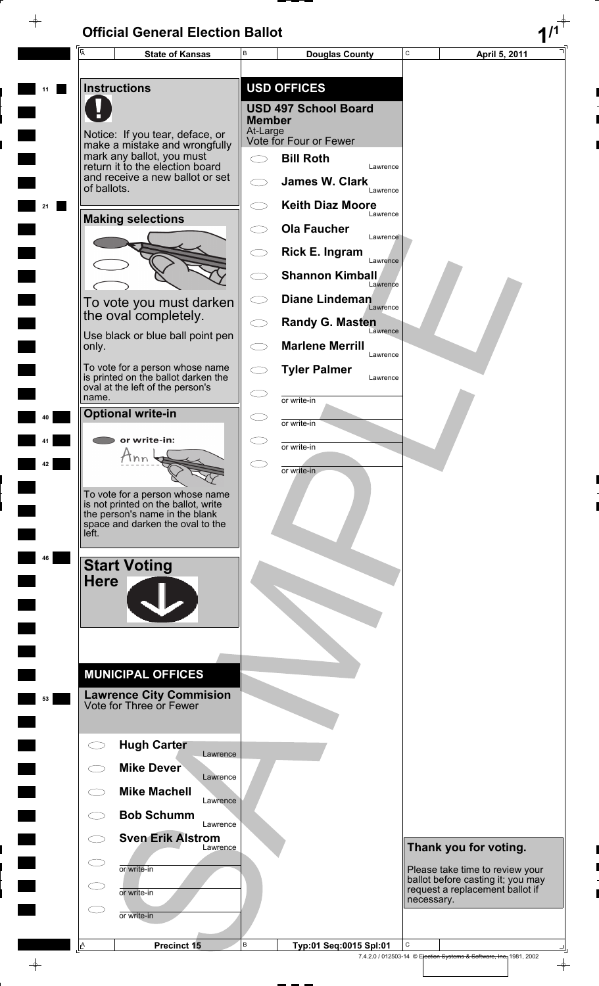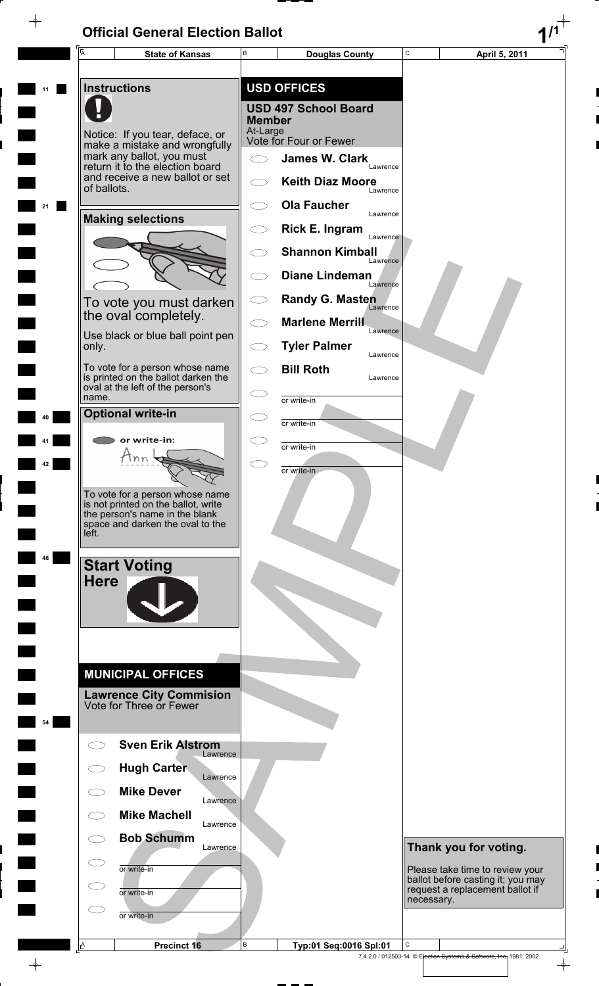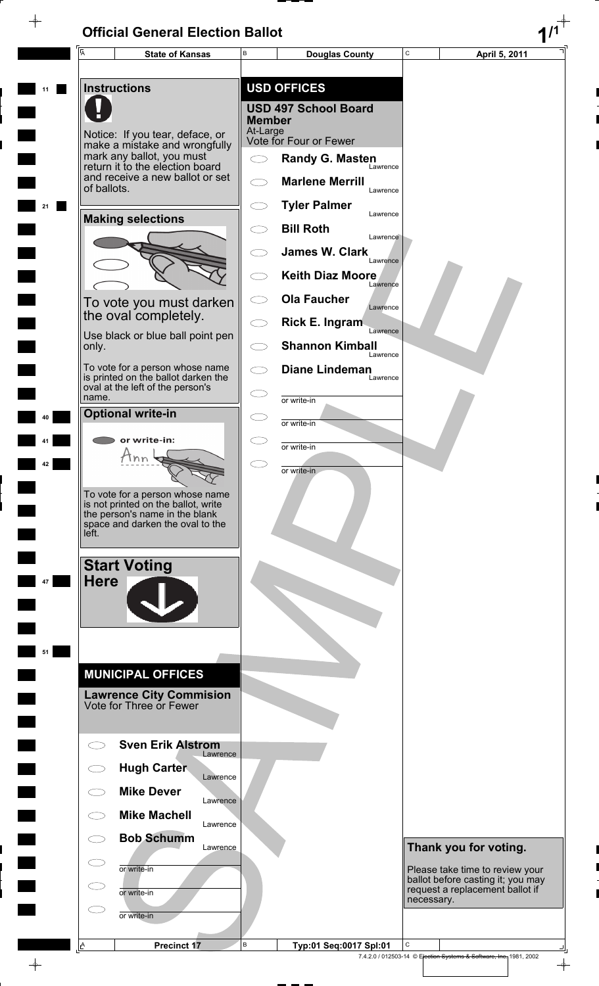$\rightarrow$ 

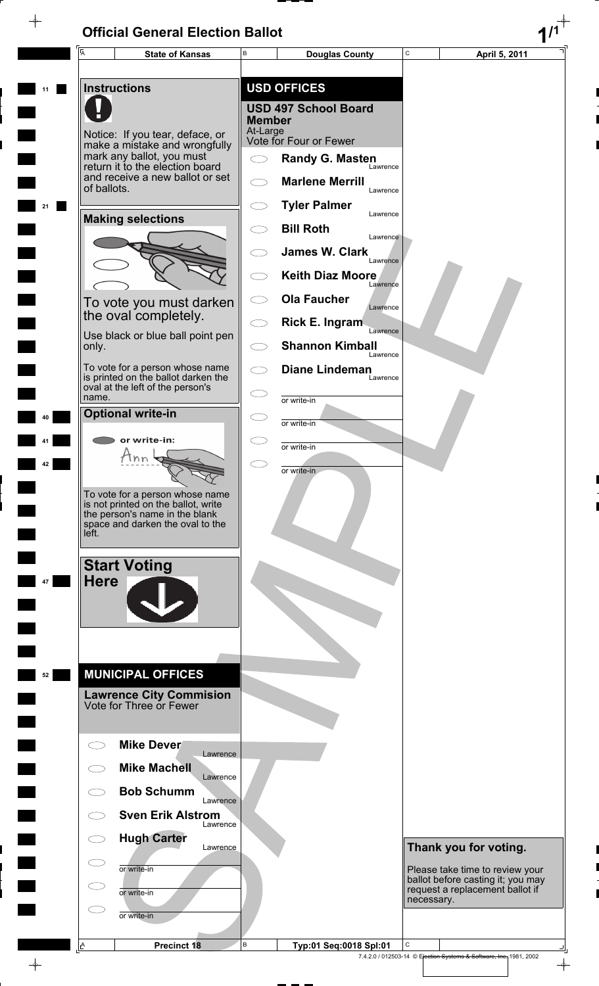$\rightarrow$ 

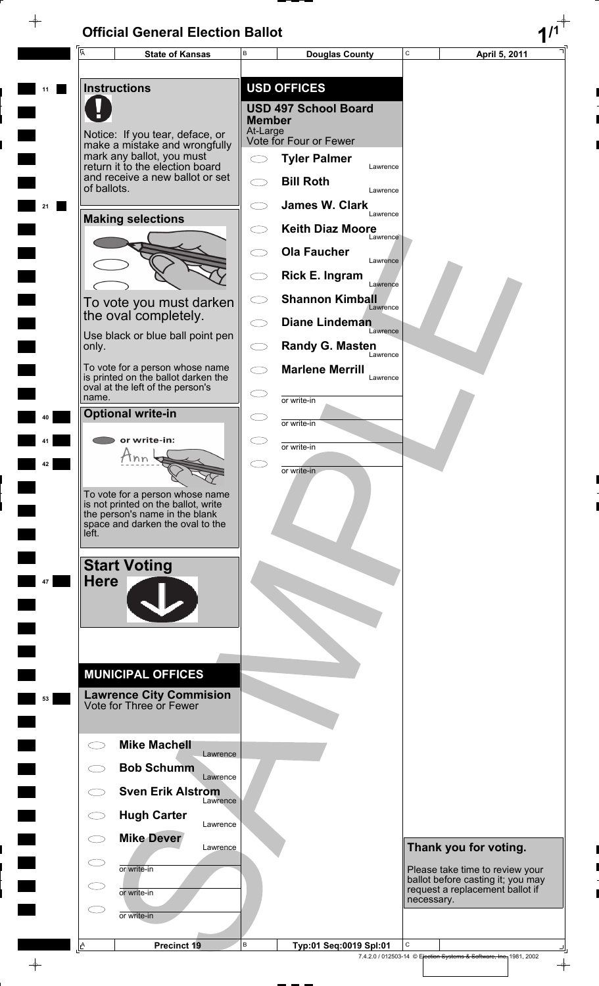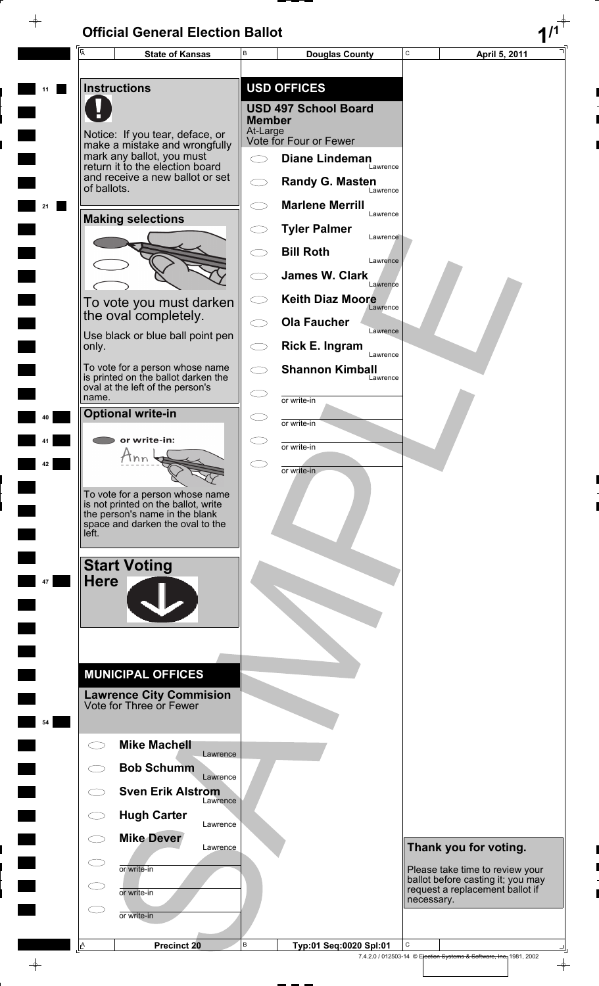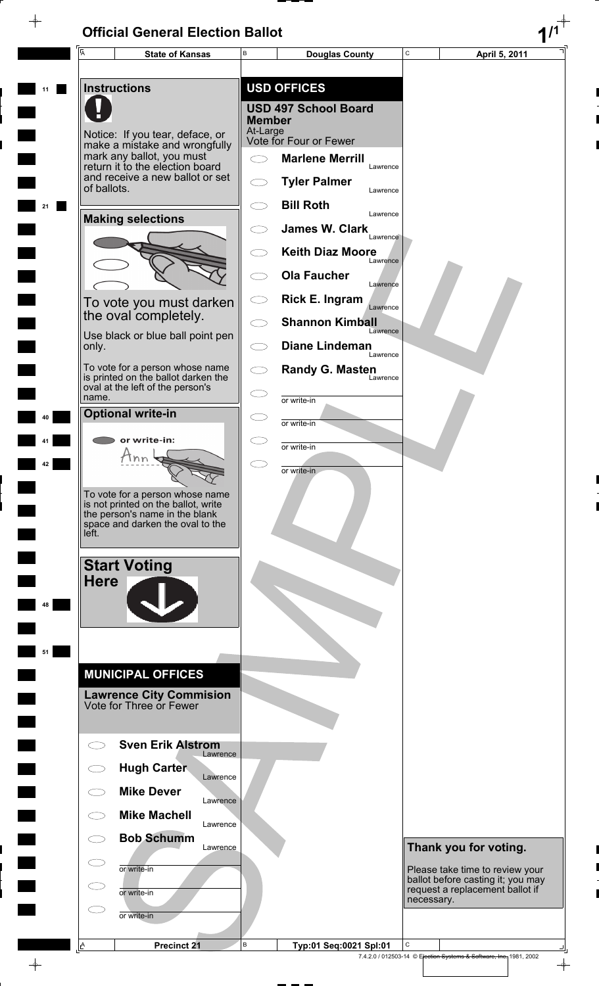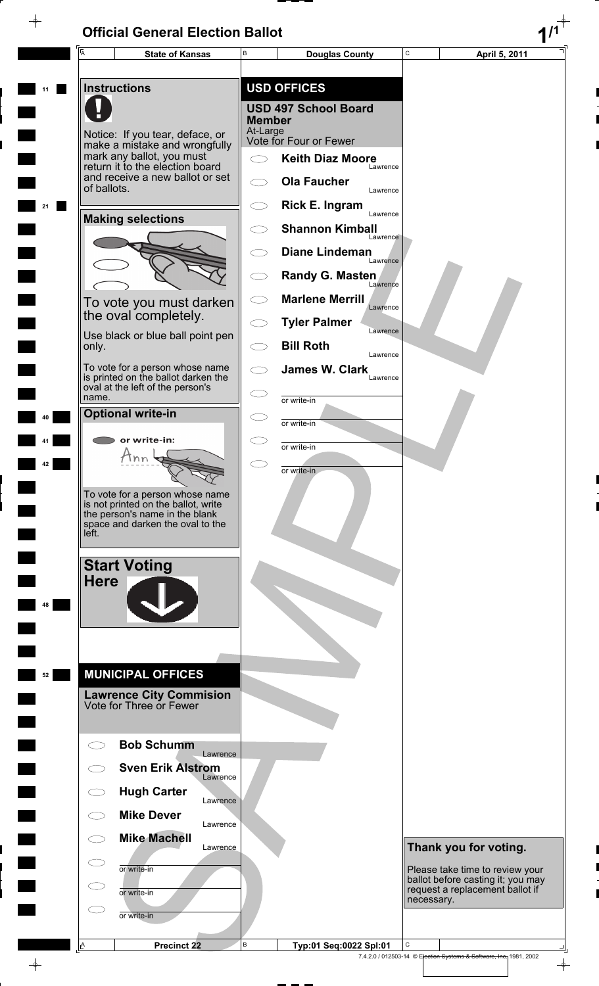$\rightarrow$ 

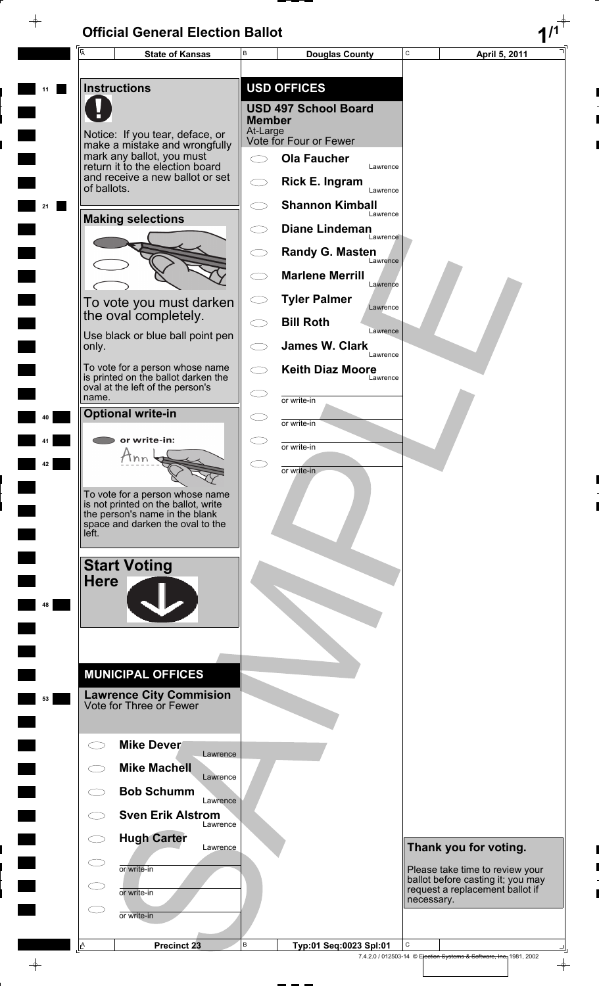$\rightarrow$ 

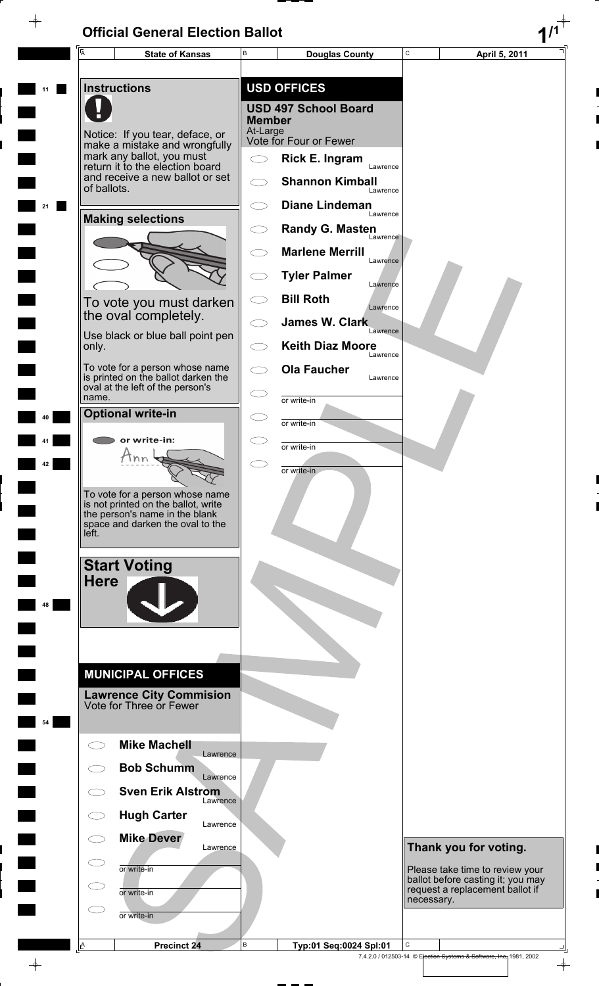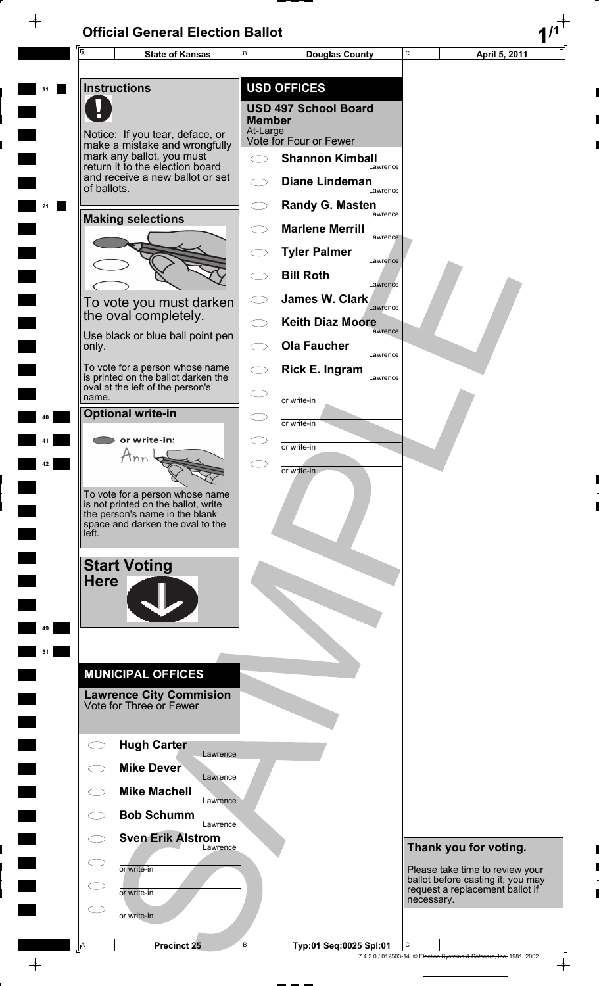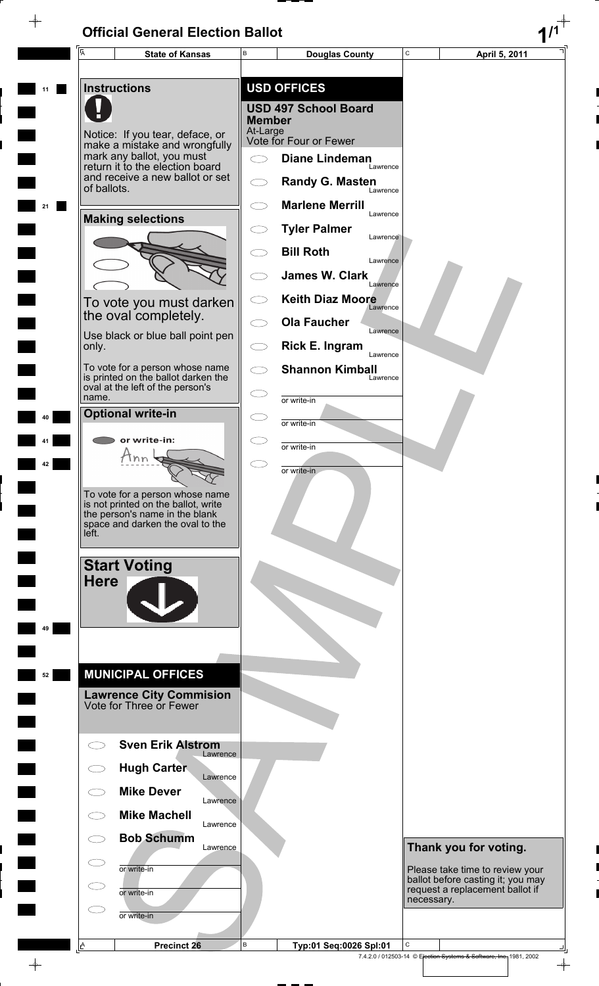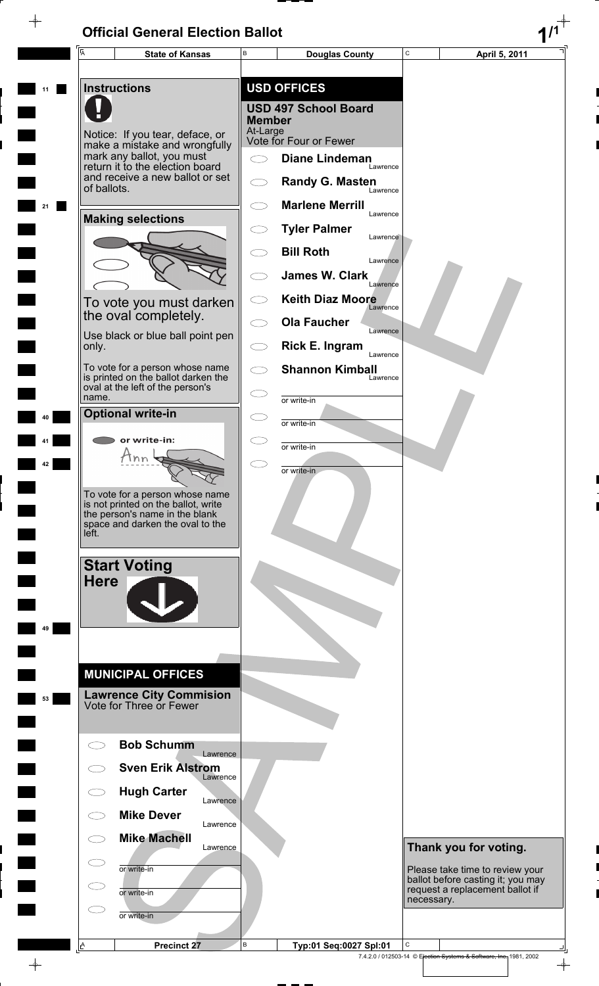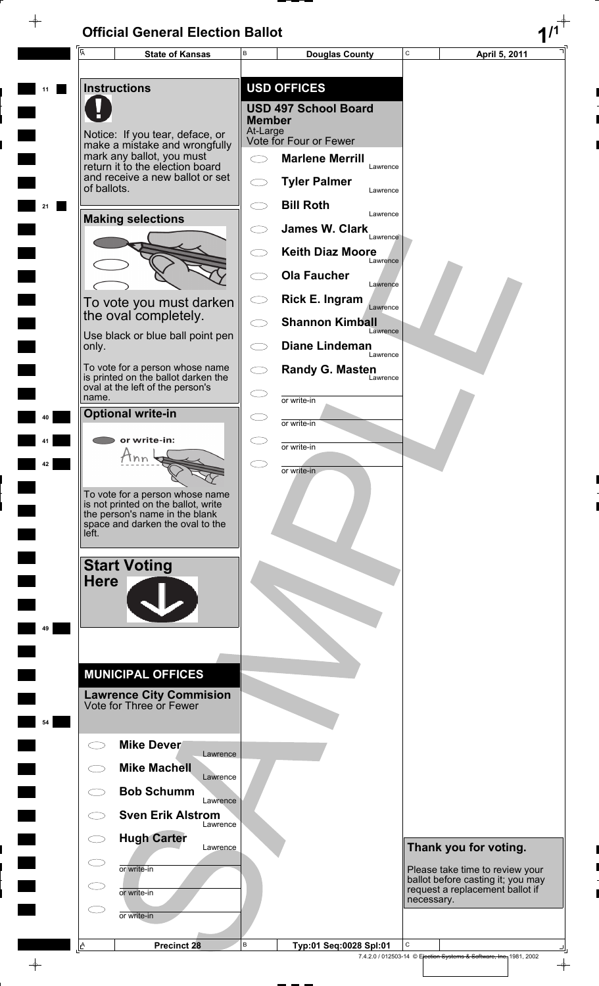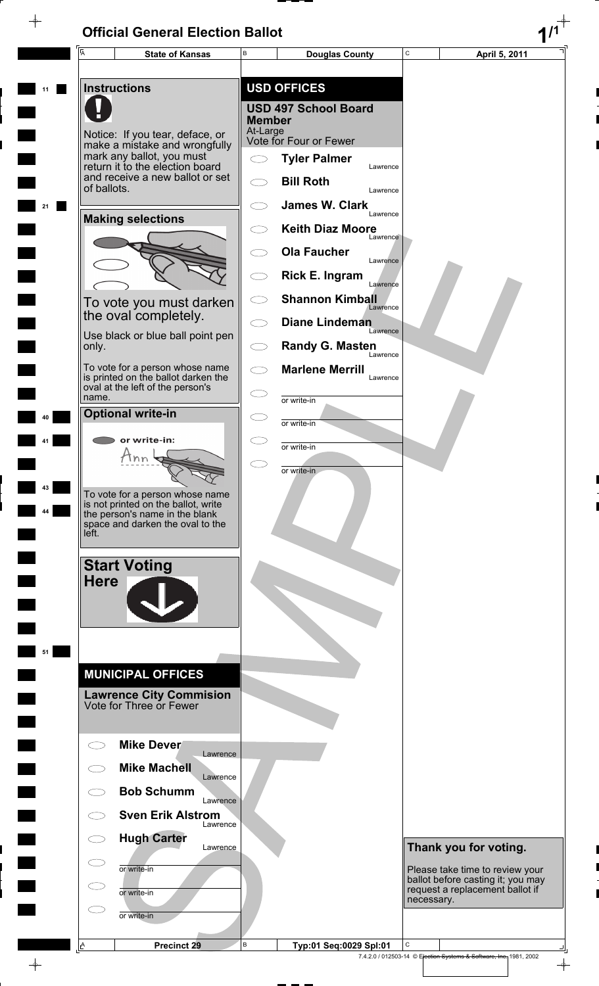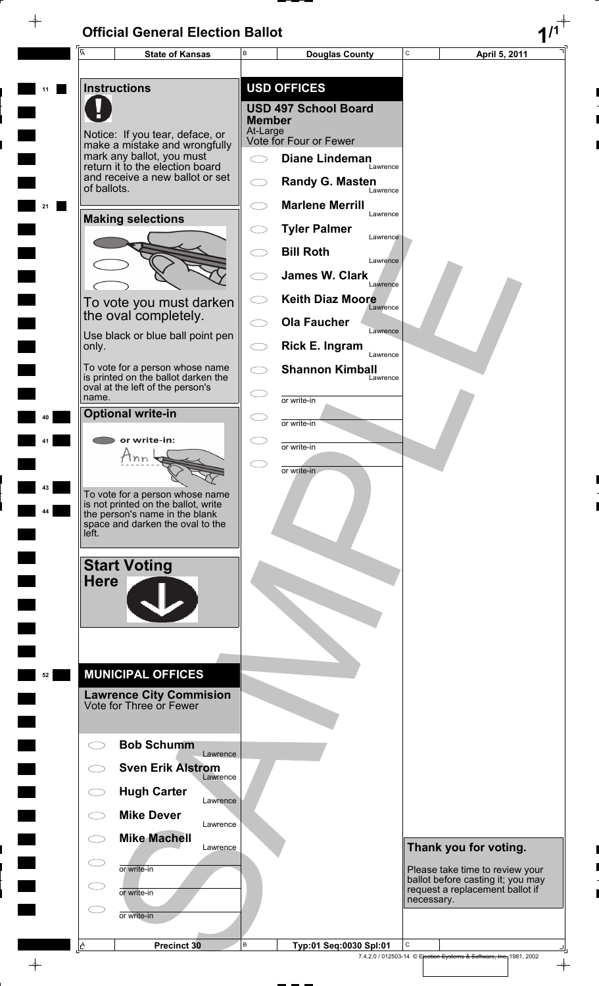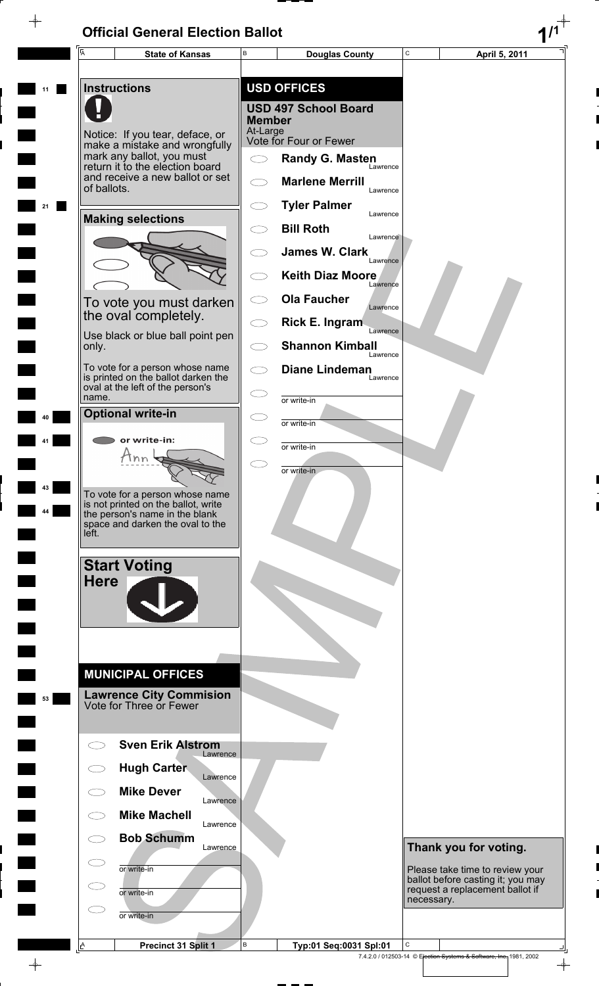$\rightarrow$ 

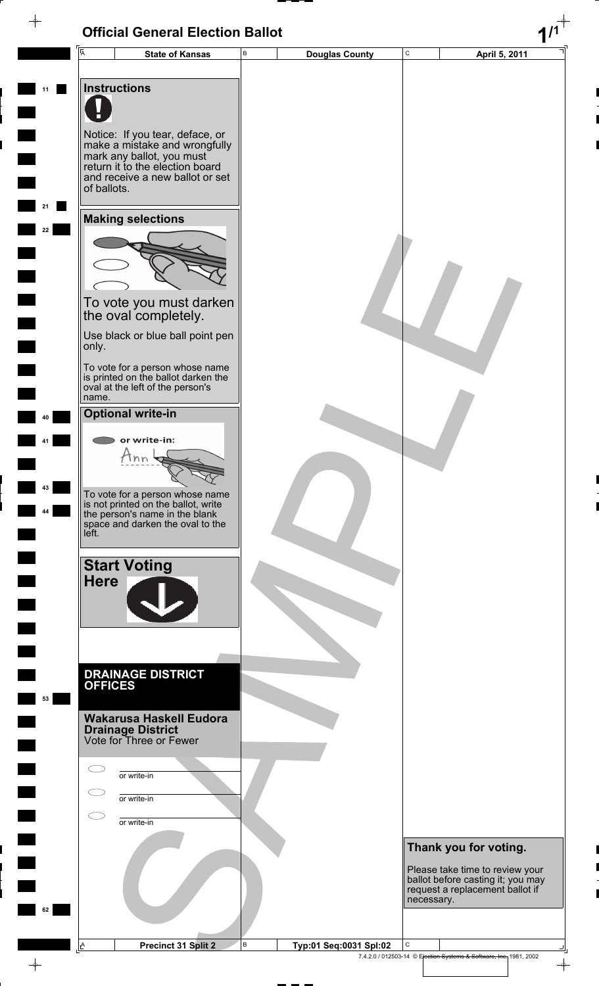#### **Official General Election Ballot 1/1**  $\overline{\phantom{a}}$ C **State of Kansas** B **Douglas County** C **April 5, 2011** A B **11 Instructions** Notice: If you tear, deface, or make a mistake and wrongfully mark any ballot, you must return it to the election board and receive a new ballot or set of ballots. **21 Making selections 22** To vote you must darken the oval completely. Use black or blue ball point pen only. To vote for a person whose name is printed on the ballot darken the oval at the left of the person's name. **Optional write-in 40** or write-in: **41**  $\tan \varphi$ **43** To vote for a person whose name is not printed on the ballot, write **44** the person's name in the blank space and darken the oval to the left. **Start Voting Here DRAINAGE DISTRICT OFFICES 53 Wakarusa Haskell Eudora Drainage District** Vote for Three or Fewer  $\bigcirc$ or write-in  $\bigcirc$ or write-in  $\bigcirc$ or write-in **Thank you for voting.** Please take time to review your ballot before casting it; you may request a replacement ballot if necessary. **62 Precinct 31 Split 2 B** Typ:01 Seq:0031 Spl:02 B  $\overline{\phantom{a}}$ A

7.4.2.0 / 012503-14 © Election Systems & Software, Inc. 1981, 2002

 $\color{red}\phi$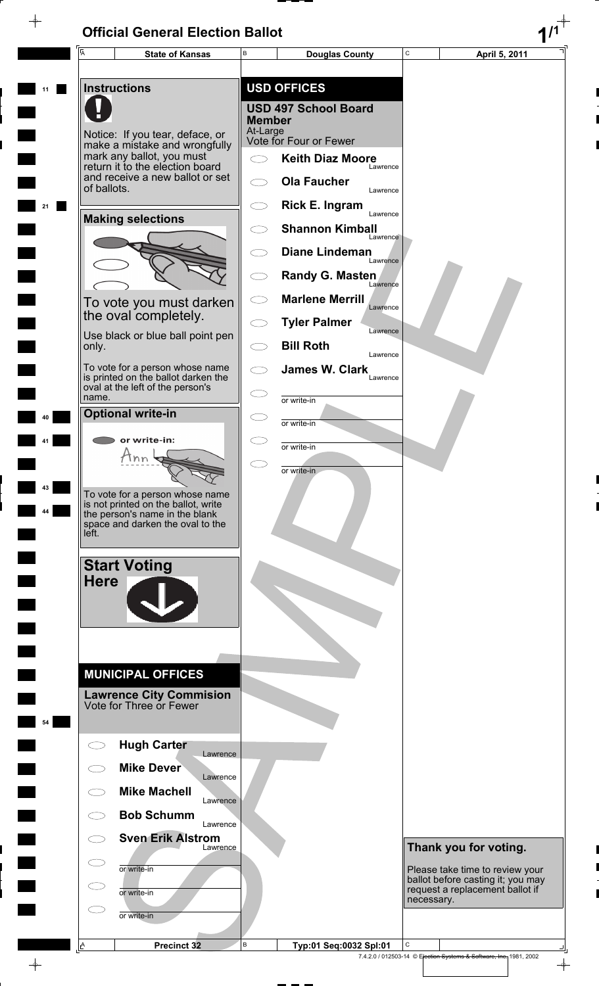$\overline{\phi}$ 

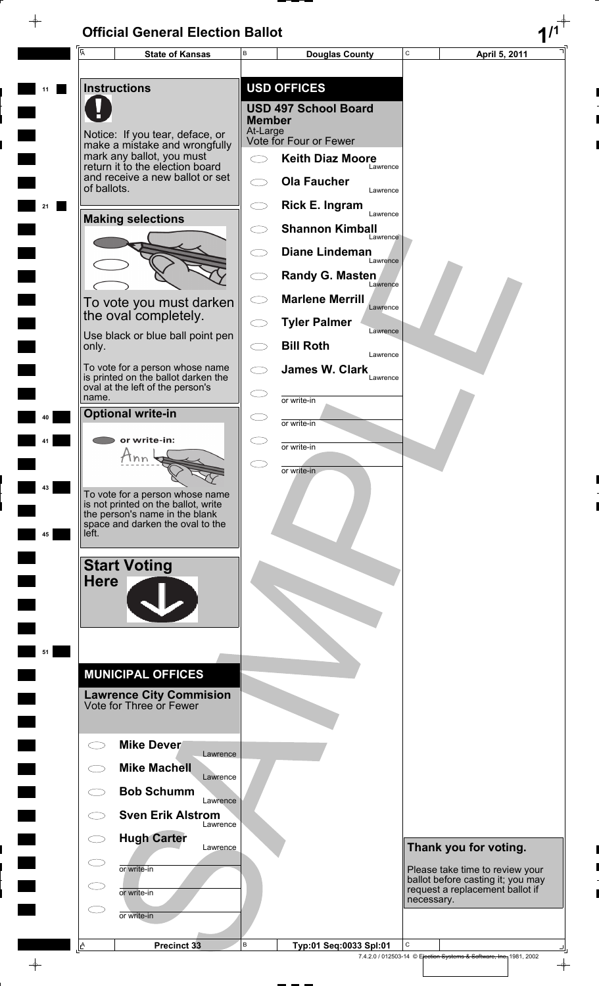$\overline{\phi}$ 

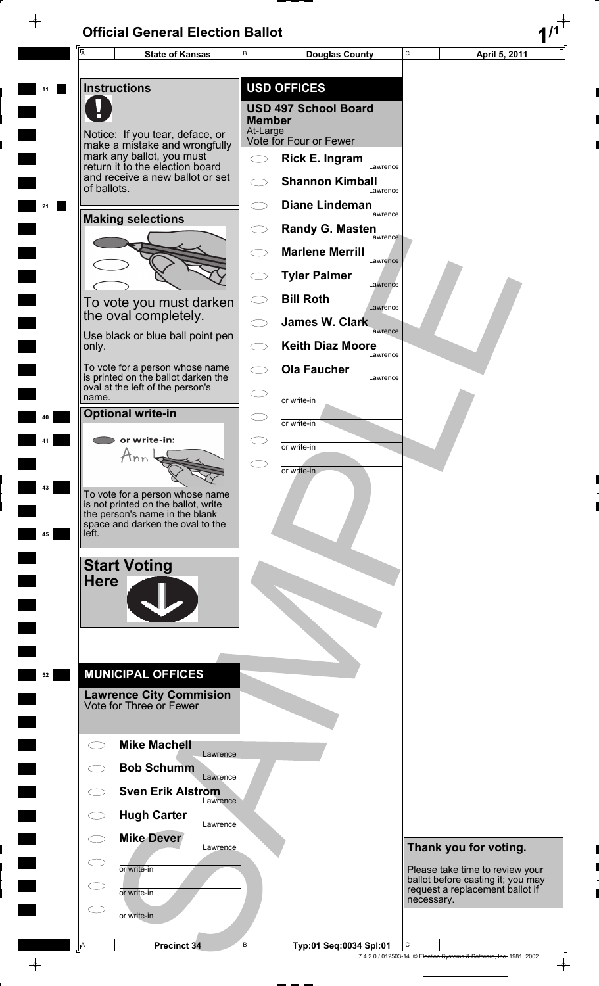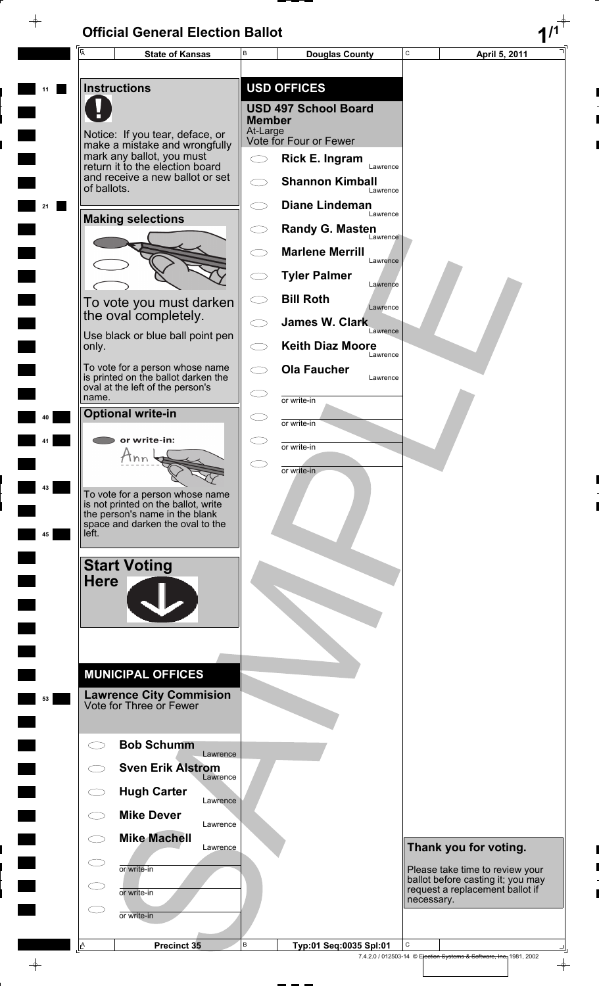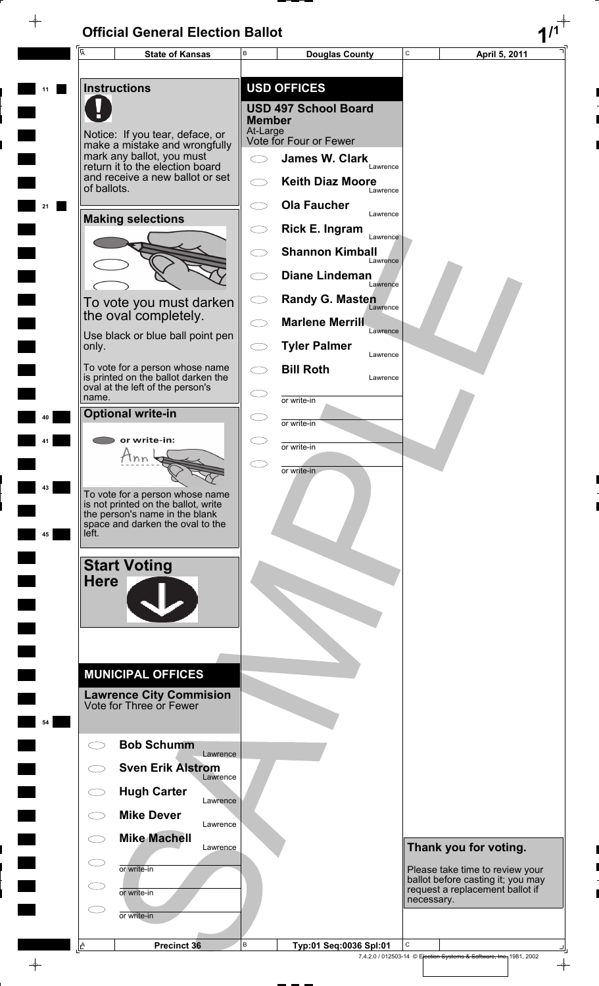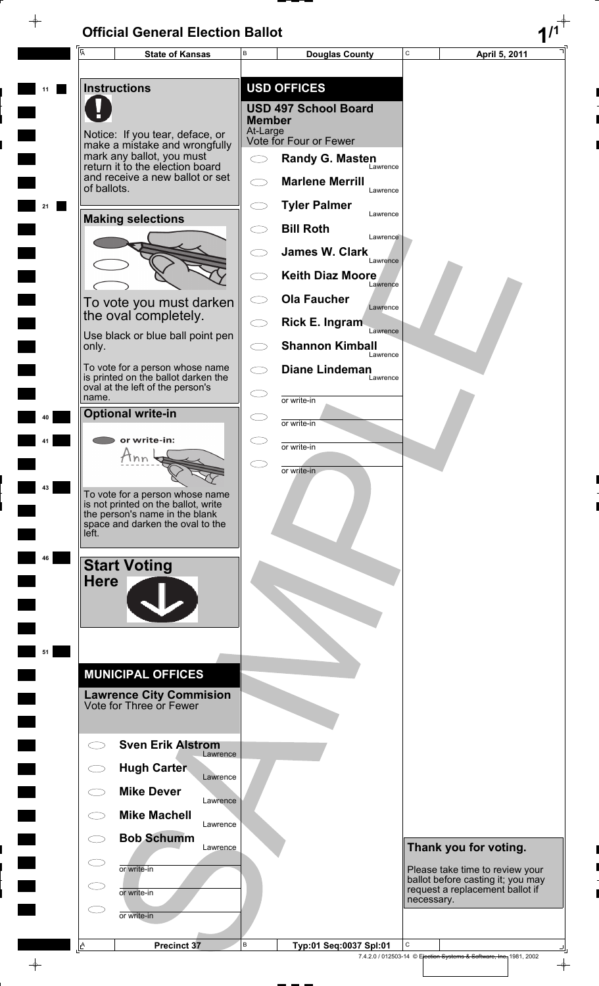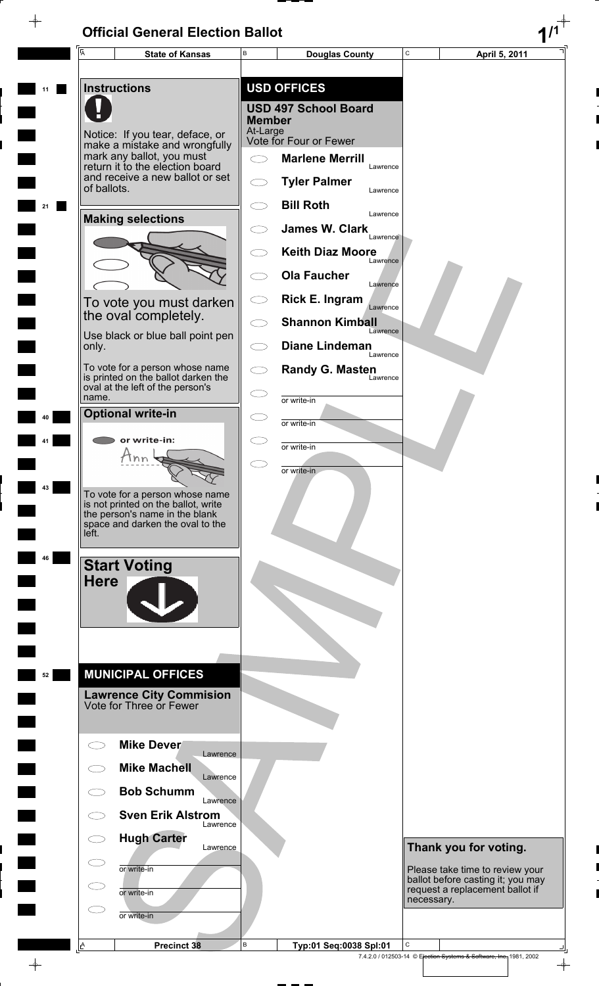$\overline{\phantom{a}}$ 

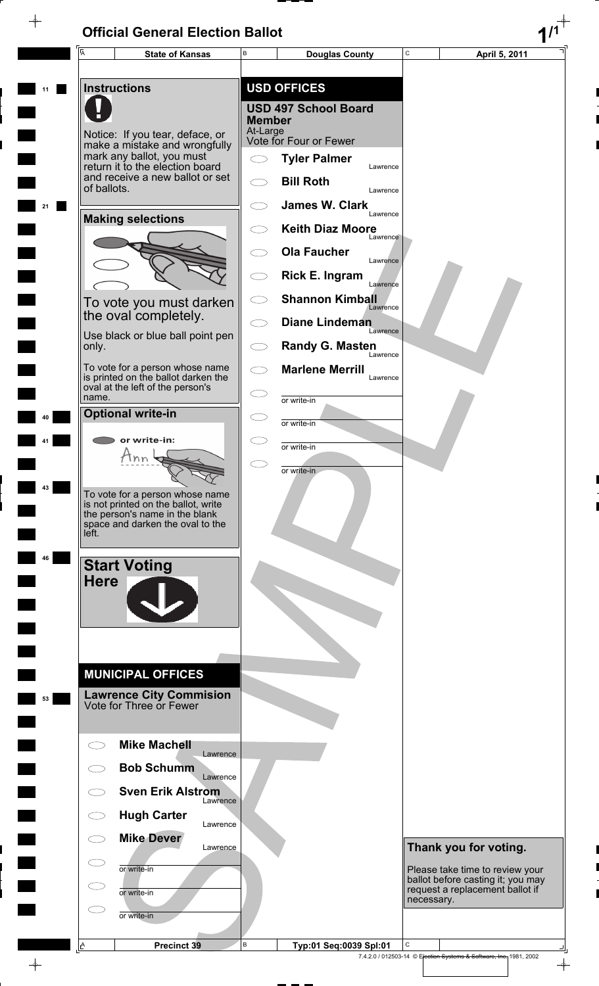$\overline{\phantom{a}}$ 

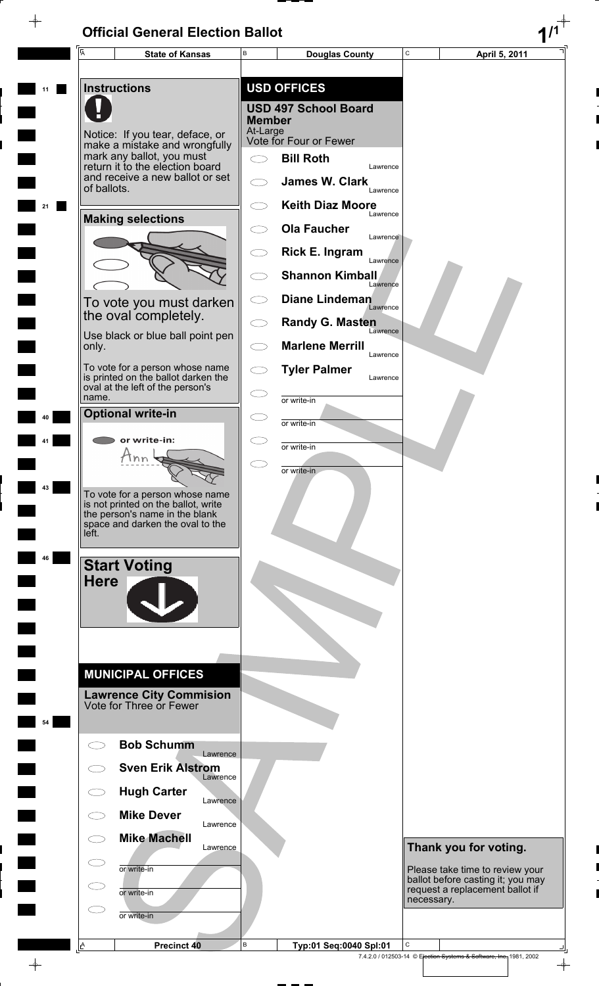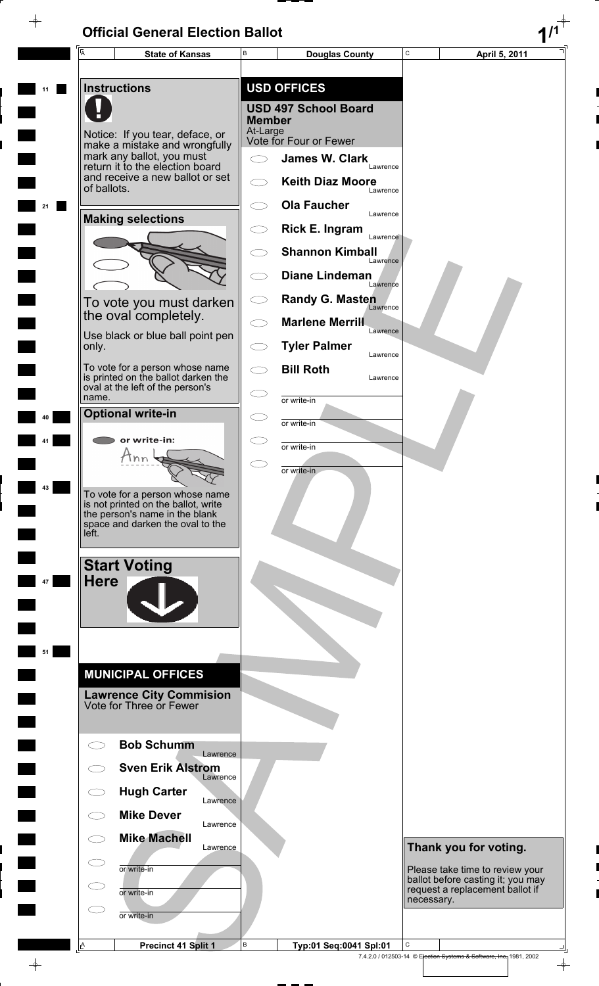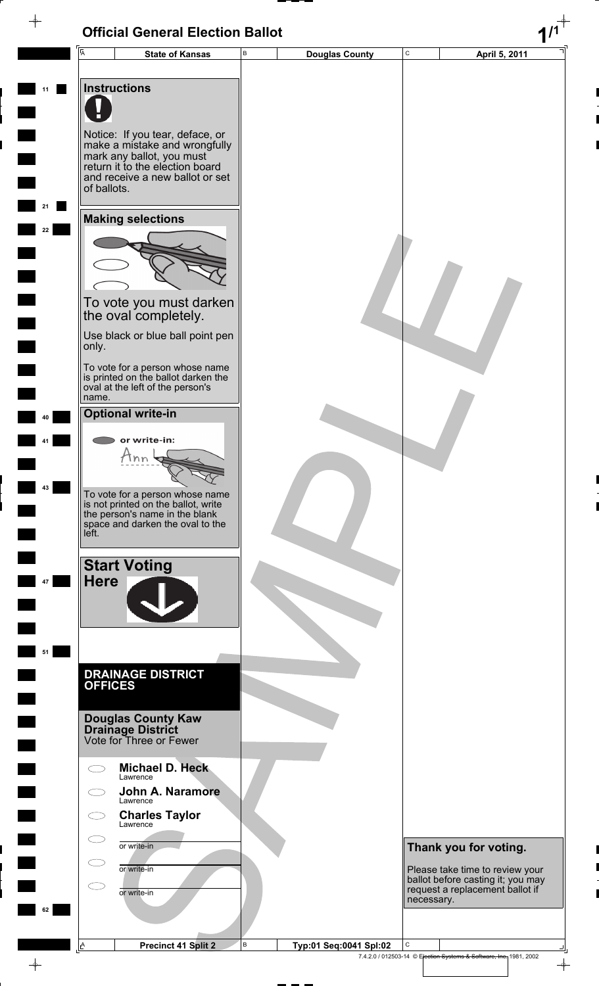#### **Official General Election Ballot 1/1**  $\overline{\phi}$ C **State of Kansas** B **Douglas County** C **April 5, 2011** A B **11 Instructions** Notice: If you tear, deface, or make a mistake and wrongfully mark any ballot, you must return it to the election board and receive a new ballot or set of ballots. **21 Making selections 22** To vote you must darken the oval completely. Use black or blue ball point pen only. To vote for a person whose name is printed on the ballot darken the oval at the left of the person's name. **Optional write-in 40** or write-in: **41**  $\tan \frac{1}{3}$ **43** To vote for a person whose name is not printed on the ballot, write the person's name in the blank space and darken the oval to the left. **Start Voting Here 47 51 DRAINAGE DISTRICT OFFICES Douglas County Kaw Drainage District** Vote for Three or Fewer **Michael D. Heck**  $\bigcirc$ Lawrence **John A. Naramore** Lawrence  $\bigcirc$ **Charles Taylor**  $\bigcirc$ **Lawrence**  $\bigcirc$ or write-in **Thank you for voting.** or write-in Please take time to review your ballot before casting it; you may  $\subset$ request a replacement ballot if or write-in necessary. **62 Precinct 41 Split 2 B** Typ:01 Seq:0041 Spl:02 B  $\overline{\phantom{a}}$ A

7.4.2.0 / 012503-14 © Election Systems & Software, Inc. 1981, 2002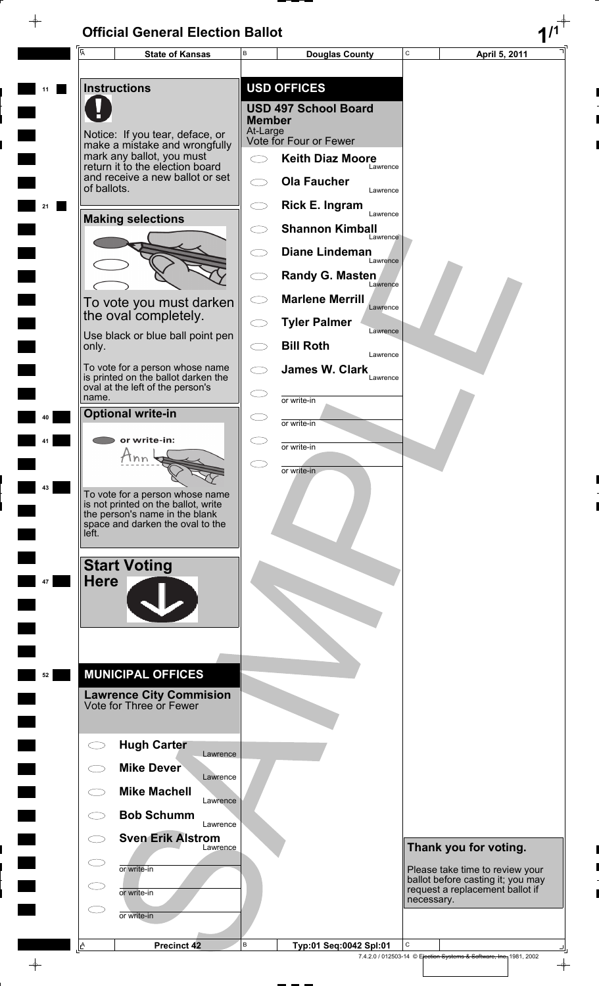$\overline{\phantom{a}}$ 

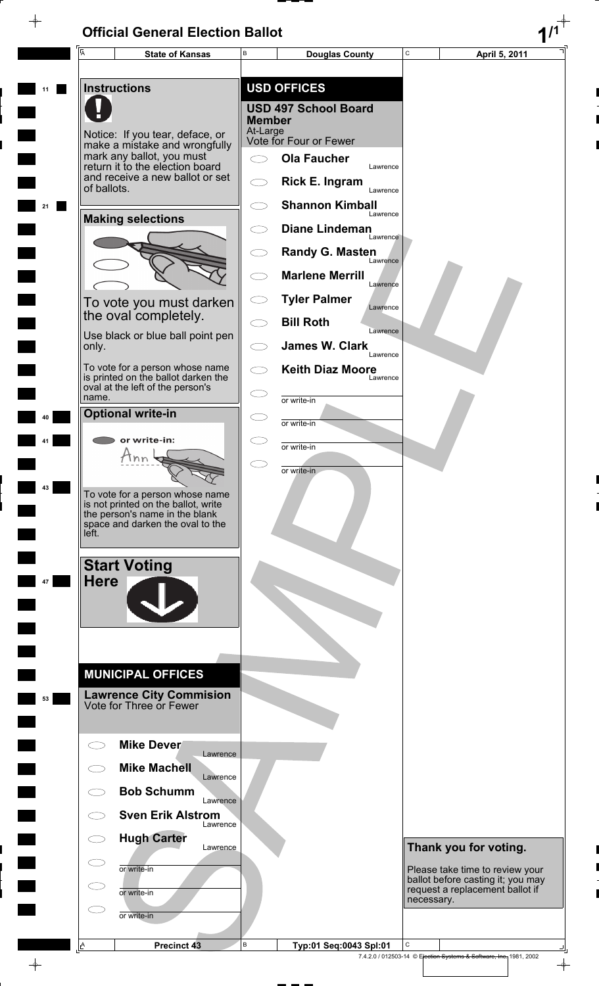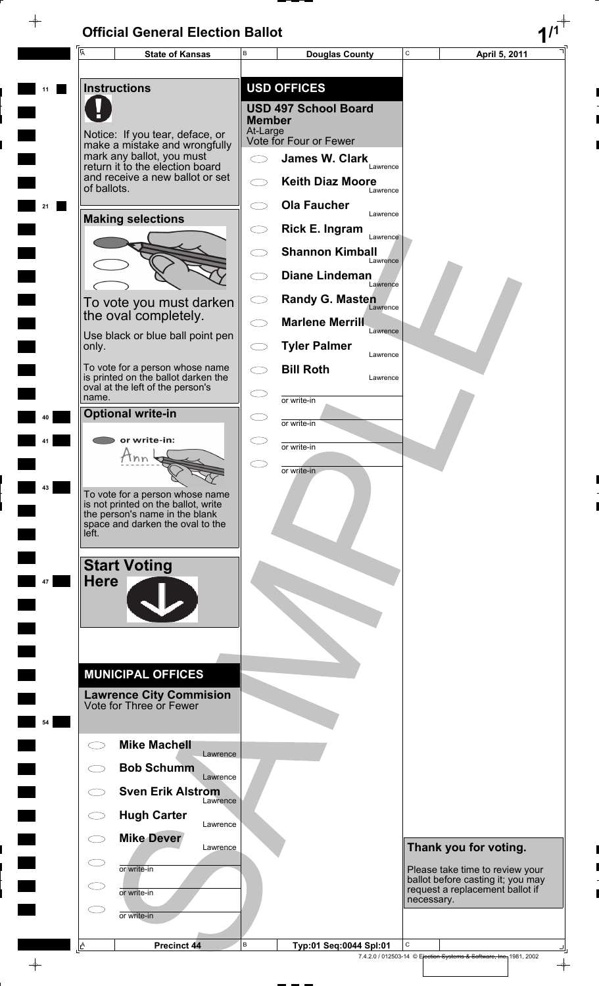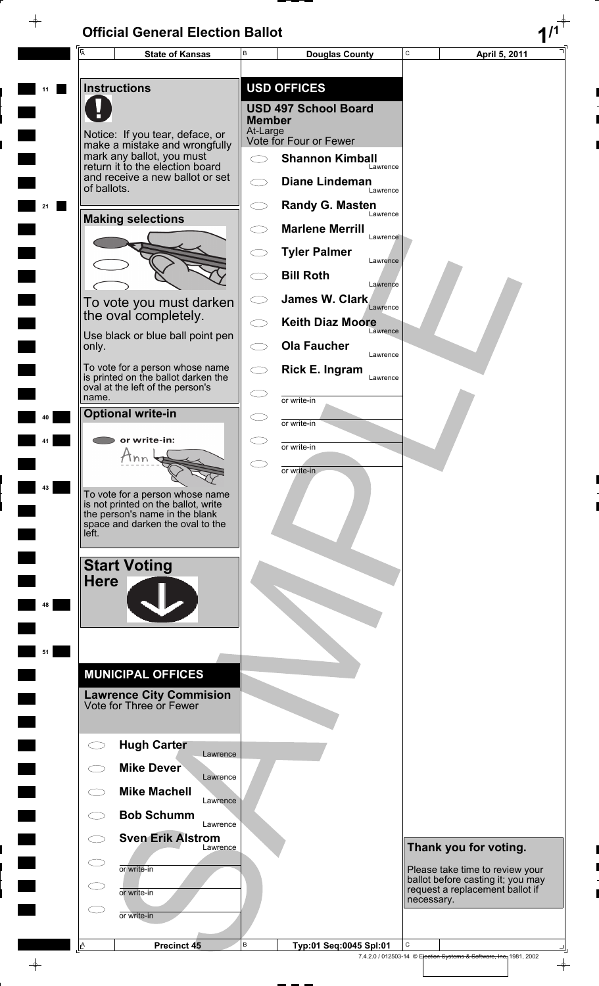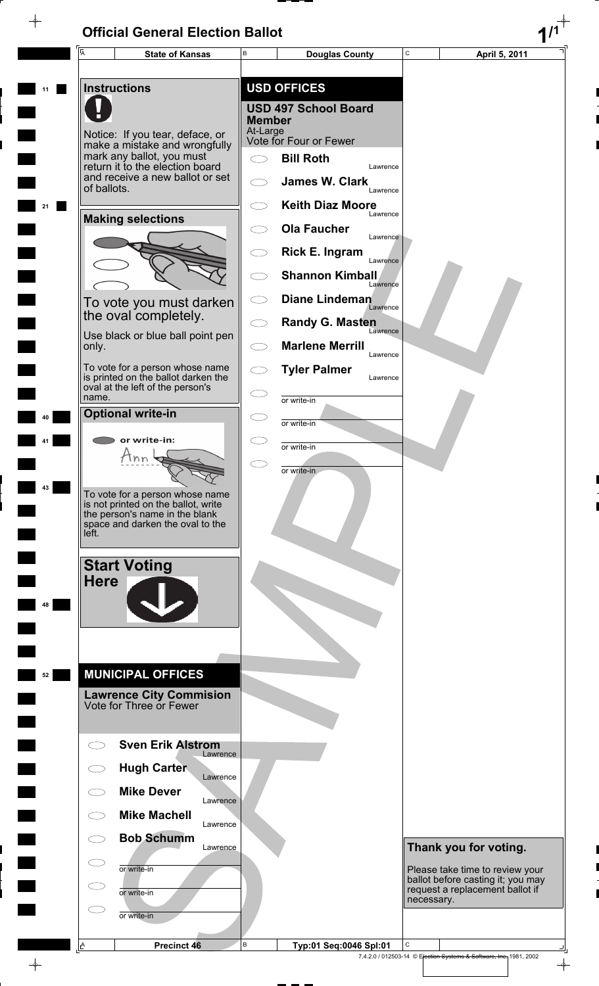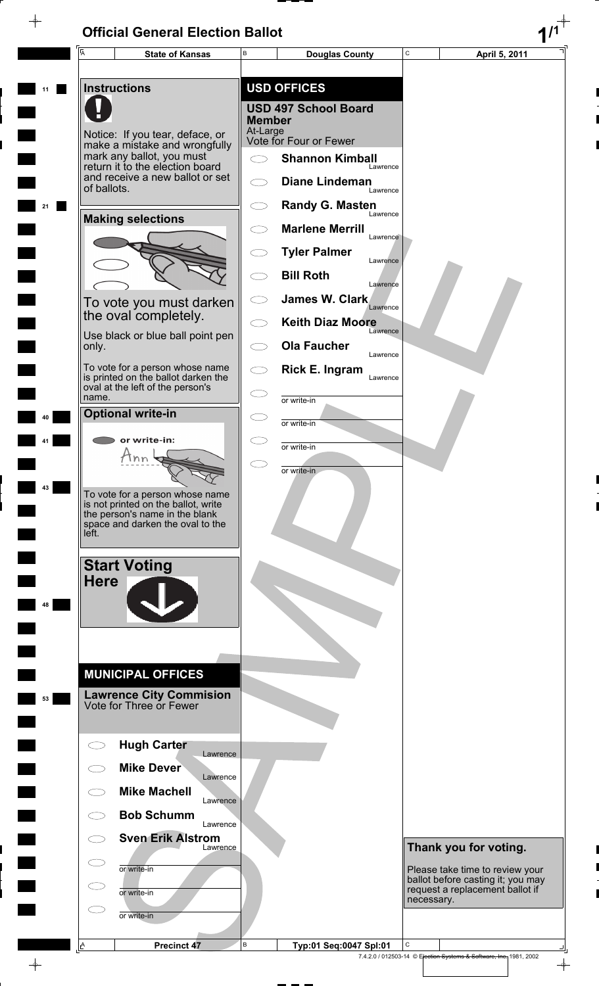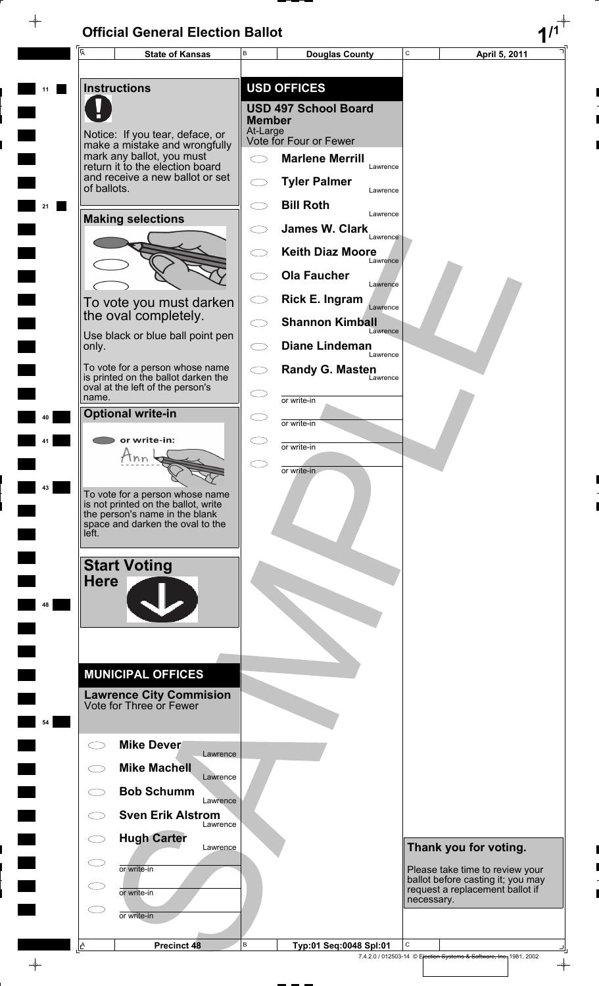$\overline{\phantom{a}}$ 

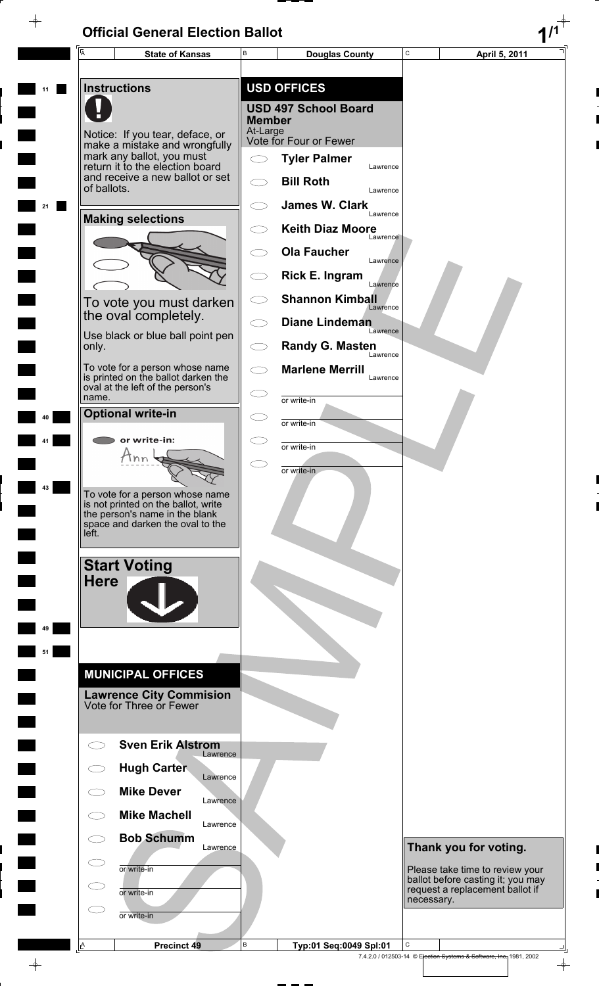$\overline{\phantom{a}}$ 

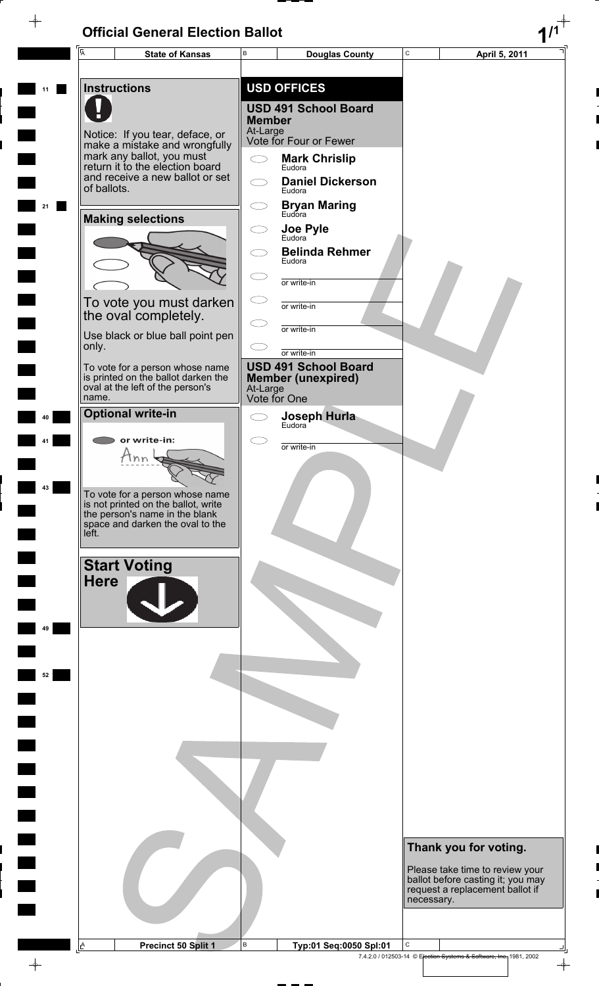$\rightarrow$ 

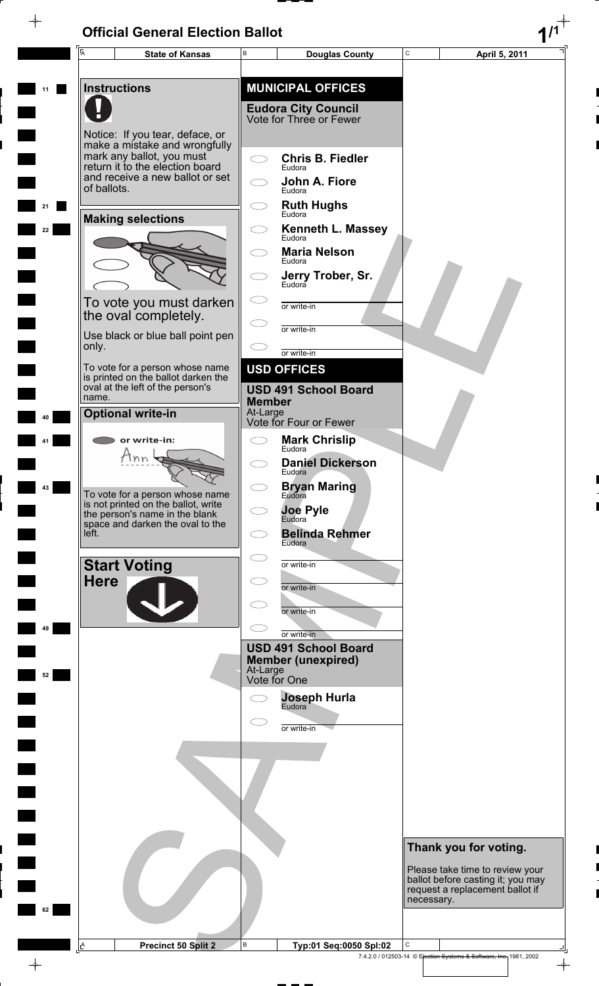E,

 $\frac{1}{\sqrt{2}}$ 

|    | A           | <b>State of Kansas</b>                                                                          | В             | <b>Douglas County</b>                                    | $\mathsf C$ | April 5, 2011                                                                   |
|----|-------------|-------------------------------------------------------------------------------------------------|---------------|----------------------------------------------------------|-------------|---------------------------------------------------------------------------------|
|    |             | <b>Instructions</b>                                                                             |               | <b>MUNICIPAL OFFICES</b>                                 |             |                                                                                 |
|    |             |                                                                                                 |               | <b>Eudora City Council</b>                               |             |                                                                                 |
|    |             |                                                                                                 |               | Vote for Three or Fewer                                  |             |                                                                                 |
|    |             | Notice: If you tear, deface, or<br>make a mistake and wrongfully                                |               |                                                          |             |                                                                                 |
|    |             | mark any ballot, you must<br>return it to the election board<br>and receive a new ballot or set | C D           | <b>Chris B. Fiedler</b><br>Eudora                        |             |                                                                                 |
|    | of ballots. |                                                                                                 |               | John A. Fiore<br>Eudora                                  |             |                                                                                 |
|    |             | <b>Making selections</b>                                                                        |               | <b>Ruth Hughs</b><br>Eudora                              |             |                                                                                 |
| 22 |             |                                                                                                 |               | <b>Kenneth L. Massey</b><br>Eudora                       |             |                                                                                 |
|    |             |                                                                                                 |               | <b>Maria Nelson</b><br>Eudora                            |             |                                                                                 |
|    |             |                                                                                                 |               | Jerry Trober, Sr.                                        |             |                                                                                 |
|    |             | To vote you must darken<br>the oval completely.                                                 |               | or write-in                                              |             |                                                                                 |
|    |             | Use black or blue ball point pen                                                                |               | or write-in                                              |             |                                                                                 |
|    | only.       |                                                                                                 |               | or write-in                                              |             |                                                                                 |
|    |             | To vote for a person whose name<br>is printed on the ballot darken the                          |               | <b>USD OFFICES</b>                                       |             |                                                                                 |
|    | name.       | oval at the left of the person's                                                                | <b>Member</b> | <b>USD 491 School Board</b>                              |             |                                                                                 |
|    |             | <b>Optional write-in</b>                                                                        | At-Large      | Vote for Four or Fewer                                   |             |                                                                                 |
|    |             | or write-in:                                                                                    |               | <b>Mark Chrislip</b><br>Eudora                           |             |                                                                                 |
|    |             | nn                                                                                              |               | <b>Daniel Dickerson</b><br>Eudora                        |             |                                                                                 |
| 43 |             | To vote for a person whose name                                                                 |               | <b>Bryan Maring</b><br>Eudora                            |             |                                                                                 |
|    |             | is not printed on the ballot, write<br>the person's name in the blank                           |               | <b>Joe Pyle</b><br>Eudora                                |             |                                                                                 |
|    | left.       | space and darken the oval to the                                                                |               | <b>Belinda Rehmer</b><br>Eudora                          |             |                                                                                 |
|    |             | <b>Start Voting</b>                                                                             |               | or write-in                                              |             |                                                                                 |
|    | <b>Here</b> |                                                                                                 |               | or write-in                                              |             |                                                                                 |
|    |             |                                                                                                 |               | or write-in                                              |             |                                                                                 |
| 49 |             |                                                                                                 |               | or write-in                                              |             |                                                                                 |
|    |             |                                                                                                 |               | <b>USD 491 School Board</b><br><b>Member (unexpired)</b> |             |                                                                                 |
| 52 |             |                                                                                                 | At-Large      | Vote for One                                             |             |                                                                                 |
|    |             |                                                                                                 |               | <b>Joseph Hurla</b><br>Eudora                            |             |                                                                                 |
|    |             |                                                                                                 |               | or write-in                                              |             |                                                                                 |
|    |             |                                                                                                 |               |                                                          |             |                                                                                 |
|    |             |                                                                                                 |               |                                                          |             |                                                                                 |
|    |             |                                                                                                 |               |                                                          |             |                                                                                 |
|    |             |                                                                                                 |               |                                                          |             |                                                                                 |
|    |             |                                                                                                 |               |                                                          |             |                                                                                 |
|    |             |                                                                                                 |               |                                                          |             | Thank you for voting.<br>Please take time to review your                        |
|    |             |                                                                                                 |               |                                                          |             | ballot before casting it; you may<br>request a replacement ballot if            |
| 62 |             |                                                                                                 |               |                                                          | necessary.  |                                                                                 |
|    |             |                                                                                                 |               |                                                          |             |                                                                                 |
|    | <u>A</u>    | <b>Precinct 50 Split 2</b>                                                                      | В             | Typ:01 Seq:0050 Spl:02                                   | С           | $\sqcup$<br>7.4.2.0 / 012503-14 © Election Systems & Software, Inc., 1981, 2002 |
|    |             |                                                                                                 |               |                                                          |             | $\rightarrow$                                                                   |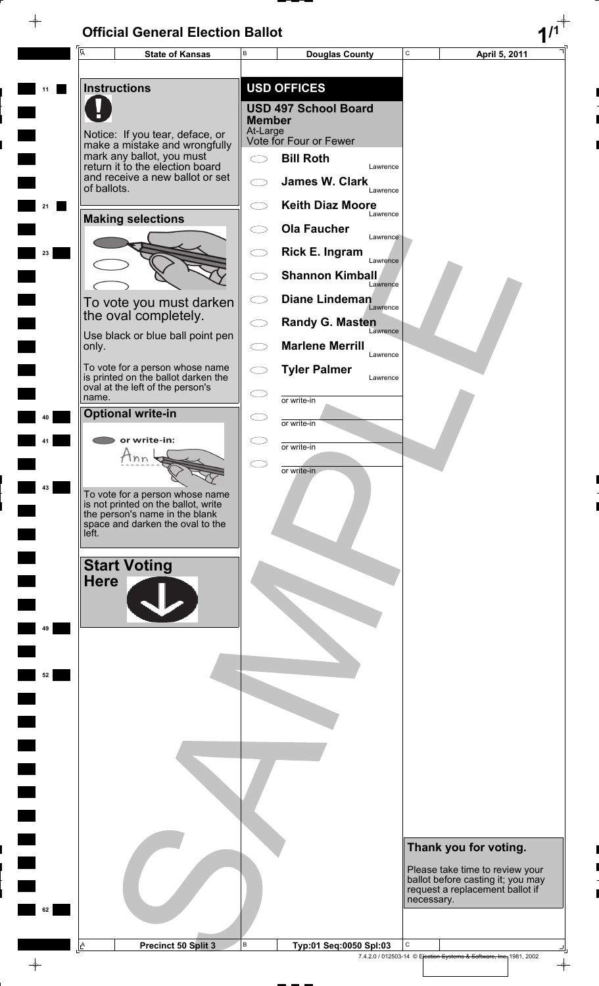$\rightarrow$ 



 $\color{red} \phi$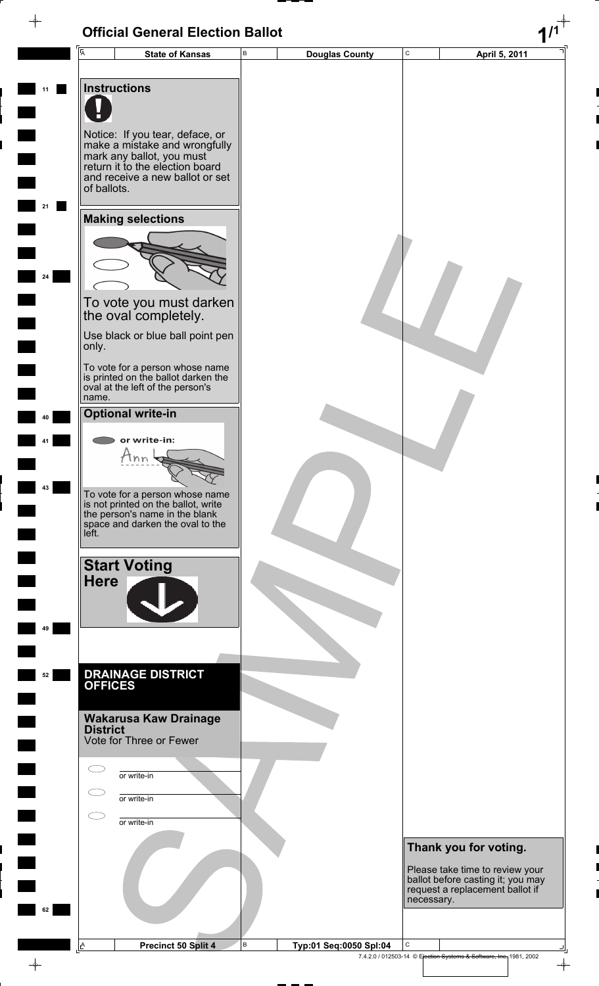| $\overline{\mathsf{A}}$  | B<br><b>State of Kansas</b>                                            | <b>Douglas County</b> | C          | April 5, 2011                                                        |
|--------------------------|------------------------------------------------------------------------|-----------------------|------------|----------------------------------------------------------------------|
|                          |                                                                        |                       |            |                                                                      |
| <b>Instructions</b>      |                                                                        |                       |            |                                                                      |
|                          |                                                                        |                       |            |                                                                      |
|                          |                                                                        |                       |            |                                                                      |
|                          | Notice: If you tear, deface, or                                        |                       |            |                                                                      |
|                          | make a mistake and wrongfully<br>mark any ballot, you must             |                       |            |                                                                      |
|                          | return it to the election board                                        |                       |            |                                                                      |
| of ballots.              | and receive a new ballot or set                                        |                       |            |                                                                      |
|                          |                                                                        |                       |            |                                                                      |
|                          | <b>Making selections</b>                                               |                       |            |                                                                      |
|                          |                                                                        |                       |            |                                                                      |
|                          |                                                                        |                       |            |                                                                      |
|                          |                                                                        |                       |            |                                                                      |
|                          |                                                                        |                       |            |                                                                      |
|                          | To vote you must darken                                                |                       |            |                                                                      |
|                          | the oval completely.                                                   |                       |            |                                                                      |
| only.                    | Use black or blue ball point pen                                       |                       |            |                                                                      |
|                          |                                                                        |                       |            |                                                                      |
|                          | To vote for a person whose name<br>is printed on the ballot darken the |                       |            |                                                                      |
| name.                    | oval at the left of the person's                                       |                       |            |                                                                      |
| <b>Optional write-in</b> |                                                                        |                       |            |                                                                      |
|                          |                                                                        |                       |            |                                                                      |
|                          | or write-in:                                                           |                       |            |                                                                      |
|                          | Ann                                                                    |                       |            |                                                                      |
|                          |                                                                        |                       |            |                                                                      |
|                          | To vote for a person whose name<br>is not printed on the ballot, write |                       |            |                                                                      |
|                          | the person's name in the blank<br>space and darken the oval to the     |                       |            |                                                                      |
| left.                    |                                                                        |                       |            |                                                                      |
|                          |                                                                        |                       |            |                                                                      |
| <b>Start Voting</b>      |                                                                        |                       |            |                                                                      |
| <b>Here</b>              |                                                                        |                       |            |                                                                      |
|                          |                                                                        |                       |            |                                                                      |
|                          |                                                                        |                       |            |                                                                      |
|                          |                                                                        |                       |            |                                                                      |
|                          |                                                                        |                       |            |                                                                      |
| <b>OFFICES</b>           | <b>DRAINAGE DISTRICT</b>                                               |                       |            |                                                                      |
|                          |                                                                        |                       |            |                                                                      |
|                          | <b>Wakarusa Kaw Drainage</b>                                           |                       |            |                                                                      |
| <b>District</b>          |                                                                        |                       |            |                                                                      |
|                          | Vote for Three or Fewer                                                |                       |            |                                                                      |
|                          | or write-in                                                            |                       |            |                                                                      |
|                          |                                                                        |                       |            |                                                                      |
|                          | or write-in                                                            |                       |            |                                                                      |
|                          | or write-in                                                            |                       |            |                                                                      |
|                          |                                                                        |                       |            |                                                                      |
|                          |                                                                        |                       |            | Thank you for voting.                                                |
|                          |                                                                        |                       |            | Please take time to review your<br>ballot before casting it; you may |
|                          |                                                                        |                       |            | request a replacement ballot if                                      |
|                          |                                                                        |                       | necessary. |                                                                      |
|                          |                                                                        |                       |            |                                                                      |
|                          |                                                                        |                       |            |                                                                      |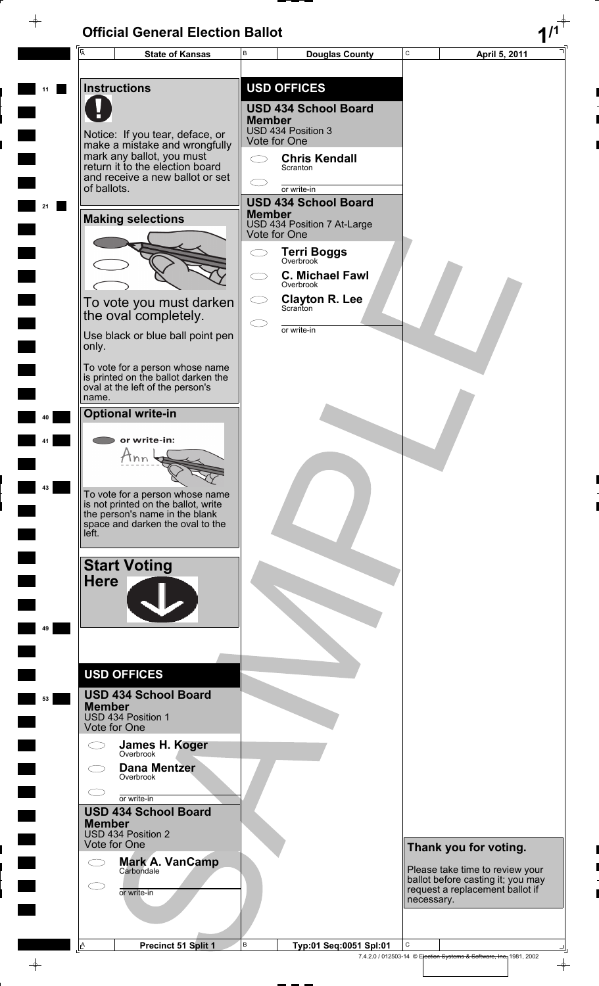$\rightarrow$ 

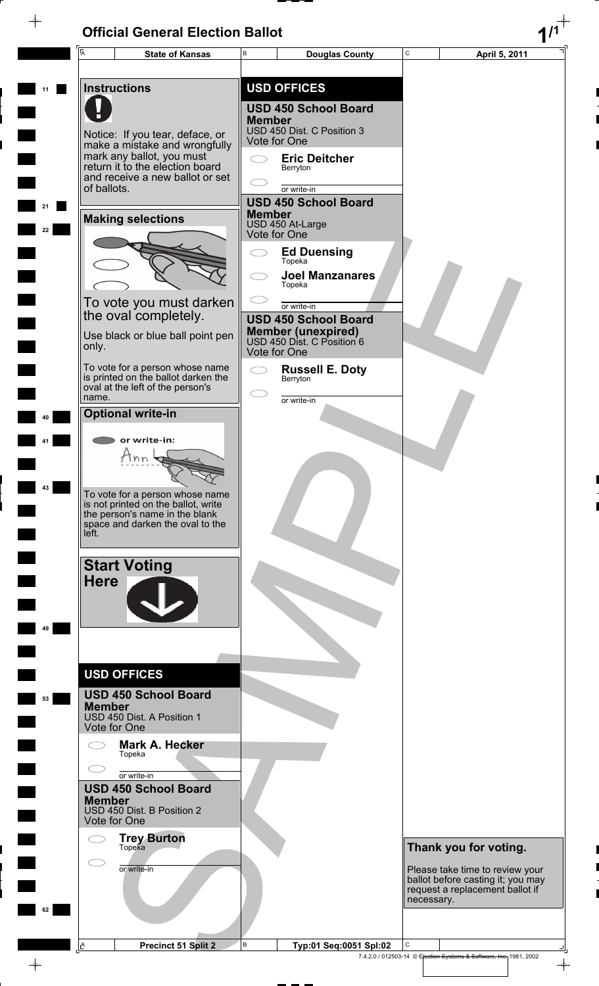$\rightarrow$ 

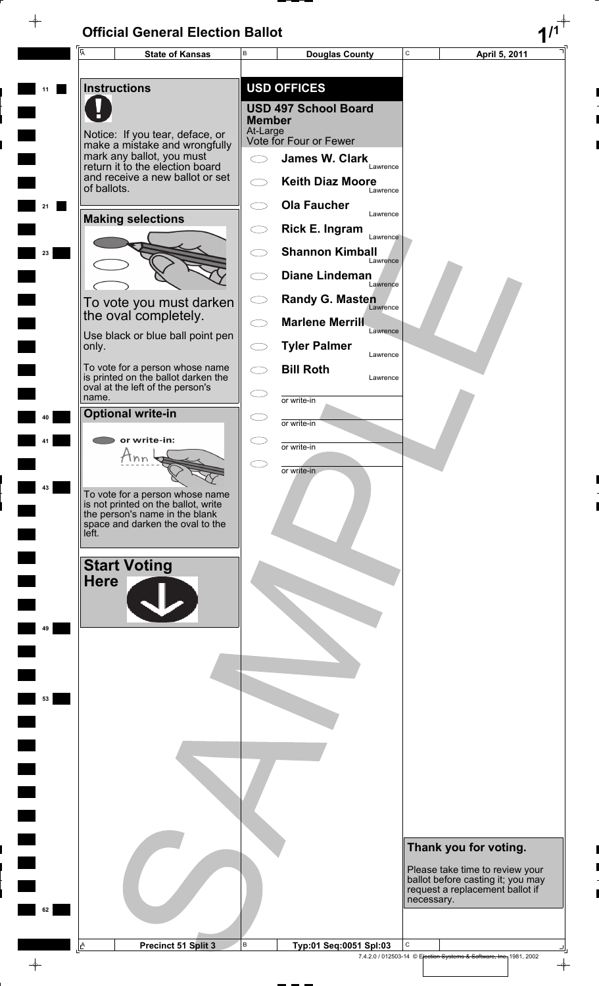$\rightarrow$ 



 $\color{red}\phi$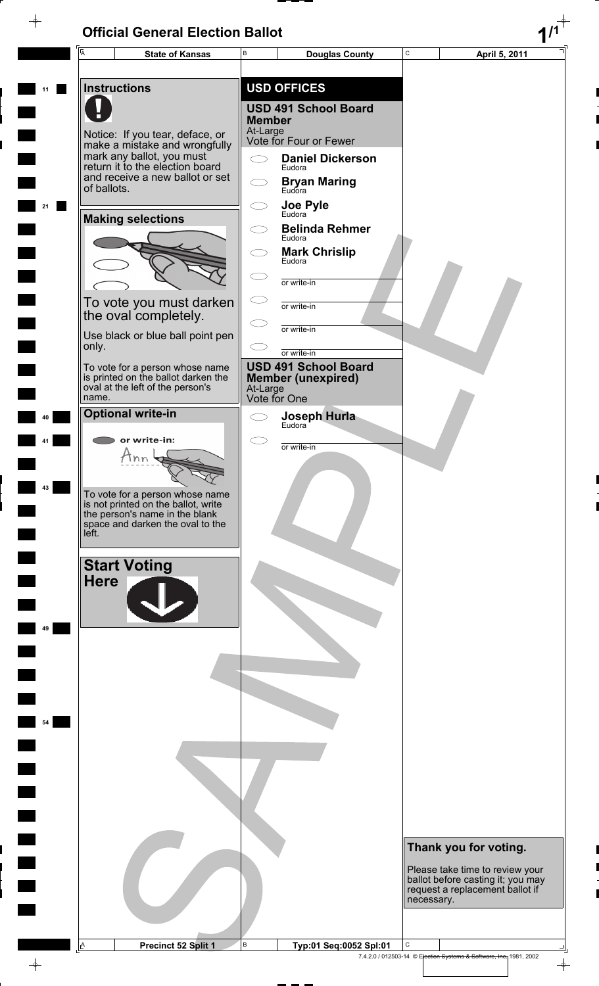$\rightarrow$ 

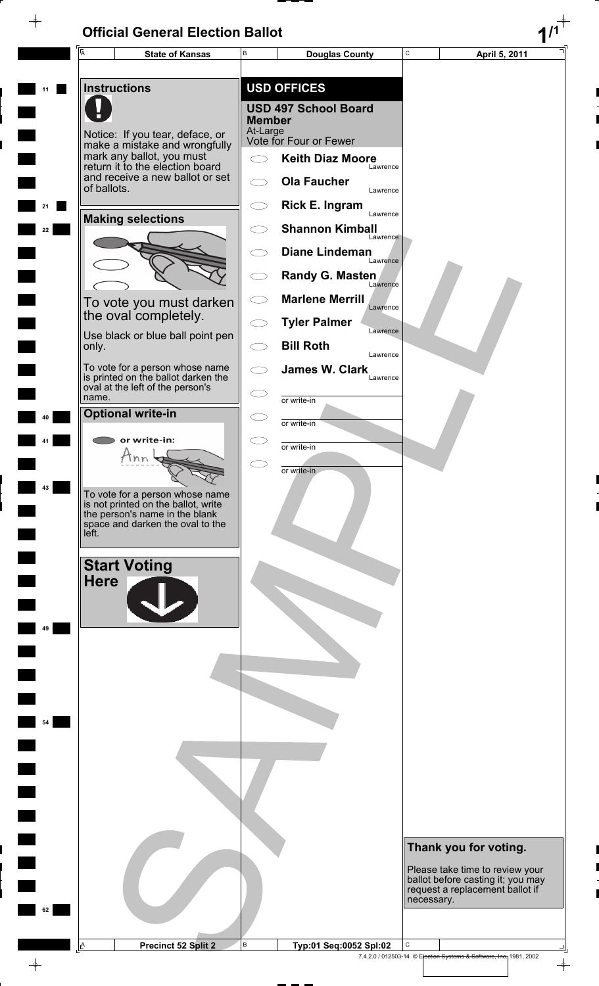$\rightarrow$ 



 $\color{red}\phi$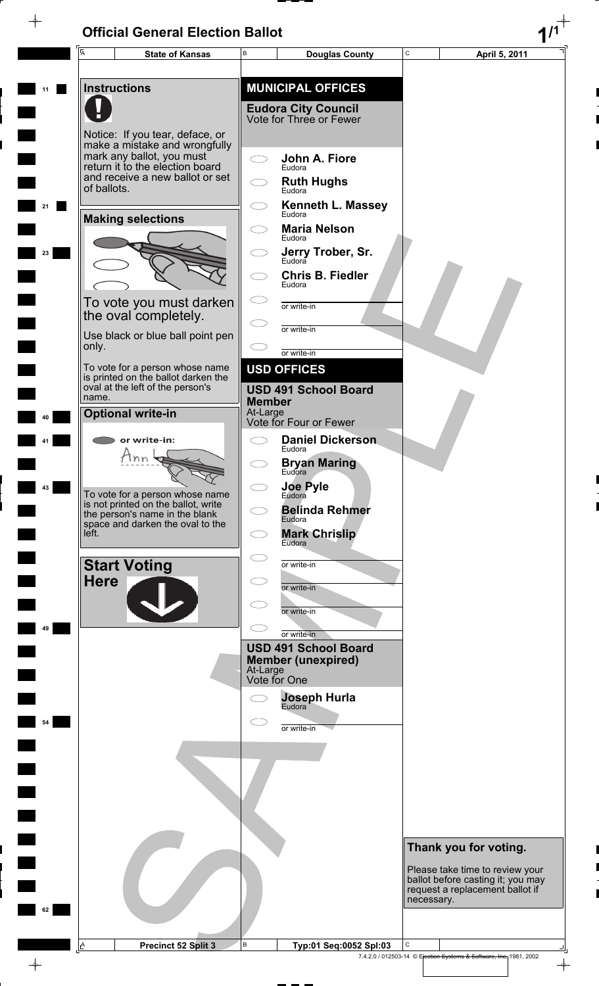Г

 $\frac{1}{\sqrt{2}}$ 

|    | $\overline{\mathsf{A}}$                                                                                                                                             | <b>State of Kansas</b>                                                                                     | В                       | <b>Douglas County</b>                                                             | C          | April 5, 2011                                                                                           |
|----|---------------------------------------------------------------------------------------------------------------------------------------------------------------------|------------------------------------------------------------------------------------------------------------|-------------------------|-----------------------------------------------------------------------------------|------------|---------------------------------------------------------------------------------------------------------|
|    |                                                                                                                                                                     | <b>Instructions</b>                                                                                        |                         | <b>MUNICIPAL OFFICES</b><br><b>Eudora City Council</b><br>Vote for Three or Fewer |            |                                                                                                         |
|    | Notice: If you tear, deface, or<br>make a mistake and wrongfully<br>mark any ballot, you must<br>return it to the election board<br>and receive a new ballot or set |                                                                                                            | John A. Fiore<br>Eudora |                                                                                   |            |                                                                                                         |
|    | of ballots.                                                                                                                                                         |                                                                                                            |                         | <b>Ruth Hughs</b><br>Eudora<br><b>Kenneth L. Massey</b>                           |            |                                                                                                         |
|    |                                                                                                                                                                     | <b>Making selections</b>                                                                                   |                         | Eudora<br><b>Maria Nelson</b><br>Fudora                                           |            |                                                                                                         |
| 23 |                                                                                                                                                                     |                                                                                                            |                         | Jerry Trober, Sr.                                                                 |            |                                                                                                         |
|    |                                                                                                                                                                     |                                                                                                            |                         | <b>Chris B. Fiedler</b><br>Eudora                                                 |            |                                                                                                         |
|    |                                                                                                                                                                     | To vote you must darken<br>the oval completely.                                                            |                         | or write-in                                                                       |            |                                                                                                         |
|    | only.                                                                                                                                                               | Use black or blue ball point pen                                                                           |                         | or write-in<br>or write-in                                                        |            |                                                                                                         |
|    | name.                                                                                                                                                               | To vote for a person whose name<br>is printed on the ballot darken the<br>oval at the left of the person's | <b>Member</b>           | <b>USD OFFICES</b><br><b>USD 491 School Board</b>                                 |            |                                                                                                         |
|    |                                                                                                                                                                     | <b>Optional write-in</b>                                                                                   | At-Large                | Vote for Four or Fewer                                                            |            |                                                                                                         |
|    |                                                                                                                                                                     | or write-in:<br>nn                                                                                         |                         | <b>Daniel Dickerson</b><br>Eudora                                                 |            |                                                                                                         |
| 43 |                                                                                                                                                                     |                                                                                                            |                         | <b>Bryan Maring</b><br>Eudora<br><b>Joe Pyle</b>                                  |            |                                                                                                         |
|    |                                                                                                                                                                     | To vote for a person whose name<br>is not printed on the ballot, write<br>the person's name in the blank   |                         | Eudora<br><b>Belinda Rehmer</b><br>Eudora                                         |            |                                                                                                         |
|    | left.                                                                                                                                                               | space and darken the oval to the                                                                           |                         | <b>Mark Chrislip</b><br>Eudora                                                    |            |                                                                                                         |
|    |                                                                                                                                                                     | <b>Start Voting</b>                                                                                        |                         | or write-in                                                                       |            |                                                                                                         |
|    | <b>Here</b>                                                                                                                                                         |                                                                                                            |                         | or write-in                                                                       |            |                                                                                                         |
| 49 |                                                                                                                                                                     |                                                                                                            |                         | or write-in<br>or write-in                                                        |            |                                                                                                         |
|    |                                                                                                                                                                     |                                                                                                            | At-Large                | <b>USD 491 School Board</b><br><b>Member (unexpired)</b><br>Vote for One          |            |                                                                                                         |
|    |                                                                                                                                                                     |                                                                                                            |                         | <b>Joseph Hurla</b><br>Eudora                                                     |            |                                                                                                         |
| 54 |                                                                                                                                                                     |                                                                                                            |                         | or write-in                                                                       |            |                                                                                                         |
|    |                                                                                                                                                                     |                                                                                                            |                         |                                                                                   |            |                                                                                                         |
|    |                                                                                                                                                                     |                                                                                                            |                         |                                                                                   |            |                                                                                                         |
|    |                                                                                                                                                                     |                                                                                                            |                         |                                                                                   |            | Thank you for voting.                                                                                   |
| 62 |                                                                                                                                                                     |                                                                                                            |                         |                                                                                   | necessary. | Please take time to review your<br>ballot before casting it; you may<br>request a replacement ballot if |
|    | A                                                                                                                                                                   | Precinct 52 Split 3                                                                                        | В                       | Typ:01 Seq:0052 Spl:03                                                            | С          | 7.4.2.0 / 012503-14 © Election Systems & Software, Inc., 1981, 2002<br>$\rightarrow$                    |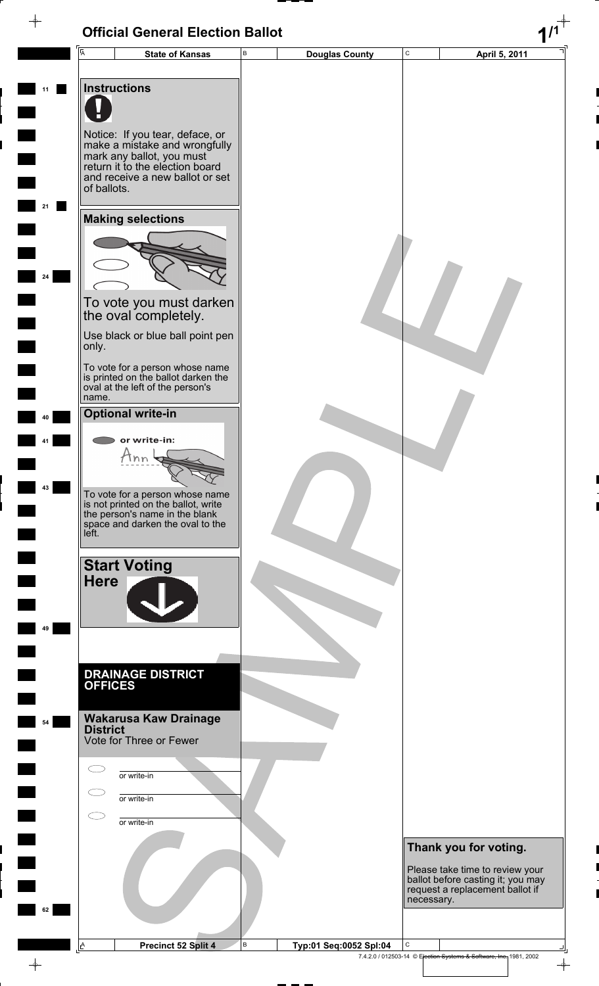| $\overline{\mathsf{A}}$   | B<br><b>State of Kansas</b>                                            | <b>Douglas County</b>  | C          | April 5, 2011                                                        |
|---------------------------|------------------------------------------------------------------------|------------------------|------------|----------------------------------------------------------------------|
|                           |                                                                        |                        |            |                                                                      |
| <b>Instructions</b>       |                                                                        |                        |            |                                                                      |
|                           |                                                                        |                        |            |                                                                      |
|                           |                                                                        |                        |            |                                                                      |
|                           | Notice: If you tear, deface, or<br>make a mistake and wrongfully       |                        |            |                                                                      |
|                           | mark any ballot, you must                                              |                        |            |                                                                      |
|                           | return it to the election board<br>and receive a new ballot or set     |                        |            |                                                                      |
| of ballots.               |                                                                        |                        |            |                                                                      |
|                           |                                                                        |                        |            |                                                                      |
|                           | <b>Making selections</b>                                               |                        |            |                                                                      |
|                           |                                                                        |                        |            |                                                                      |
|                           |                                                                        |                        |            |                                                                      |
|                           |                                                                        |                        |            |                                                                      |
|                           | To vote you must darken                                                |                        |            |                                                                      |
|                           | the oval completely.                                                   |                        |            |                                                                      |
|                           | Use black or blue ball point pen                                       |                        |            |                                                                      |
| only.                     |                                                                        |                        |            |                                                                      |
|                           | To vote for a person whose name<br>is printed on the ballot darken the |                        |            |                                                                      |
| name.                     | oval at the left of the person's                                       |                        |            |                                                                      |
|                           | <b>Optional write-in</b>                                               |                        |            |                                                                      |
|                           |                                                                        |                        |            |                                                                      |
|                           | or write-in:<br>Ann                                                    |                        |            |                                                                      |
|                           |                                                                        |                        |            |                                                                      |
|                           |                                                                        |                        |            |                                                                      |
|                           | To vote for a person whose name<br>is not printed on the ballot, write |                        |            |                                                                      |
|                           | the person's name in the blank<br>space and darken the oval to the     |                        |            |                                                                      |
| left.                     |                                                                        |                        |            |                                                                      |
|                           | <b>Start Voting</b>                                                    |                        |            |                                                                      |
| <b>Here</b>               |                                                                        |                        |            |                                                                      |
|                           |                                                                        |                        |            |                                                                      |
|                           |                                                                        |                        |            |                                                                      |
|                           |                                                                        |                        |            |                                                                      |
|                           |                                                                        |                        |            |                                                                      |
|                           | <b>DRAINAGE DISTRICT</b>                                               |                        |            |                                                                      |
| <b>OFFICES</b>            |                                                                        |                        |            |                                                                      |
|                           | <b>Wakarusa Kaw Drainage</b>                                           |                        |            |                                                                      |
| <b>District</b>           |                                                                        |                        |            |                                                                      |
|                           | Vote for Three or Fewer                                                |                        |            |                                                                      |
|                           | or write-in                                                            |                        |            |                                                                      |
|                           |                                                                        |                        |            |                                                                      |
|                           | or write-in                                                            |                        |            |                                                                      |
|                           | or write-in                                                            |                        |            |                                                                      |
|                           |                                                                        |                        |            | Thank you for voting.                                                |
|                           |                                                                        |                        |            |                                                                      |
|                           |                                                                        |                        |            | Please take time to review your<br>ballot before casting it; you may |
|                           |                                                                        |                        | necessary. | request a replacement ballot if                                      |
|                           |                                                                        |                        |            |                                                                      |
|                           |                                                                        |                        |            |                                                                      |
| $\mathbb{L}^{\mathsf{A}}$ | $\,$ B<br>Precinct 52 Split 4                                          | Typ:01 Seq:0052 Spl:04 | С          |                                                                      |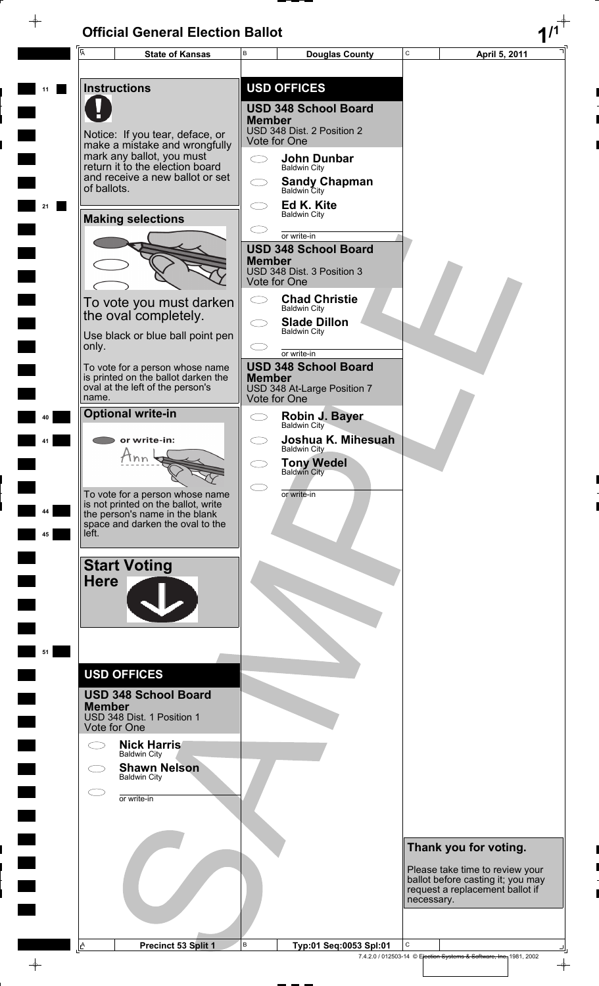$\rightarrow$ 

 $\rightarrow$ 

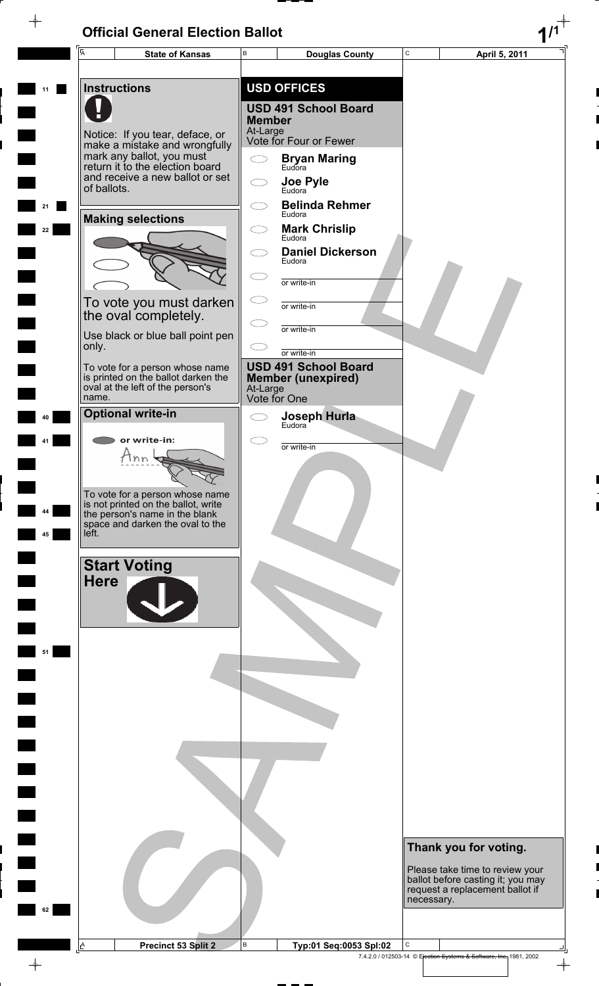$\overline{\phantom{a}}$ 

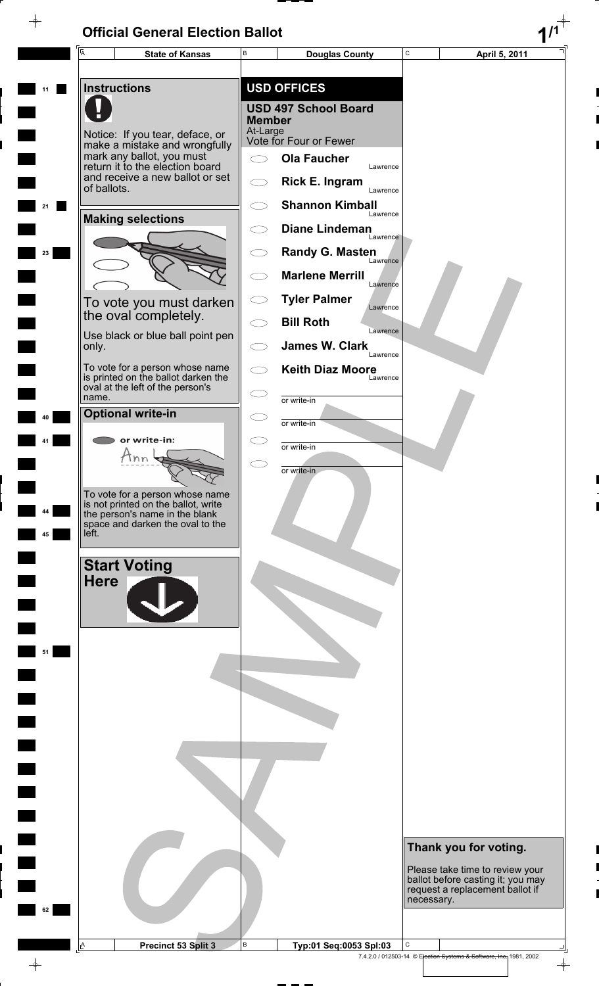$\rightarrow$ 



 $\color{red}\phi$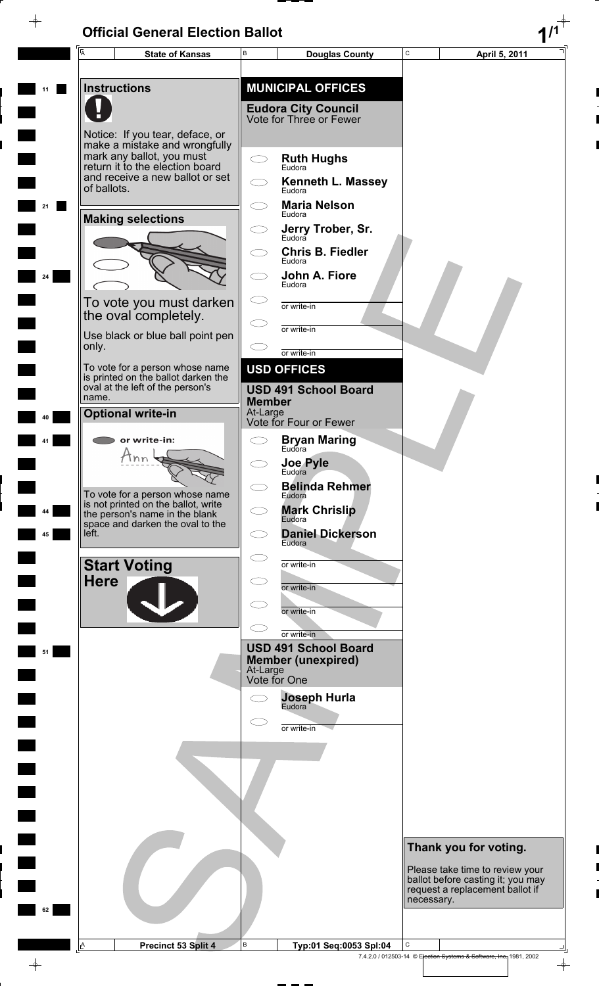$\rightarrow$ 

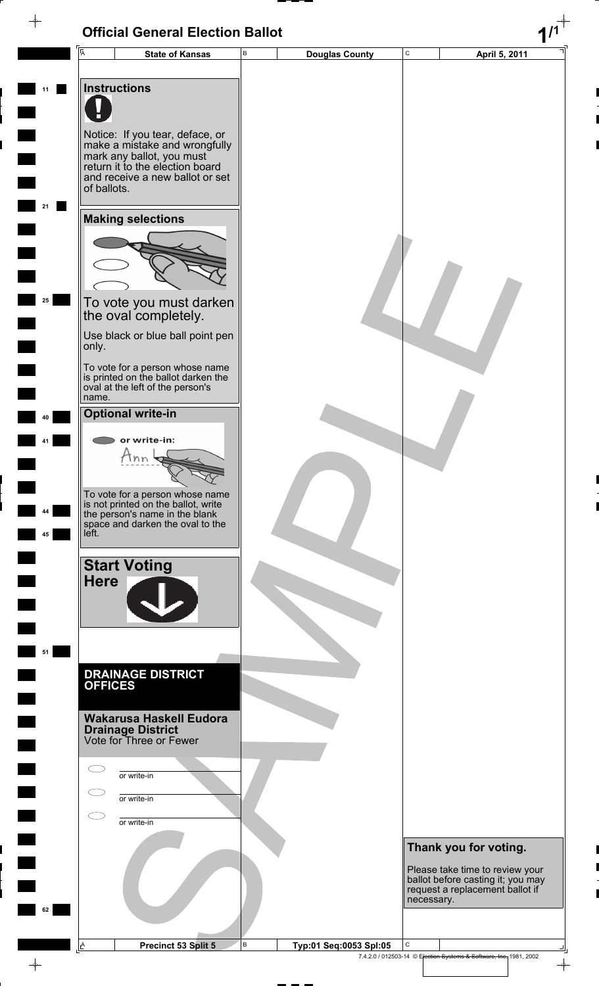|          | Ā                                                                                                                                                                                  |                        | В |                        | C           |                                                                                                                                  |
|----------|------------------------------------------------------------------------------------------------------------------------------------------------------------------------------------|------------------------|---|------------------------|-------------|----------------------------------------------------------------------------------------------------------------------------------|
|          |                                                                                                                                                                                    | <b>State of Kansas</b> |   | <b>Douglas County</b>  |             | April 5, 2011                                                                                                                    |
| 11       | <b>Instructions</b>                                                                                                                                                                |                        |   |                        |             |                                                                                                                                  |
|          | Notice: If you tear, deface, or<br>make a mistake and wrongfully<br>mark any ballot, you must<br>return it to the election board<br>and receive a new ballot or set<br>of ballots. |                        |   |                        |             |                                                                                                                                  |
| 21       | <b>Making selections</b>                                                                                                                                                           |                        |   |                        |             |                                                                                                                                  |
|          |                                                                                                                                                                                    |                        |   |                        |             |                                                                                                                                  |
| 25       | To vote you must darken<br>the oval completely.                                                                                                                                    |                        |   |                        |             |                                                                                                                                  |
|          | Use black or blue ball point pen<br>only.                                                                                                                                          |                        |   |                        |             |                                                                                                                                  |
|          | To vote for a person whose name<br>is printed on the ballot darken the<br>oval at the left of the person's<br>name.                                                                |                        |   |                        |             |                                                                                                                                  |
| 40       | <b>Optional write-in</b>                                                                                                                                                           |                        |   |                        |             |                                                                                                                                  |
| 41       | or write-in:<br>Tnn                                                                                                                                                                |                        |   |                        |             |                                                                                                                                  |
| 44<br>45 | To vote for a person whose name<br>is not printed on the ballot, write<br>the person's name in the blank<br>space and darken the oval to the<br>left.                              |                        |   |                        |             |                                                                                                                                  |
|          | <b>Start Voting</b><br><b>Here</b>                                                                                                                                                 |                        |   |                        |             |                                                                                                                                  |
| 51       |                                                                                                                                                                                    |                        |   |                        |             |                                                                                                                                  |
|          | <b>DRAINAGE DISTRICT</b><br><b>OFFICES</b>                                                                                                                                         |                        |   |                        |             |                                                                                                                                  |
|          | <b>Wakarusa Haskell Eudora</b><br><b>Drainage District</b><br>Vote for Three or Fewer                                                                                              |                        |   |                        |             |                                                                                                                                  |
|          | or write-in                                                                                                                                                                        |                        |   |                        |             |                                                                                                                                  |
|          | or write-in                                                                                                                                                                        |                        |   |                        |             |                                                                                                                                  |
|          | or write-in                                                                                                                                                                        |                        |   |                        |             |                                                                                                                                  |
|          |                                                                                                                                                                                    |                        |   |                        |             | Thank you for voting.<br>Please take time to review your<br>ballot before casting it; you may<br>request a replacement ballot if |
| 62       |                                                                                                                                                                                    |                        |   |                        | necessary.  |                                                                                                                                  |
|          | A<br>Precinct 53 Split 5                                                                                                                                                           |                        | B | Typ:01 Seq:0053 Spl:05 | $\mathbf C$ |                                                                                                                                  |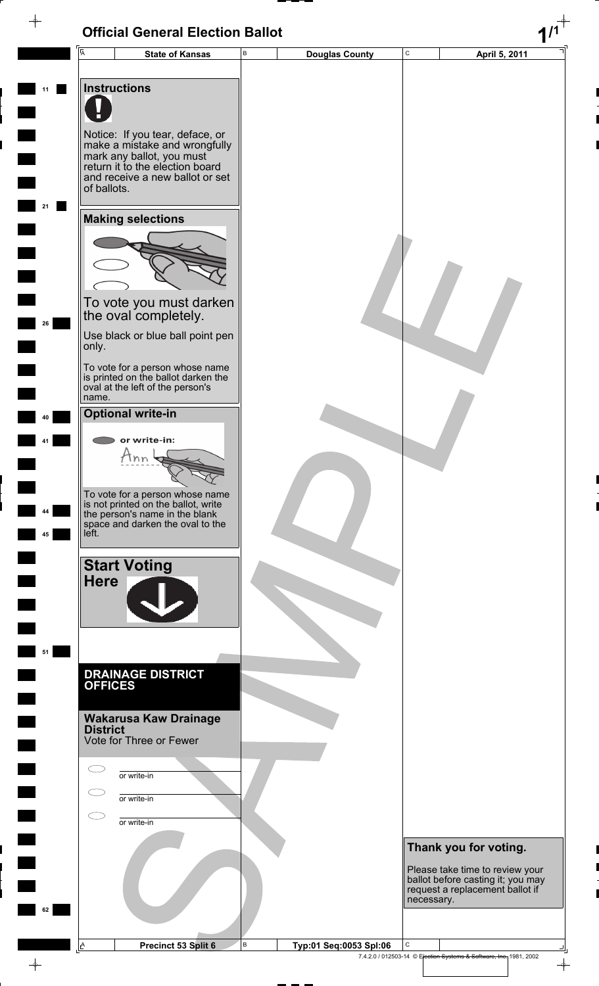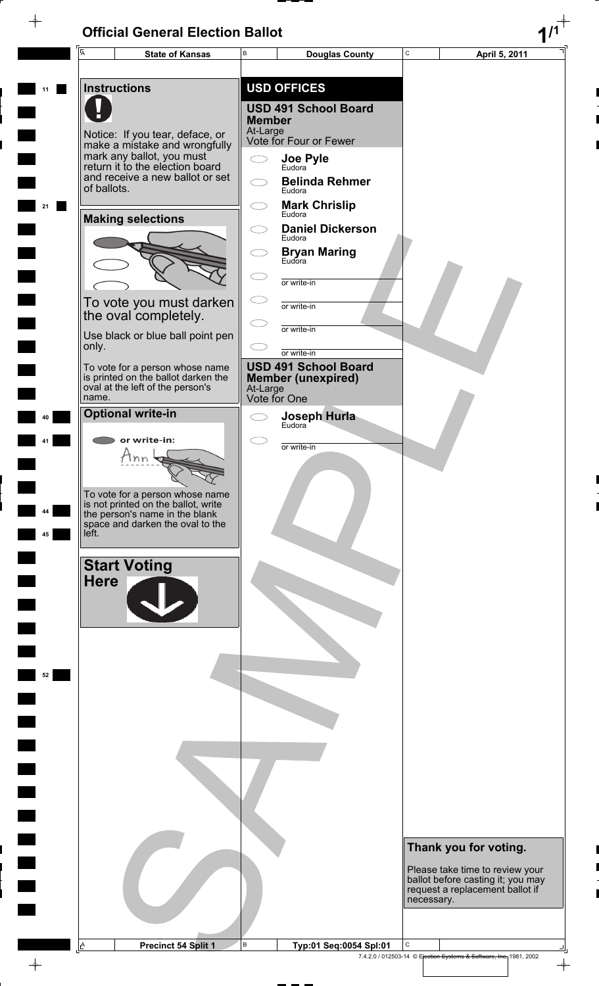$\rightarrow$ 

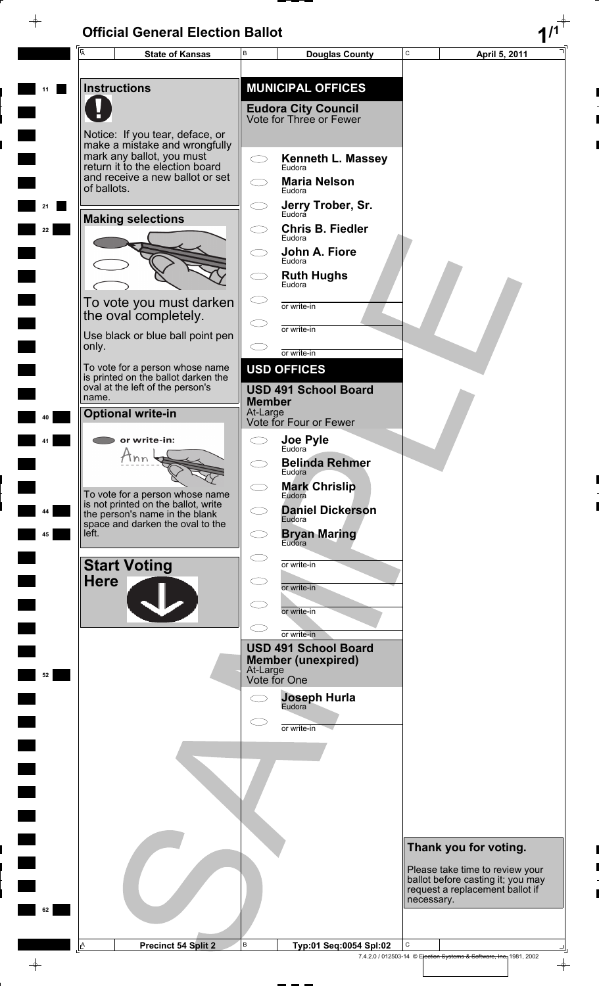E,

 $\frac{1}{\sqrt{2}}$ 

|    | ĪĀ                                                                                                                                                                                 | <b>State of Kansas</b>                                                                                                                       | B                         | <b>Douglas County</b>                                 | C          | April 5, 2011                                                                                           |
|----|------------------------------------------------------------------------------------------------------------------------------------------------------------------------------------|----------------------------------------------------------------------------------------------------------------------------------------------|---------------------------|-------------------------------------------------------|------------|---------------------------------------------------------------------------------------------------------|
|    |                                                                                                                                                                                    | <b>Instructions</b>                                                                                                                          |                           | <b>MUNICIPAL OFFICES</b>                              |            |                                                                                                         |
|    |                                                                                                                                                                                    |                                                                                                                                              |                           | <b>Eudora City Council</b><br>Vote for Three or Fewer |            |                                                                                                         |
|    | Notice: If you tear, deface, or<br>make a mistake and wrongfully<br>mark any ballot, you must<br>return it to the election board<br>and receive a new ballot or set<br>of ballots. |                                                                                                                                              |                           |                                                       |            |                                                                                                         |
|    |                                                                                                                                                                                    |                                                                                                                                              |                           | <b>Kenneth L. Massey</b><br>Eudora                    |            |                                                                                                         |
|    |                                                                                                                                                                                    |                                                                                                                                              |                           | <b>Maria Nelson</b><br>Eudora                         |            |                                                                                                         |
|    |                                                                                                                                                                                    |                                                                                                                                              |                           | Jerry Trober, Sr.<br>Eudora                           |            |                                                                                                         |
| 22 |                                                                                                                                                                                    | <b>Making selections</b>                                                                                                                     |                           | <b>Chris B. Fiedler</b><br>Eudora                     |            |                                                                                                         |
|    |                                                                                                                                                                                    |                                                                                                                                              |                           | John A. Fiore<br>Eudora                               |            |                                                                                                         |
|    |                                                                                                                                                                                    |                                                                                                                                              |                           | <b>Ruth Hughs</b><br>Eudora                           |            |                                                                                                         |
|    |                                                                                                                                                                                    | To vote you must darken<br>the oval completely.                                                                                              |                           | or write-in                                           |            |                                                                                                         |
|    |                                                                                                                                                                                    | Use black or blue ball point pen                                                                                                             |                           | or write-in                                           |            |                                                                                                         |
|    | only.                                                                                                                                                                              | To vote for a person whose name                                                                                                              |                           | or write-in<br><b>USD OFFICES</b>                     |            |                                                                                                         |
|    | name.                                                                                                                                                                              | is printed on the ballot darken the<br>oval at the left of the person's                                                                      |                           | <b>USD 491 School Board</b>                           |            |                                                                                                         |
|    |                                                                                                                                                                                    | <b>Optional write-in</b>                                                                                                                     | <b>Member</b><br>At-Large | Vote for Four or Fewer                                |            |                                                                                                         |
|    |                                                                                                                                                                                    | or write-in:                                                                                                                                 |                           | Joe Pyle<br>Eudora                                    |            |                                                                                                         |
|    |                                                                                                                                                                                    | nn                                                                                                                                           |                           | <b>Belinda Rehmer</b><br>Eudora                       |            |                                                                                                         |
|    |                                                                                                                                                                                    | To vote for a person whose name<br>is not printed on the ballot, write<br>the person's name in the blank<br>space and darken the oval to the |                           | <b>Mark Chrislip</b><br>Eudora                        |            |                                                                                                         |
| 44 |                                                                                                                                                                                    |                                                                                                                                              |                           | <b>Daniel Dickerson</b><br>Eudora                     |            |                                                                                                         |
| 45 | left.                                                                                                                                                                              |                                                                                                                                              |                           | <b>Bryan Maring</b><br>Eudora                         |            |                                                                                                         |
|    |                                                                                                                                                                                    | <b>Start Voting</b>                                                                                                                          |                           | or write-in                                           |            |                                                                                                         |
|    | <b>Here</b>                                                                                                                                                                        |                                                                                                                                              |                           | or write-in                                           |            |                                                                                                         |
|    |                                                                                                                                                                                    |                                                                                                                                              |                           | or write-in                                           |            |                                                                                                         |
|    |                                                                                                                                                                                    |                                                                                                                                              |                           | or write-in<br><b>USD 491 School Board</b>            |            |                                                                                                         |
| 52 |                                                                                                                                                                                    |                                                                                                                                              | At-Large<br>Vote for One  | <b>Member (unexpired)</b>                             |            |                                                                                                         |
|    |                                                                                                                                                                                    |                                                                                                                                              |                           | <b>Joseph Hurla</b><br>Eudora                         |            |                                                                                                         |
|    |                                                                                                                                                                                    |                                                                                                                                              |                           | or write-in                                           |            |                                                                                                         |
|    |                                                                                                                                                                                    |                                                                                                                                              |                           |                                                       |            |                                                                                                         |
|    |                                                                                                                                                                                    |                                                                                                                                              |                           |                                                       |            |                                                                                                         |
|    |                                                                                                                                                                                    |                                                                                                                                              |                           |                                                       |            |                                                                                                         |
|    |                                                                                                                                                                                    |                                                                                                                                              |                           |                                                       |            |                                                                                                         |
|    |                                                                                                                                                                                    |                                                                                                                                              |                           |                                                       |            | Thank you for voting.                                                                                   |
|    |                                                                                                                                                                                    |                                                                                                                                              |                           |                                                       |            | Please take time to review your<br>ballot before casting it; you may<br>request a replacement ballot if |
| 62 |                                                                                                                                                                                    |                                                                                                                                              |                           |                                                       | necessary. |                                                                                                         |
|    |                                                                                                                                                                                    |                                                                                                                                              |                           |                                                       |            |                                                                                                         |
|    | ≜ا                                                                                                                                                                                 | <b>Precinct 54 Split 2</b>                                                                                                                   | В                         | Typ:01 Seq:0054 Spl:02                                | С          | 7.4.2.0 / 012503-14 © Election Systems & Software, Inc., 1981, 2002<br>$\rightarrow$                    |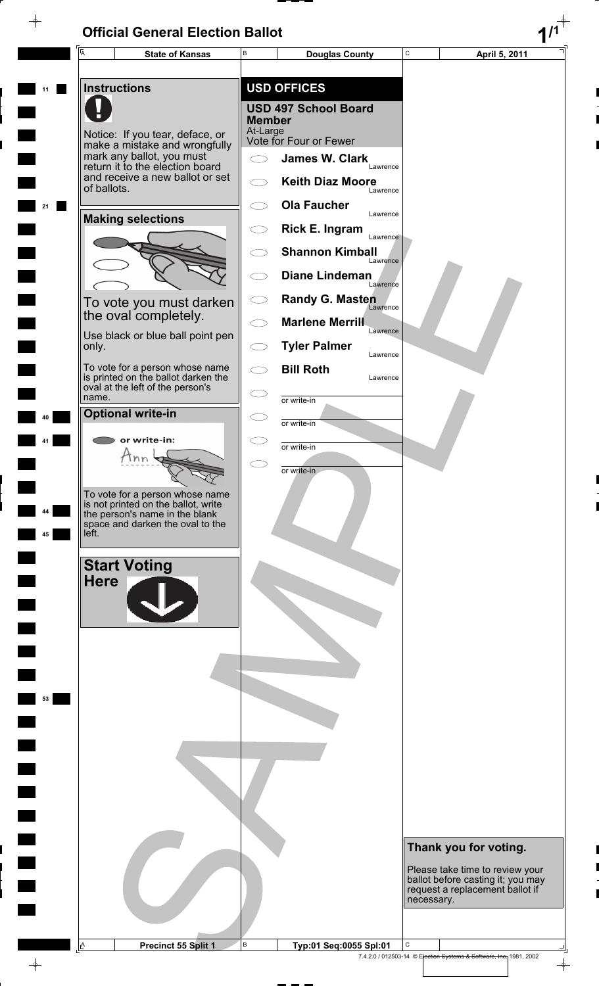$\rightarrow$ 



 $\overline{\phi}$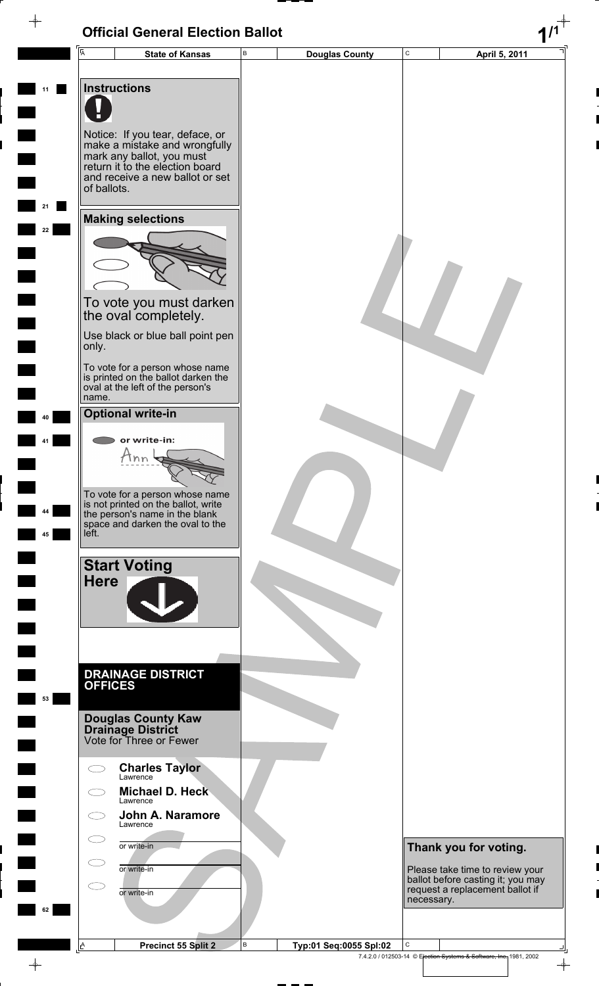#### **Official General Election Ballot 1/1**  $\overline{\phi}$ C **State of Kansas** B **Douglas County** C **April 5, 2011** A B **11 Instructions** Notice: If you tear, deface, or make a mistake and wrongfully mark any ballot, you must return it to the election board and receive a new ballot or set of ballots. **21 Making selections 22** To vote you must darken the oval completely. Use black or blue ball point pen only. To vote for a person whose name is printed on the ballot darken the oval at the left of the person's name. **Optional write-in 40** or write-in: **41**  $\tan \frac{1}{3}$ To vote for a person whose name is not printed on the ballot, write **44** the person's name in the blank space and darken the oval to the **45** left. **Start Voting Here DRAINAGE DISTRICT OFFICES 53 Douglas County Kaw Drainage District** Vote for Three or Fewer **Charles Taylor**  $\bigcirc$

Lawrence

Lawrence

 $\bigcirc$ 

 $\bigcirc$ 

 $\bigcirc$ 

 $\subset$ 

**Lawrence** 

or write-in

or write-in

or write-in

**62**

 $\rightarrow$ 

A

**Michael D. Heck**

**John A. Naramore**

B

**Thank you for voting.**

Please take time to review your ballot before casting it; you may request a replacement ballot if necessary.

**Precinct 55 Split 2 B** Typ:01 Seq:0055 Spl:02  $\overline{\phantom{a}}$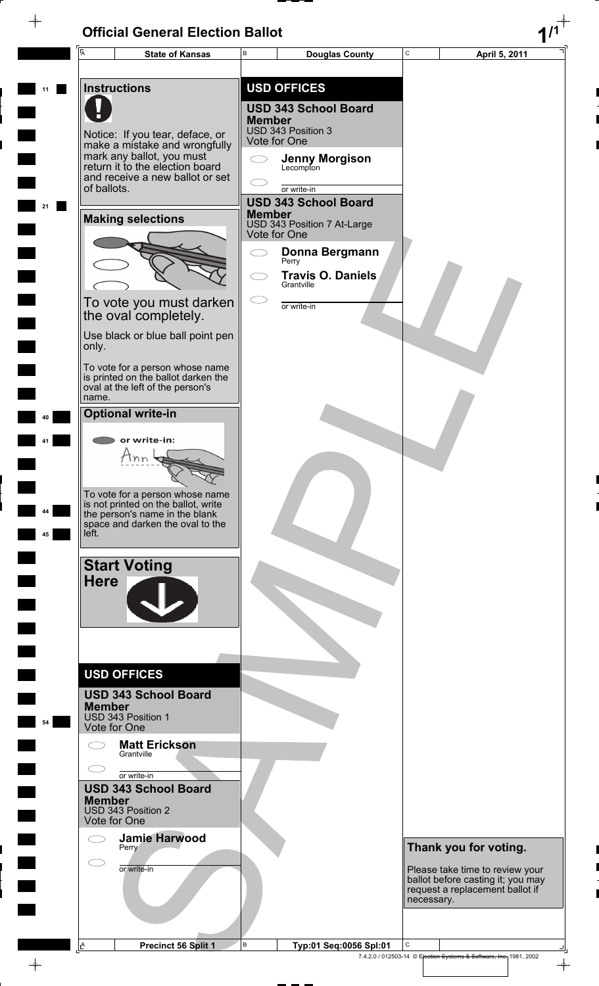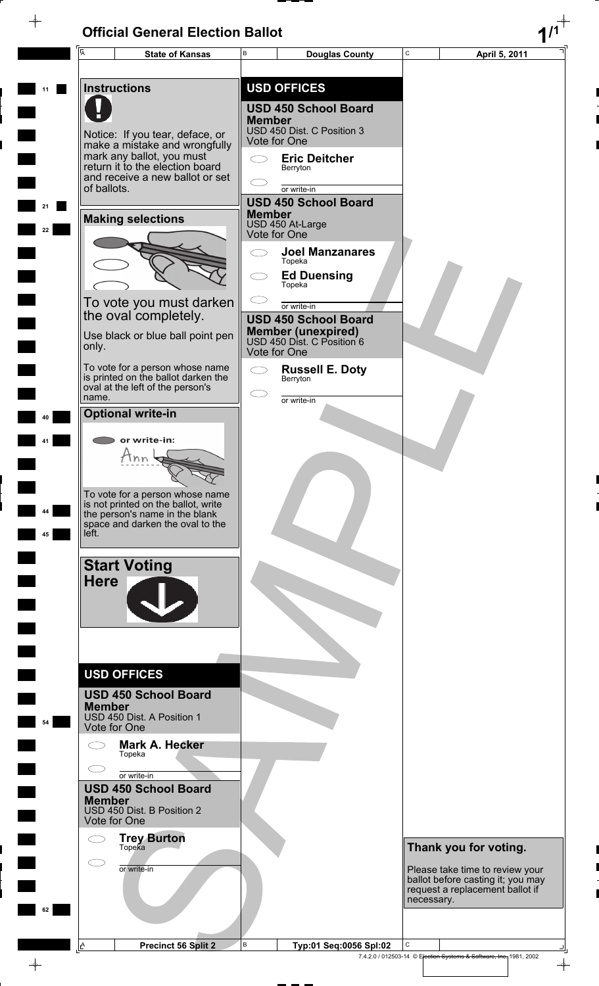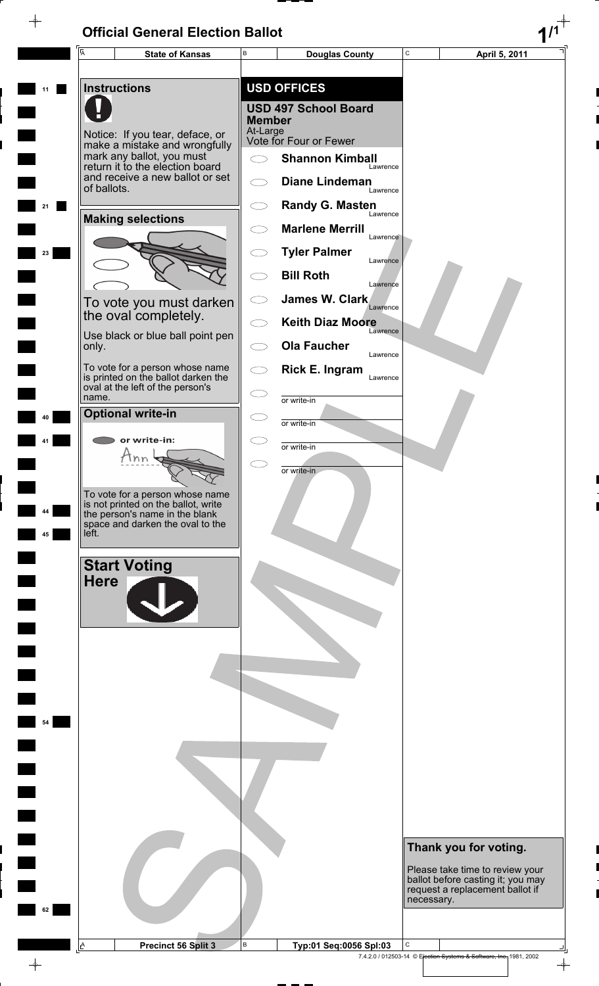$\rightarrow$ 



 $\color{red} \phi$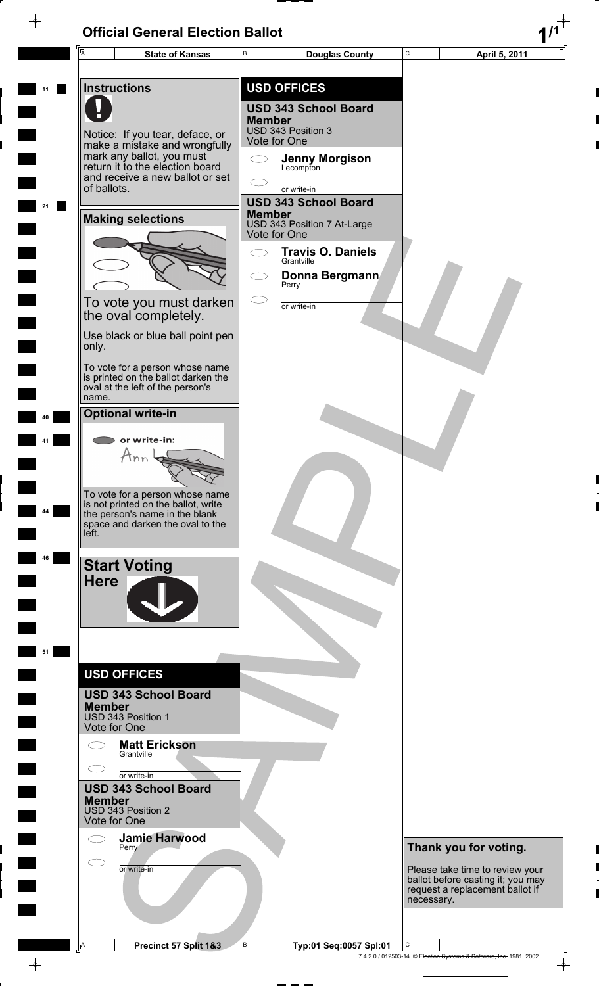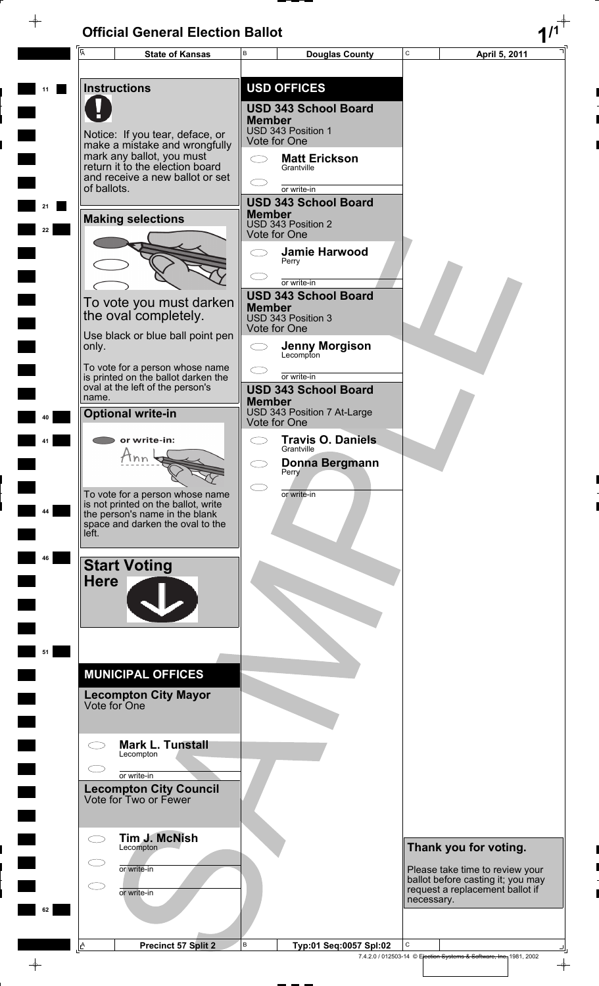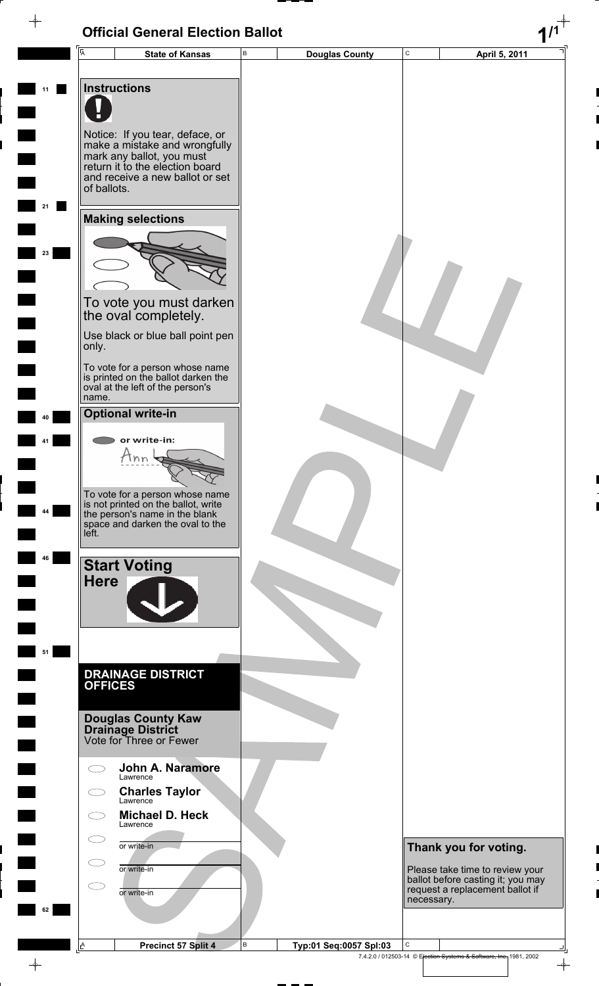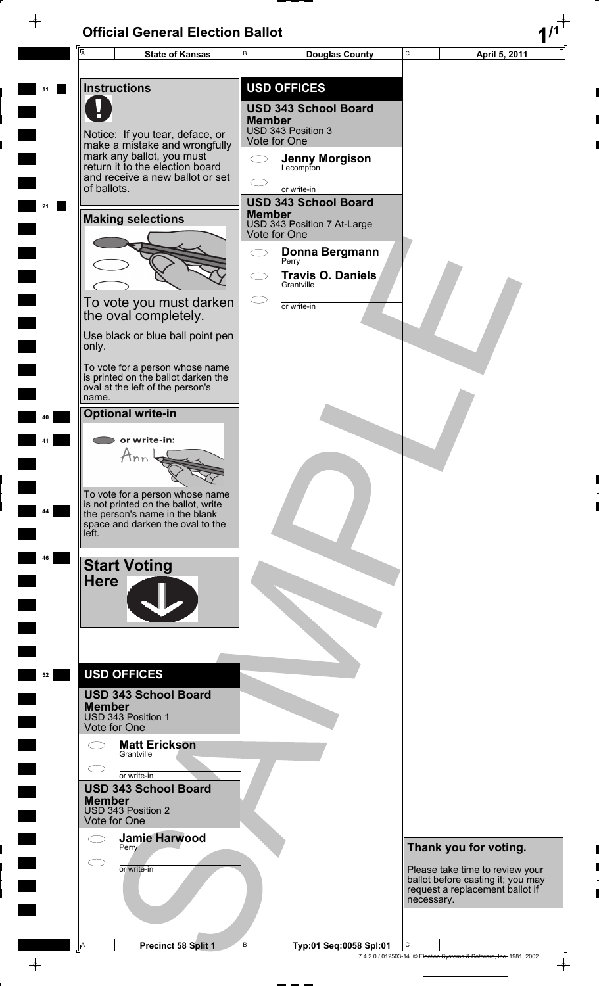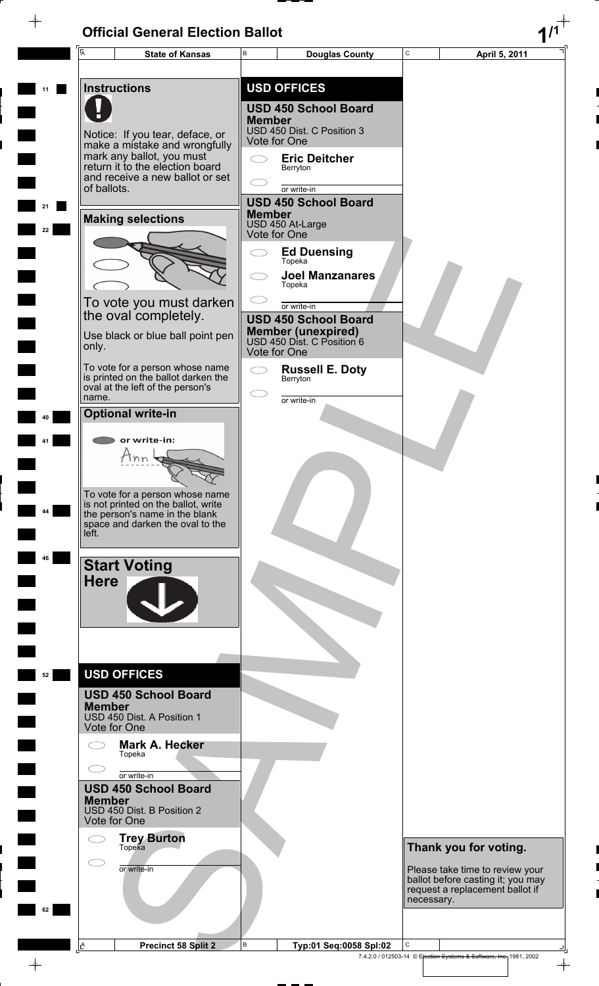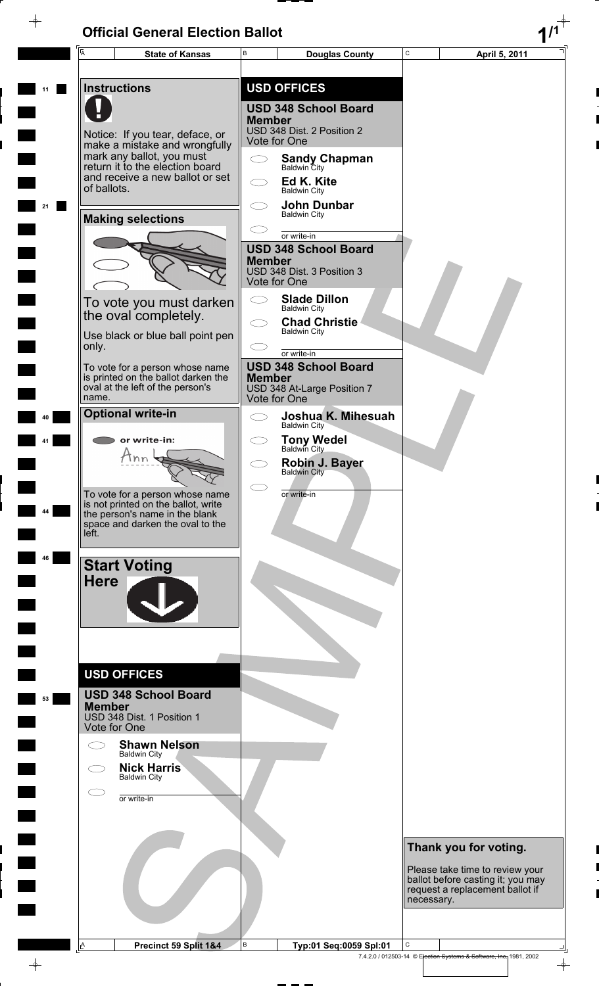$\rightarrow$ 

 $\rightarrow$ 

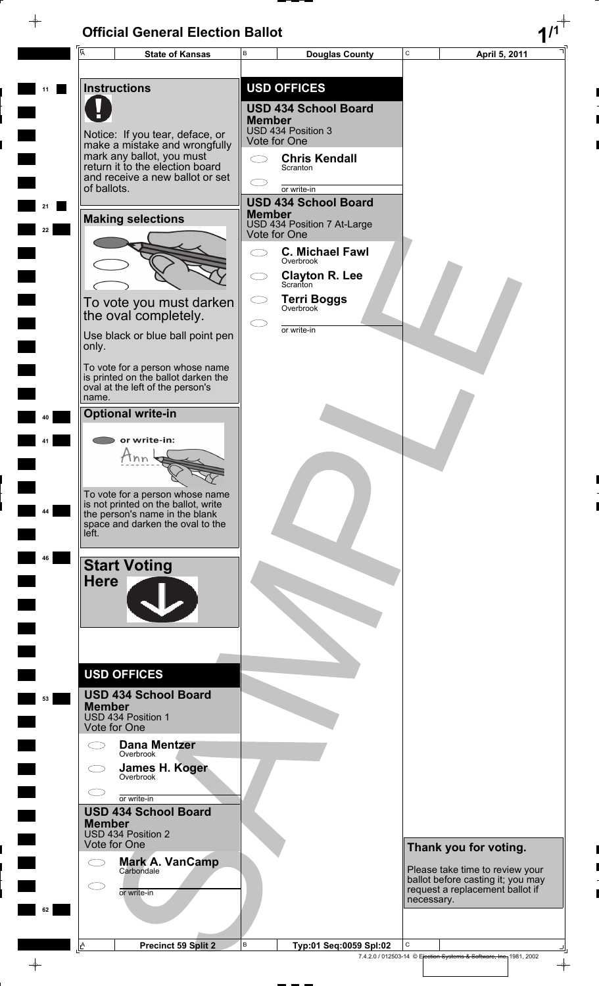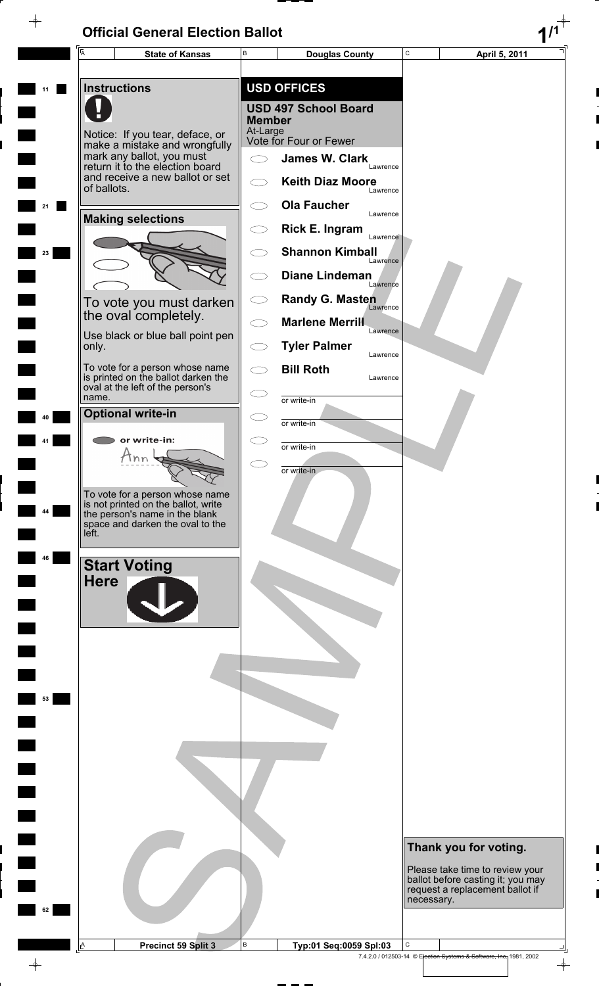$\rightarrow$ 



 $\overline{\phi}$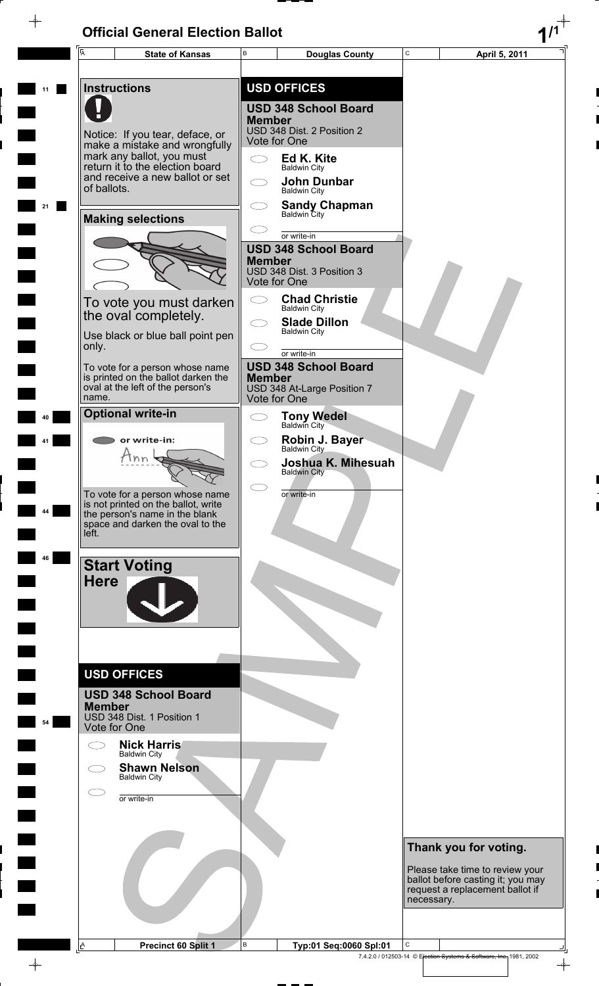$\overline{\phantom{a}}$ 

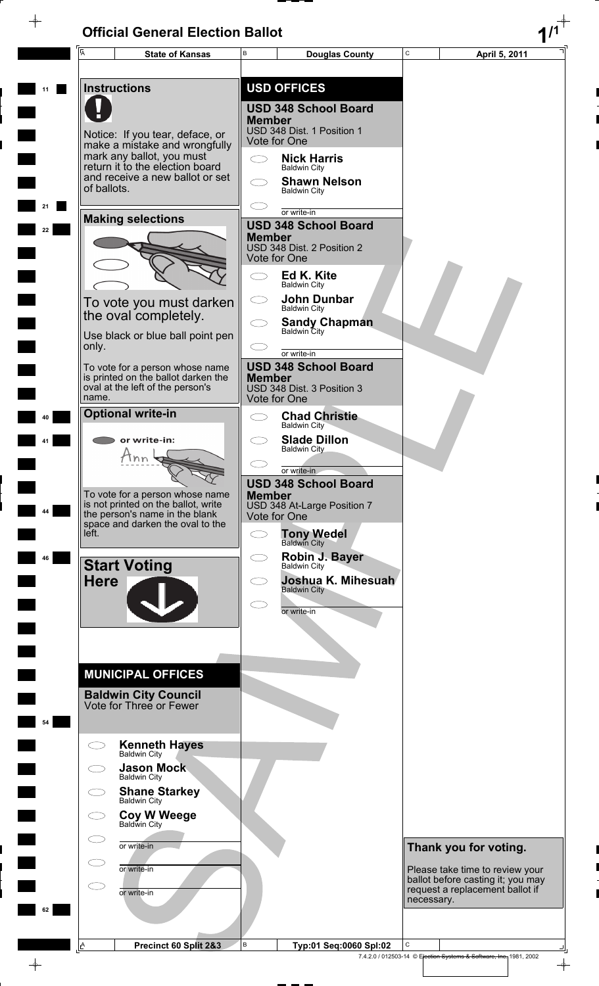$\phi$ 

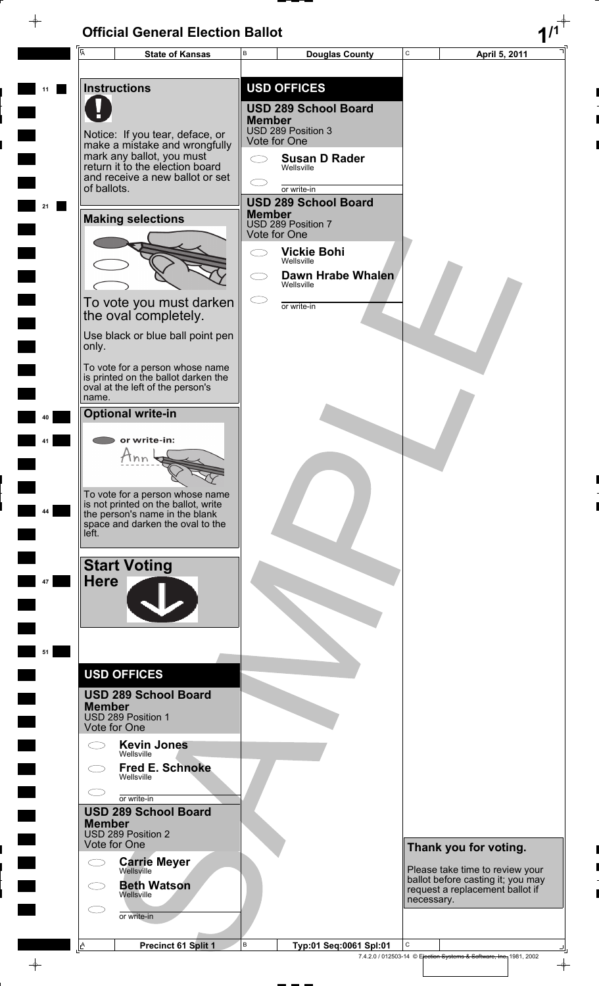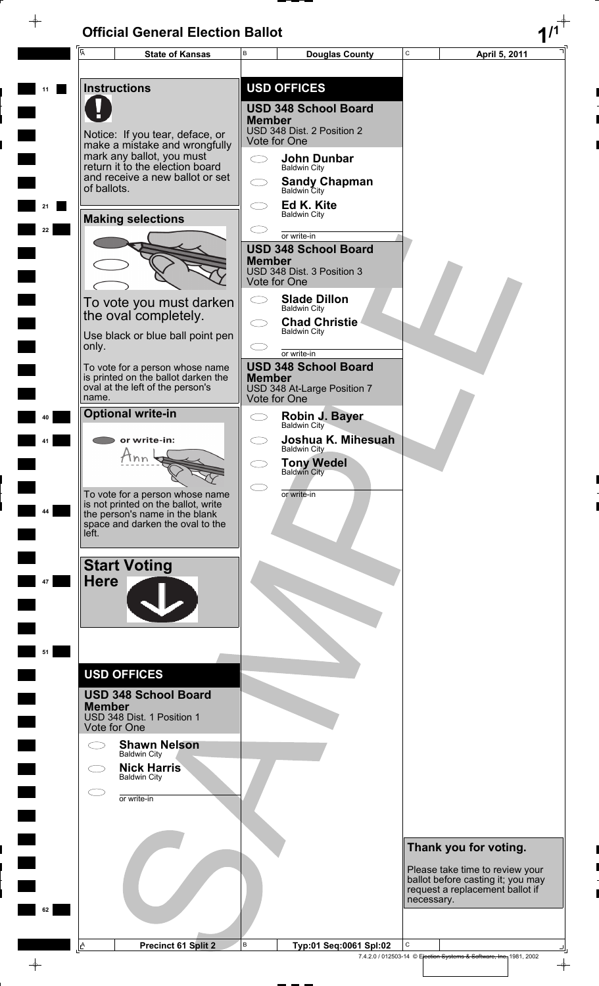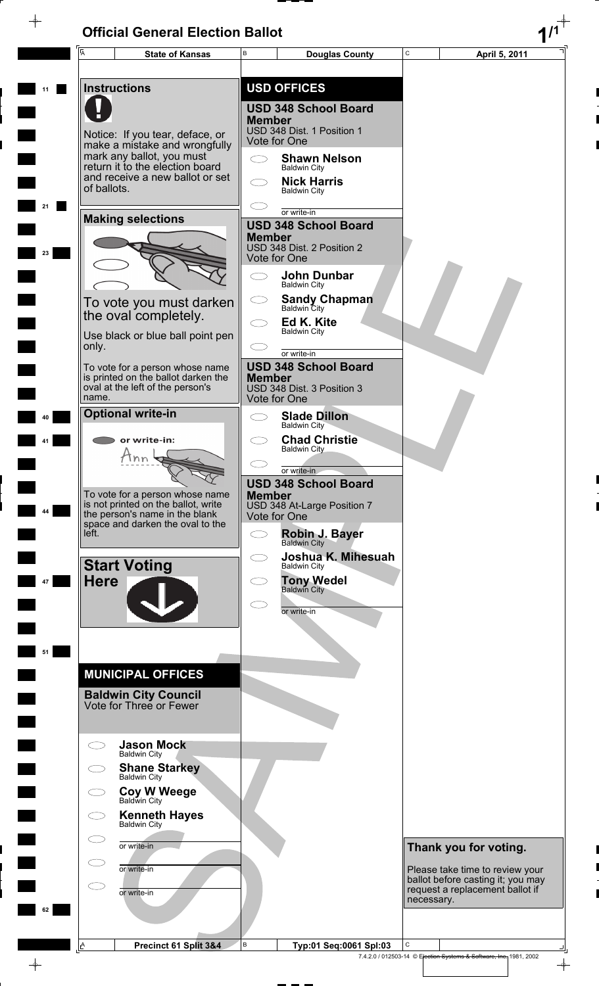$\phi$ 

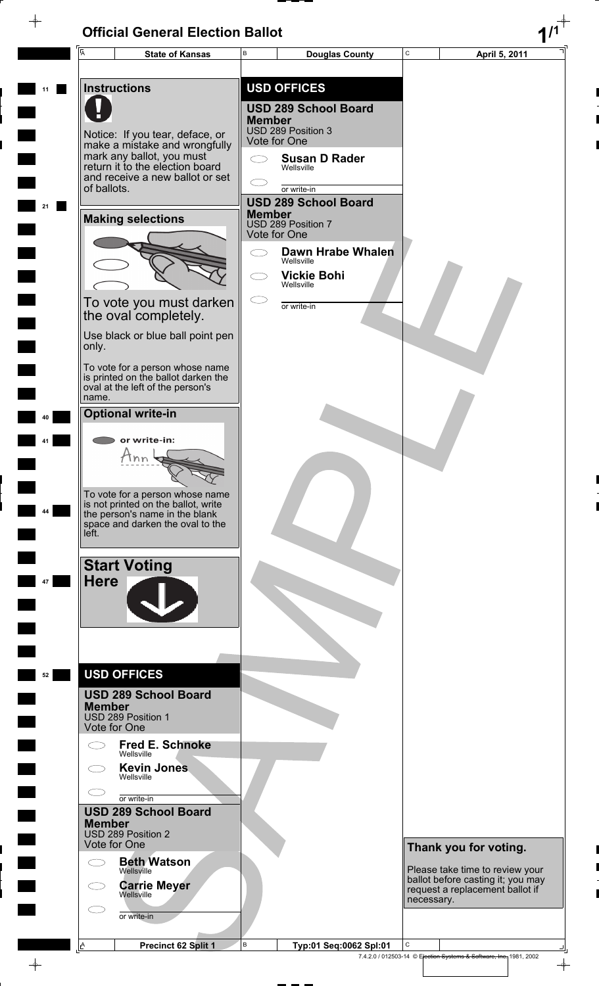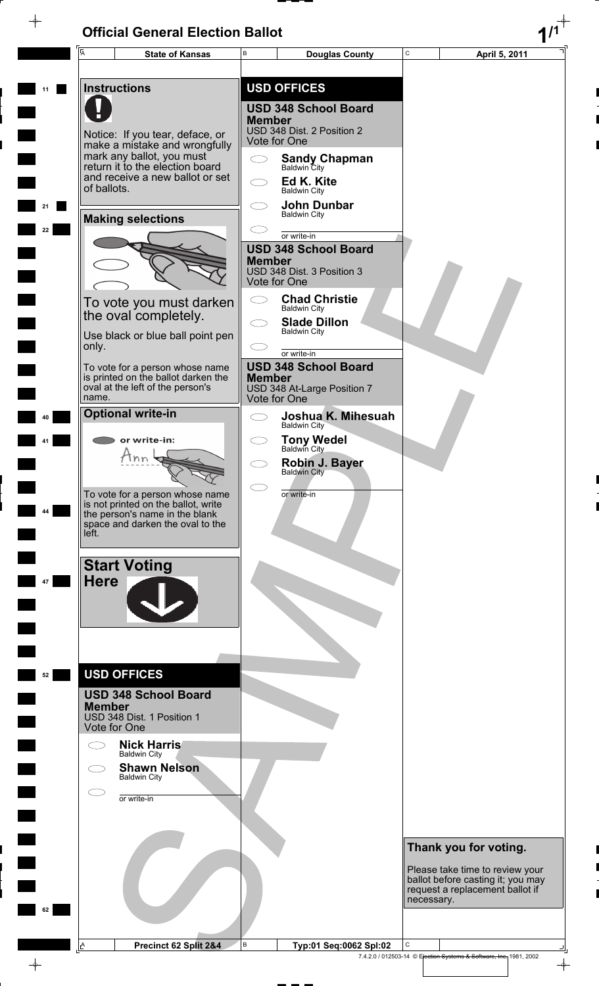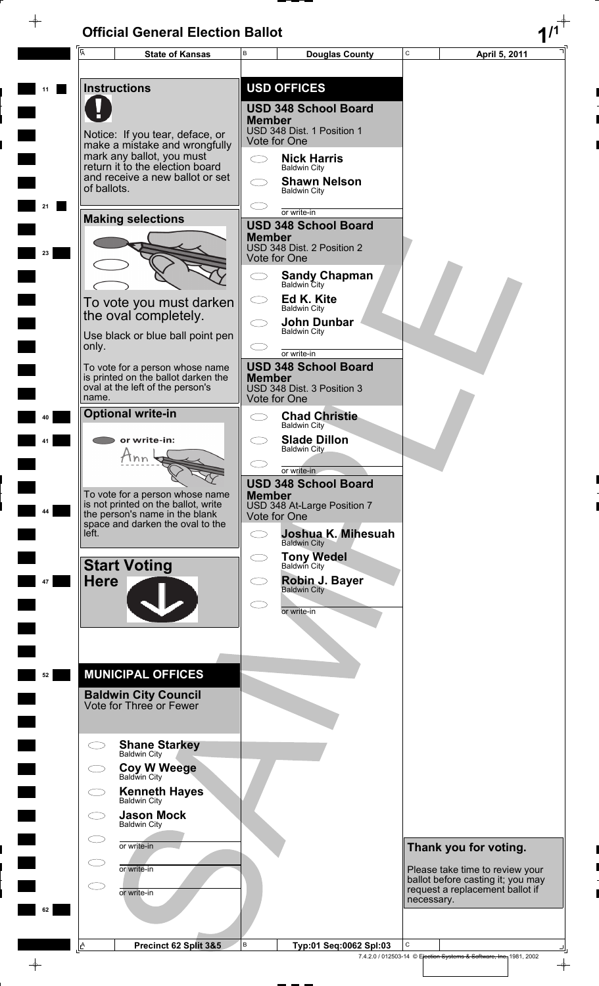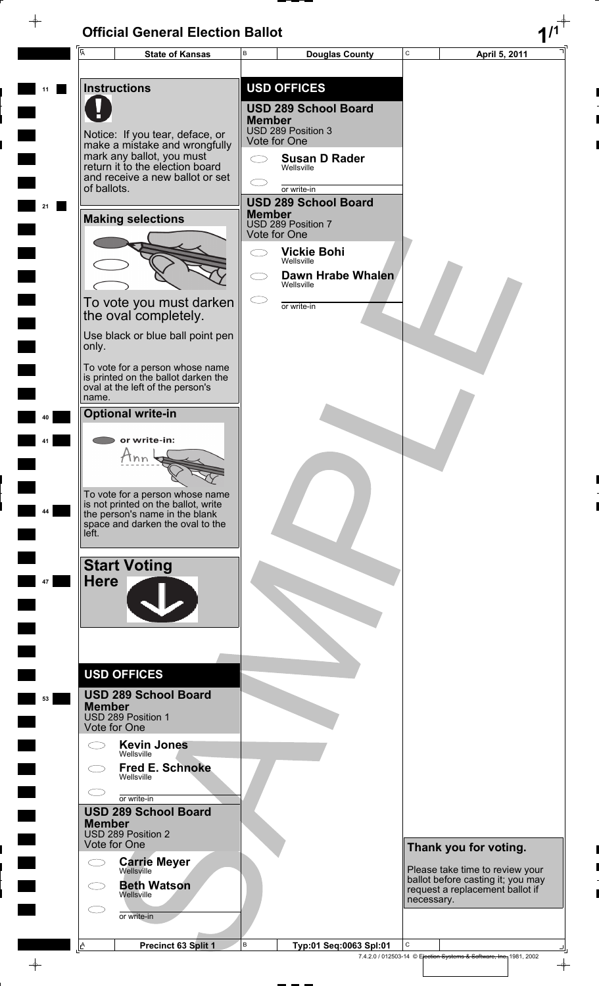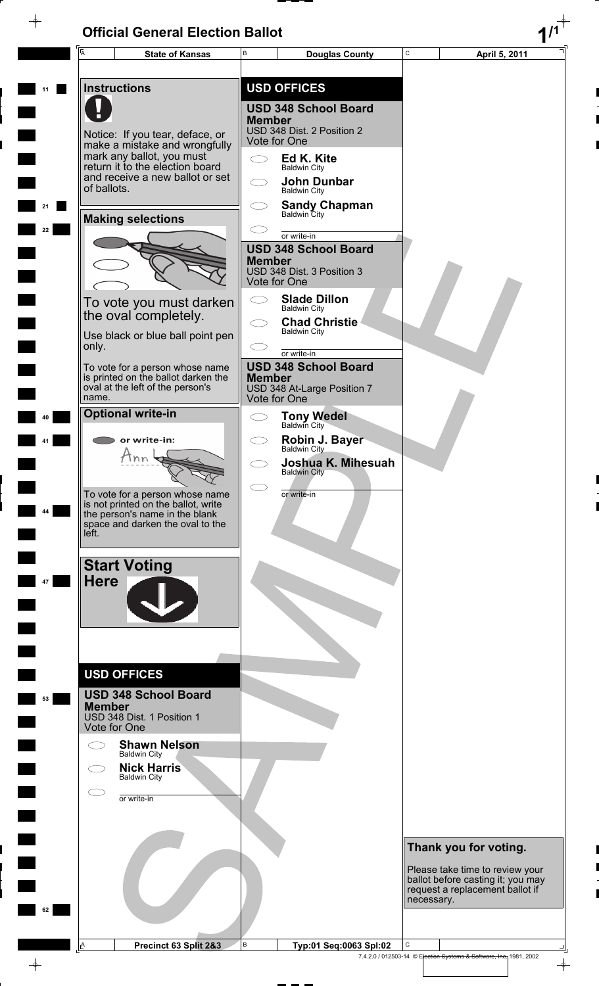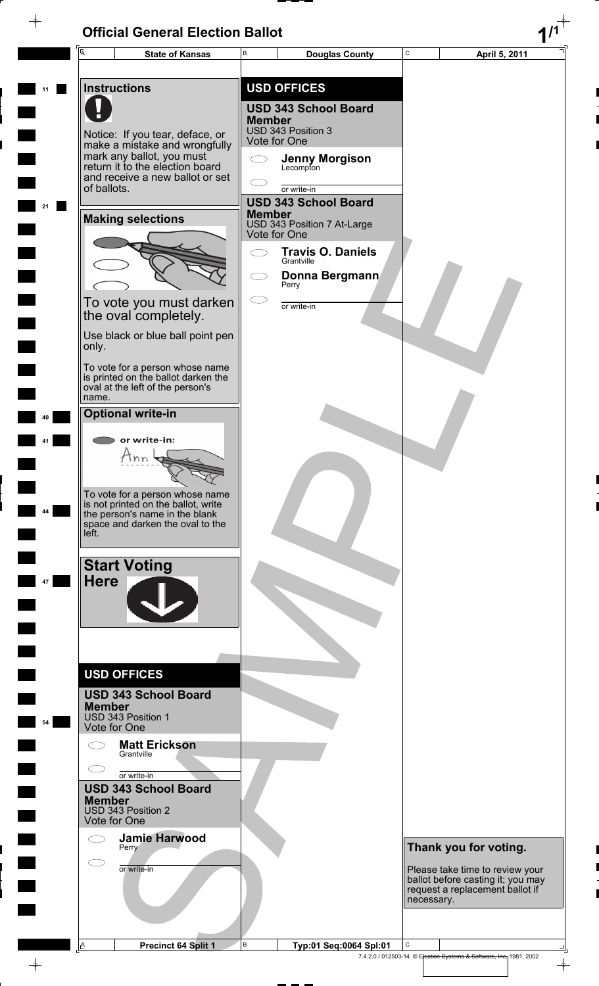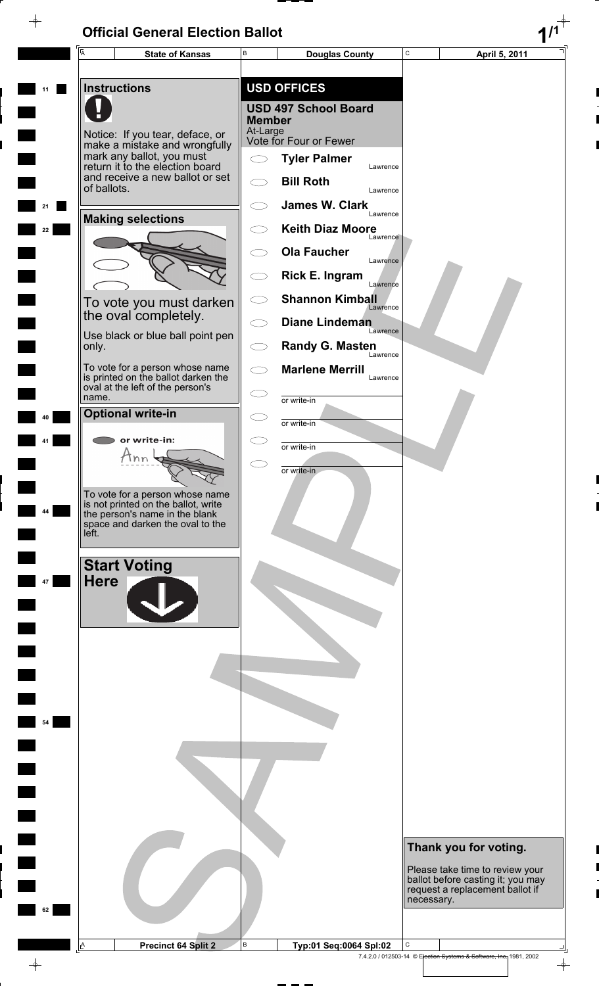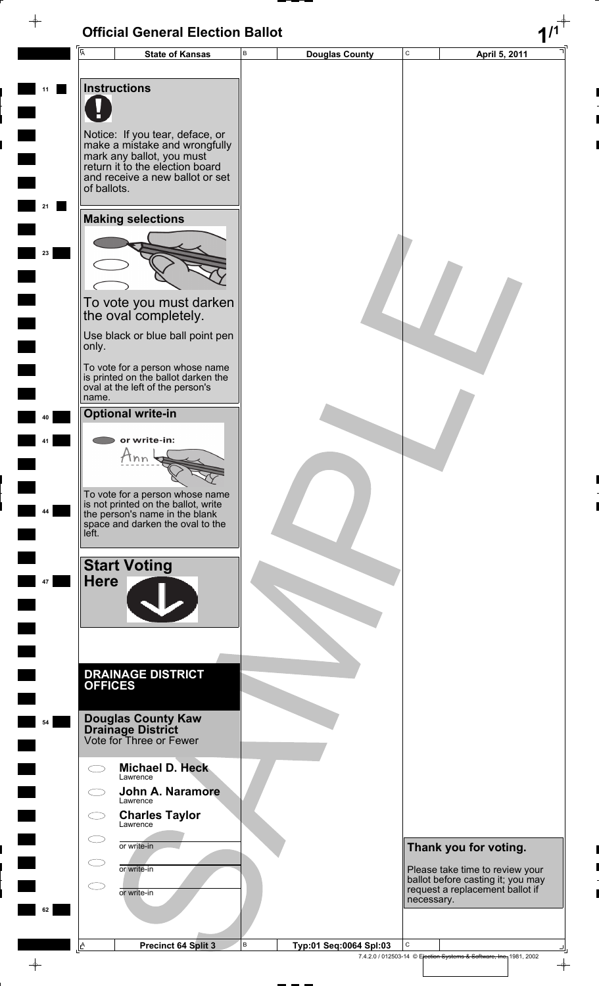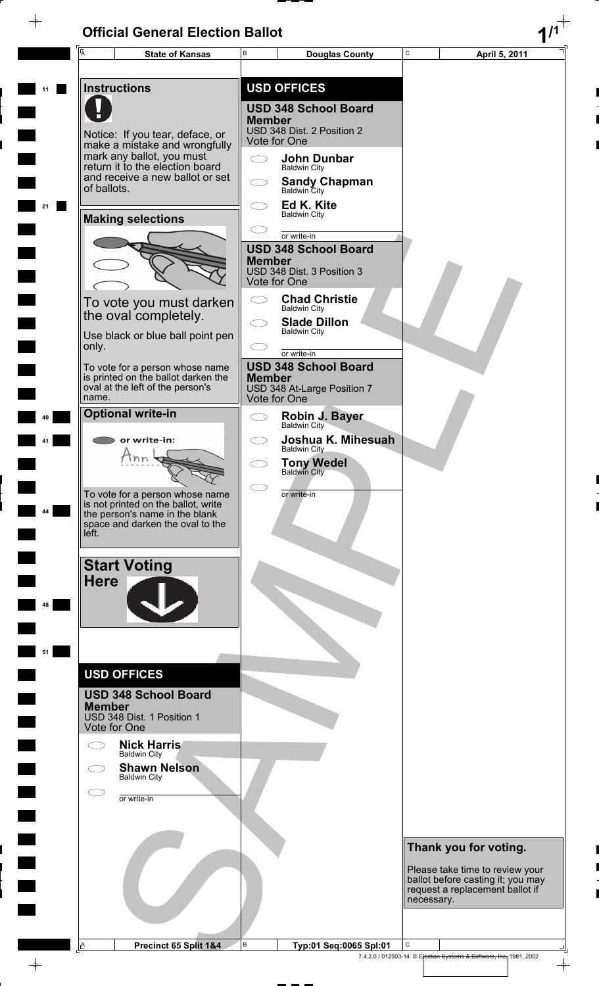$\rightarrow$ 

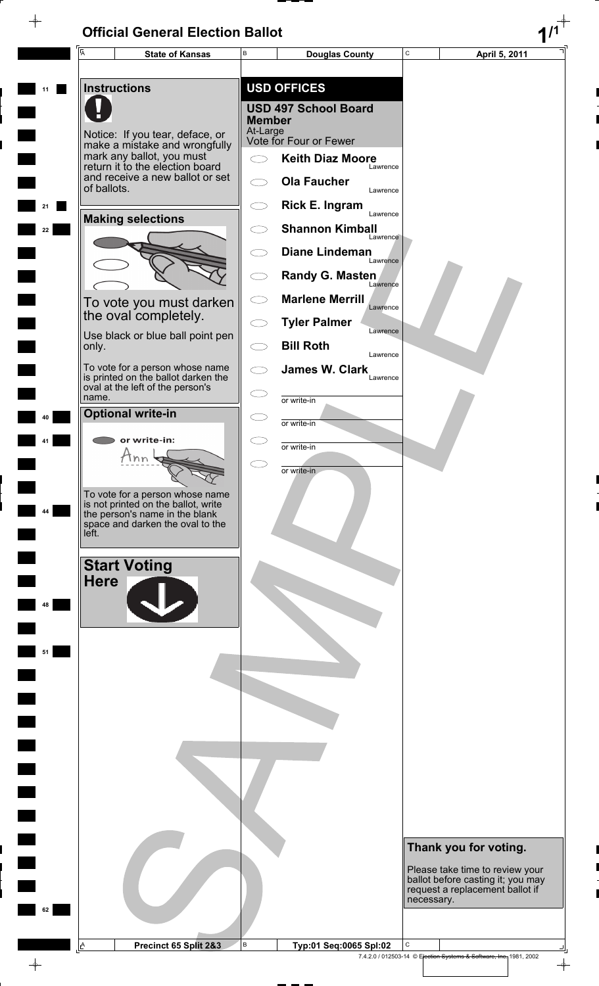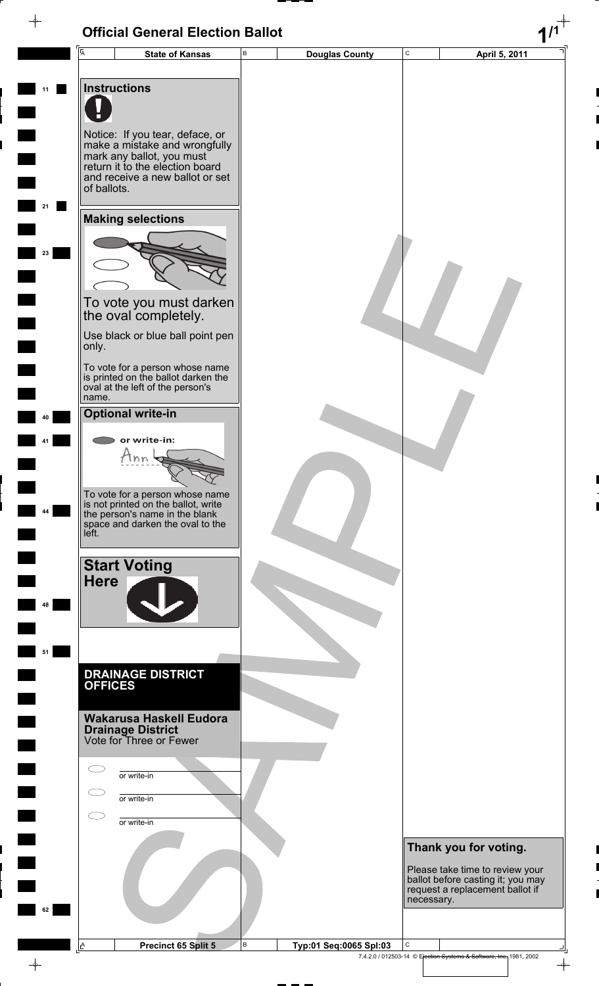| $\overline{A}$      | <b>State of Kansas</b>                                                  | В | <b>Douglas County</b>  | $\mathbf C$ | April 5, 2011                                                        |
|---------------------|-------------------------------------------------------------------------|---|------------------------|-------------|----------------------------------------------------------------------|
|                     |                                                                         |   |                        |             |                                                                      |
| <b>Instructions</b> |                                                                         |   |                        |             |                                                                      |
|                     |                                                                         |   |                        |             |                                                                      |
|                     |                                                                         |   |                        |             |                                                                      |
|                     | Notice: If you tear, deface, or                                         |   |                        |             |                                                                      |
|                     | make a mistake and wrongfully<br>mark any ballot, you must              |   |                        |             |                                                                      |
|                     | return it to the election board<br>and receive a new ballot or set      |   |                        |             |                                                                      |
| of ballots.         |                                                                         |   |                        |             |                                                                      |
|                     |                                                                         |   |                        |             |                                                                      |
|                     | <b>Making selections</b>                                                |   |                        |             |                                                                      |
|                     |                                                                         |   |                        |             |                                                                      |
|                     |                                                                         |   |                        |             |                                                                      |
|                     |                                                                         |   |                        |             |                                                                      |
|                     |                                                                         |   |                        |             |                                                                      |
|                     | To vote you must darken<br>the oval completely.                         |   |                        |             |                                                                      |
|                     | Use black or blue ball point pen                                        |   |                        |             |                                                                      |
| only.               |                                                                         |   |                        |             |                                                                      |
|                     | To vote for a person whose name                                         |   |                        |             |                                                                      |
|                     | is printed on the ballot darken the<br>oval at the left of the person's |   |                        |             |                                                                      |
| name.               |                                                                         |   |                        |             |                                                                      |
|                     | <b>Optional write-in</b>                                                |   |                        |             |                                                                      |
|                     | or write-in:                                                            |   |                        |             |                                                                      |
|                     | Ann                                                                     |   |                        |             |                                                                      |
|                     |                                                                         |   |                        |             |                                                                      |
|                     | To vote for a person whose name                                         |   |                        |             |                                                                      |
|                     | is not printed on the ballot, write<br>the person's name in the blank   |   |                        |             |                                                                      |
| left.               | space and darken the oval to the                                        |   |                        |             |                                                                      |
|                     |                                                                         |   |                        |             |                                                                      |
|                     | <b>Start Voting</b>                                                     |   |                        |             |                                                                      |
| <b>Here</b>         |                                                                         |   |                        |             |                                                                      |
|                     |                                                                         |   |                        |             |                                                                      |
|                     |                                                                         |   |                        |             |                                                                      |
|                     |                                                                         |   |                        |             |                                                                      |
|                     |                                                                         |   |                        |             |                                                                      |
|                     | <b>DRAINAGE DISTRICT</b>                                                |   |                        |             |                                                                      |
| <b>OFFICES</b>      |                                                                         |   |                        |             |                                                                      |
|                     | <b>Wakarusa Haskell Eudora</b>                                          |   |                        |             |                                                                      |
|                     | <b>Drainage District</b><br>Vote for Three or Fewer                     |   |                        |             |                                                                      |
|                     |                                                                         |   |                        |             |                                                                      |
|                     | or write-in                                                             |   |                        |             |                                                                      |
|                     |                                                                         |   |                        |             |                                                                      |
|                     | or write-in                                                             |   |                        |             |                                                                      |
|                     | or write-in                                                             |   |                        |             |                                                                      |
|                     |                                                                         |   |                        |             |                                                                      |
|                     |                                                                         |   |                        |             | Thank you for voting.                                                |
|                     |                                                                         |   |                        |             | Please take time to review your<br>ballot before casting it; you may |
|                     |                                                                         |   |                        | necessary.  | request a replacement ballot if                                      |
|                     |                                                                         |   |                        |             |                                                                      |
|                     |                                                                         |   |                        |             |                                                                      |
| A                   | Precinct 65 Split 5                                                     | В | Typ:01 Seq:0065 Spl:03 | С           |                                                                      |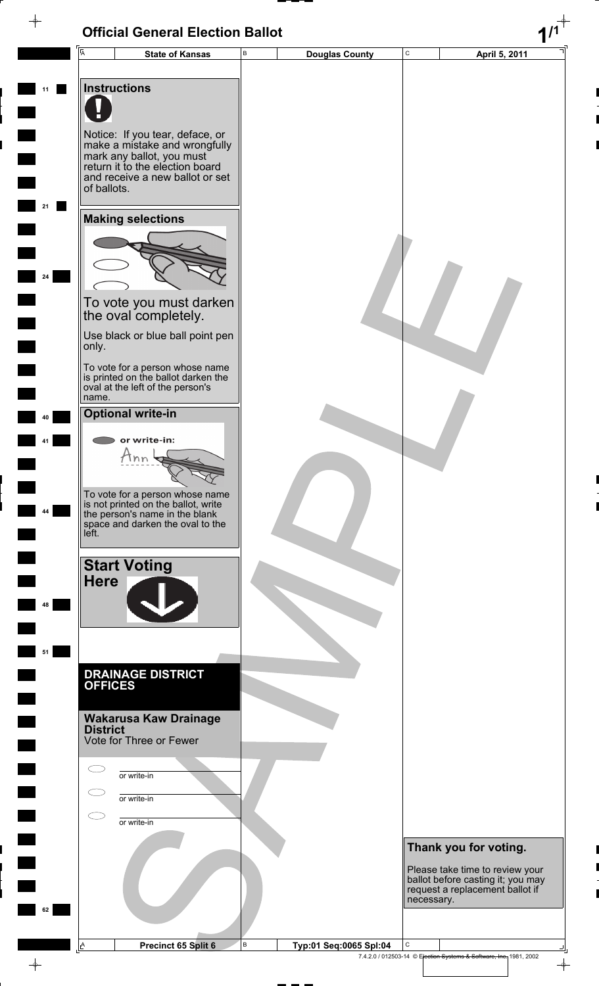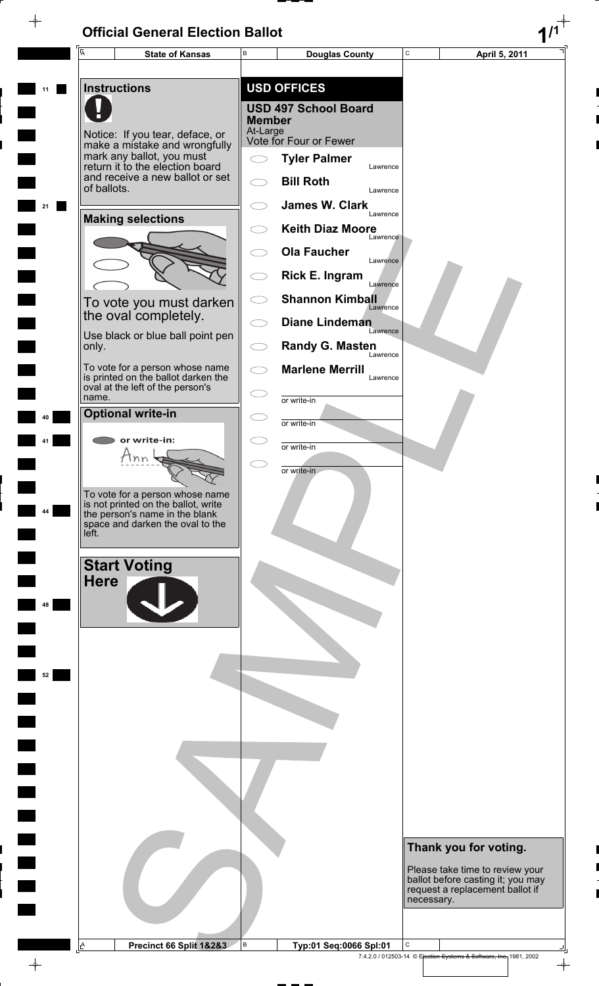$\rightarrow$ 



 $\color{red} \phi$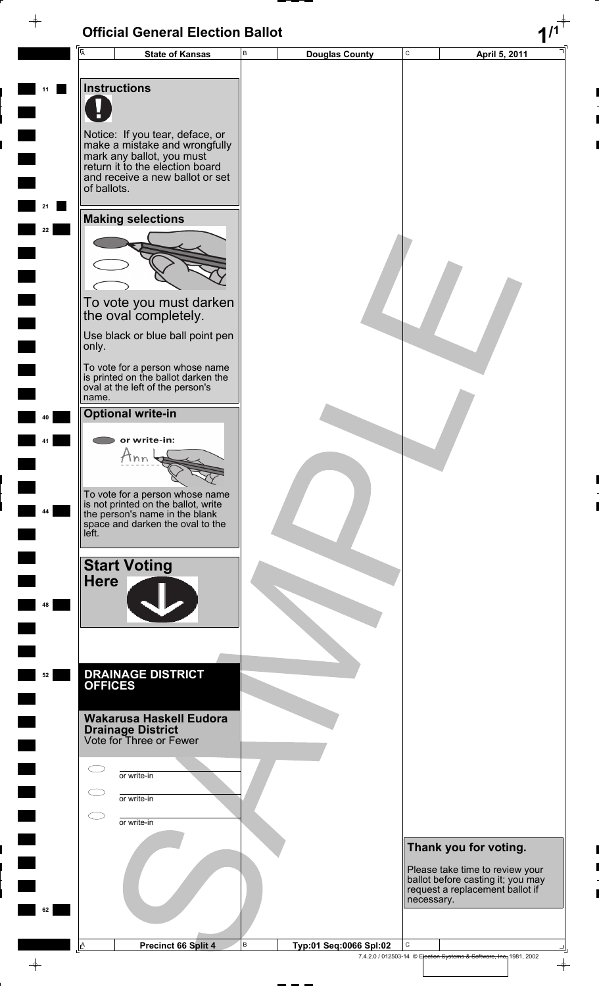|          | <b>Official General Election Ballot</b>                                                                                                                                                                                                                                                                                                |                                        |                                                                                                                                                |
|----------|----------------------------------------------------------------------------------------------------------------------------------------------------------------------------------------------------------------------------------------------------------------------------------------------------------------------------------------|----------------------------------------|------------------------------------------------------------------------------------------------------------------------------------------------|
|          | $\overline{A}$<br><b>State of Kansas</b>                                                                                                                                                                                                                                                                                               | $\sf B$<br><b>Douglas County</b>       | $\mathsf C$<br>April 5, 2011                                                                                                                   |
| 11       | <b>Instructions</b><br>Notice: If you tear, deface, or<br>make a mistake and wrongfully<br>mark any ballot, you must<br>return it to the election board<br>and receive a new ballot or set<br>of ballots.                                                                                                                              |                                        |                                                                                                                                                |
| 21<br>22 | <b>Making selections</b><br>To vote you must darken<br>the oval completely.<br>Use black or blue ball point pen                                                                                                                                                                                                                        |                                        |                                                                                                                                                |
| 40<br>44 | only.<br>To vote for a person whose name<br>is printed on the ballot darken the<br>oval at the left of the person's<br>name.<br><b>Optional write-in</b><br>or write-in:<br><i>Hnn</i><br>To vote for a person whose name<br>is not printed on the ballot, write<br>the person's name in the blank<br>space and darken the oval to the |                                        |                                                                                                                                                |
| 48       | left.<br><b>Start Voting</b><br><b>Here</b>                                                                                                                                                                                                                                                                                            |                                        |                                                                                                                                                |
| 52       | <b>DRAINAGE DISTRICT</b><br><b>OFFICES</b><br>Wakarusa Haskell Eudora<br><b>Drainage District</b><br>Vote for Three or Fewer                                                                                                                                                                                                           |                                        |                                                                                                                                                |
|          | or write-in<br>or write-in<br>or write-in                                                                                                                                                                                                                                                                                              |                                        |                                                                                                                                                |
| 62       |                                                                                                                                                                                                                                                                                                                                        |                                        | Thank you for voting.<br>Please take time to review your<br>ballot before casting it; you may<br>request a replacement ballot if<br>necessary. |
|          | A<br>Precinct 66 Split 4                                                                                                                                                                                                                                                                                                               | $\, {\sf B}$<br>Typ:01 Seq:0066 Spl:02 | С<br>7.4.2.0 / 012503-14 © Election Systems & Software, Inc. 1981, 2002<br>$\rightarrow$                                                       |

7.4.2.0 / 012503-14 © Election Systems & Software, Inc. 1981, 2002

 $\phi$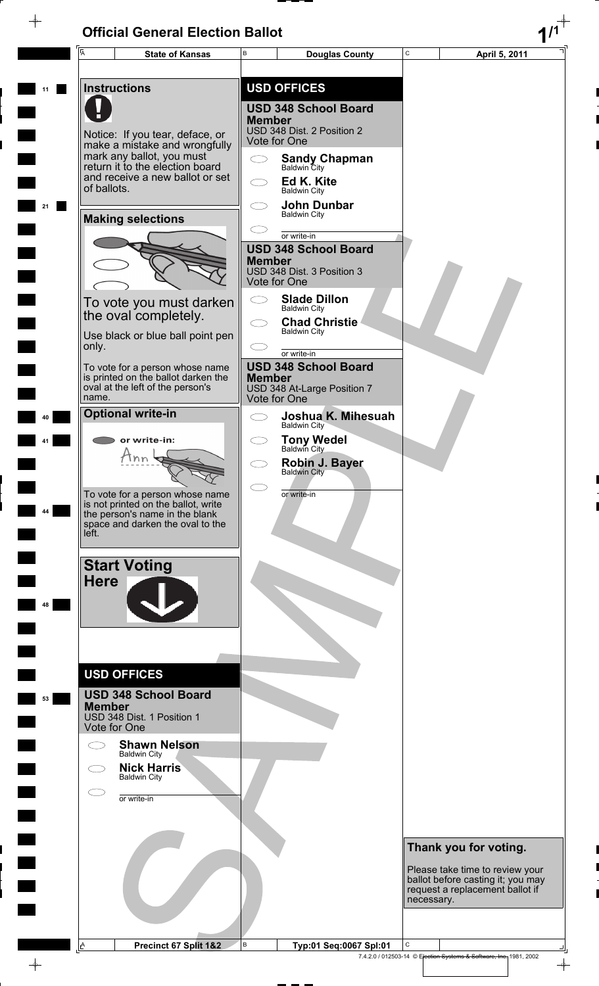$\rightarrow$ 

 $\rightarrow$